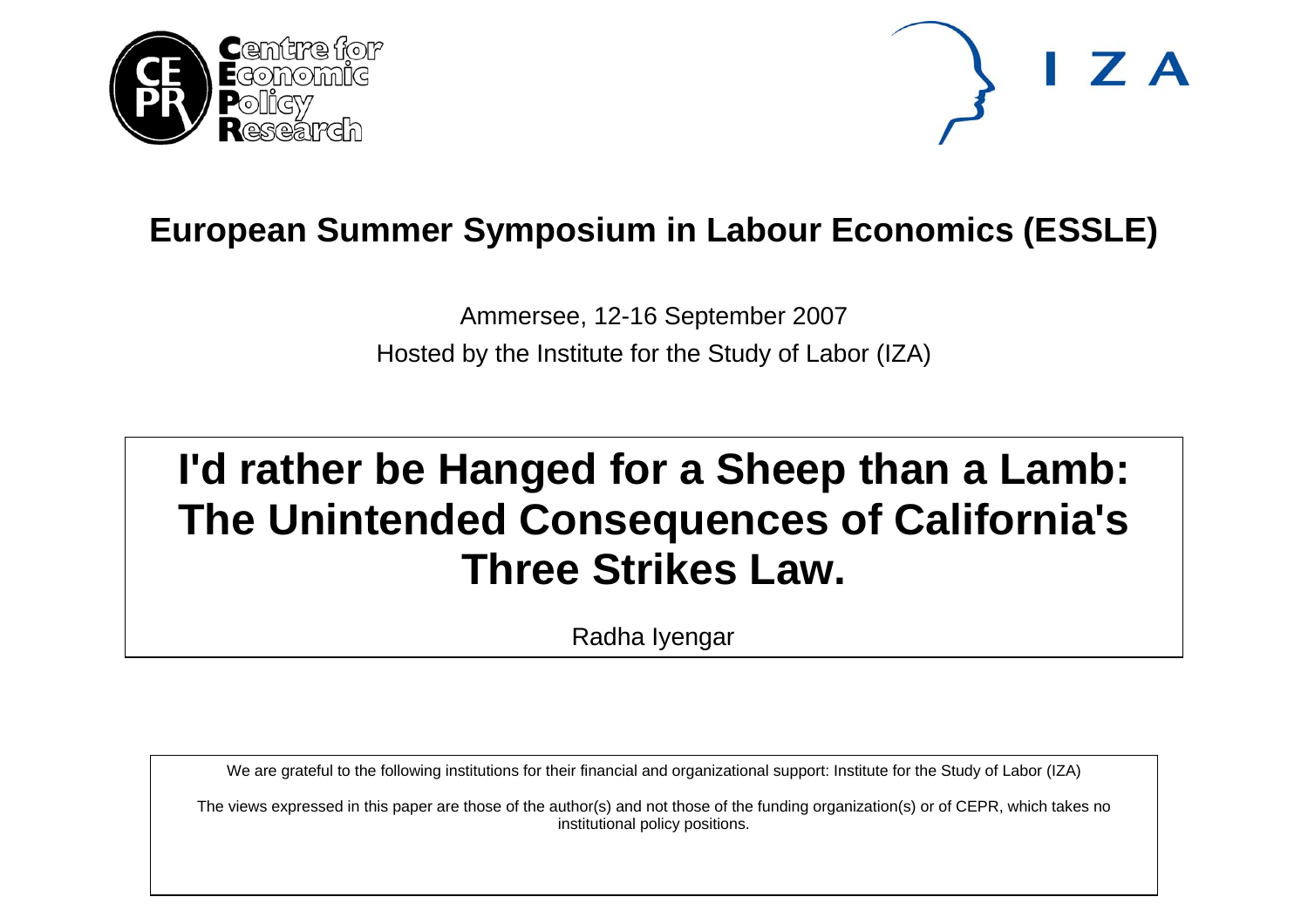



# **European Summer Symposium in Labour Economics (ESSLE)**

Ammersee, 12-16 September 2007 Hosted by the Institute for the Study of Labor (IZA)

# **I'd rather be Hanged for a Sheep than a Lamb: The Unintended Consequences of California's Three Strikes Law.**

Radha Iyengar

We are grateful to the following institutions for their financial and organizational support: Institute for the Study of Labor (IZA)

The views expressed in this paper are those of the author(s) and not those of the funding organization(s) or of CEPR, which takes no institutional policy positions.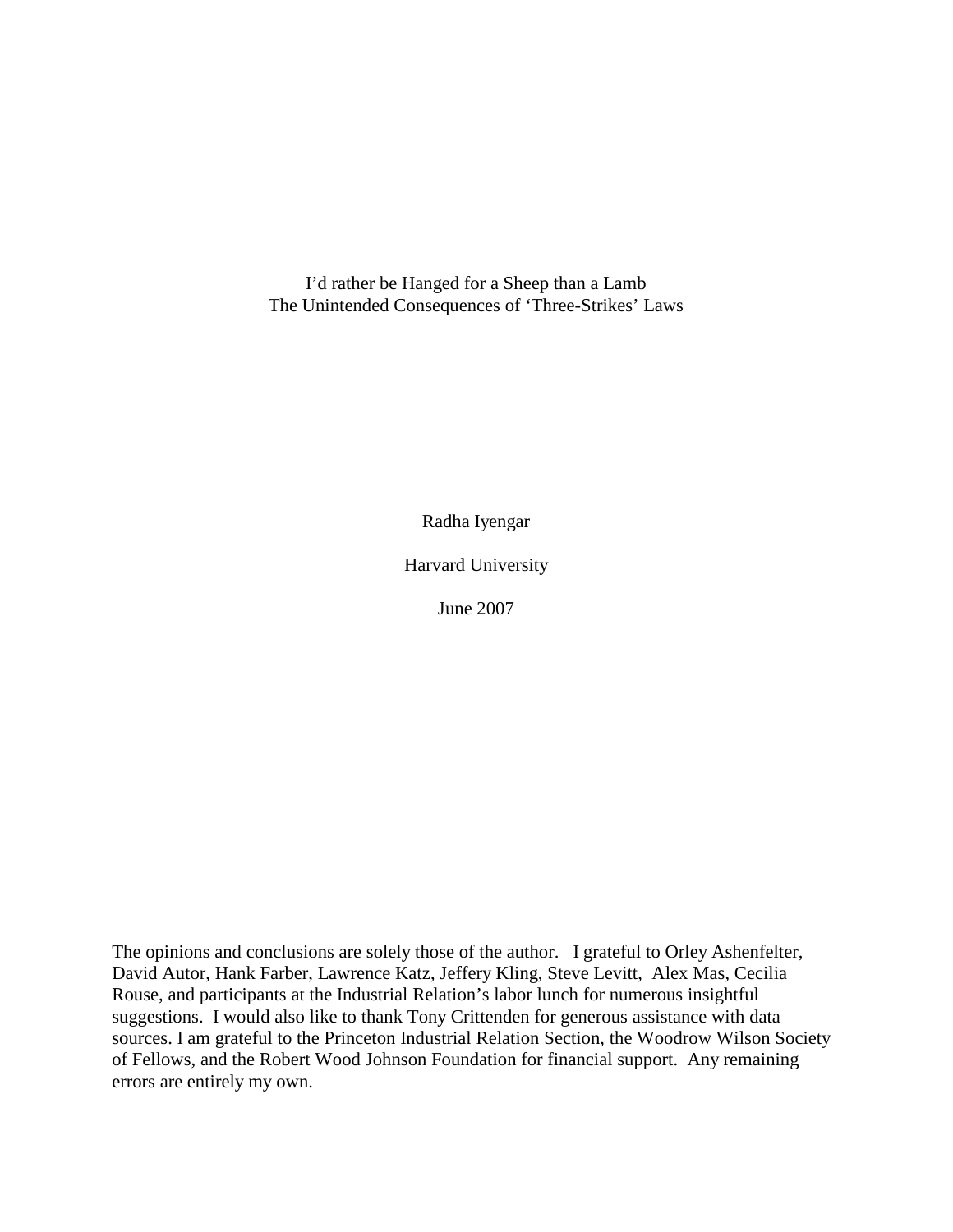I'd rather be Hanged for a Sheep than a Lamb The Unintended Consequences of 'Three-Strikes' Laws

Radha Iyengar

Harvard University

June 2007

The opinions and conclusions are solely those of the author. I grateful to Orley Ashenfelter, David Autor, Hank Farber, Lawrence Katz, Jeffery Kling, Steve Levitt, Alex Mas, Cecilia Rouse, and participants at the Industrial Relation's labor lunch for numerous insightful suggestions. I would also like to thank Tony Crittenden for generous assistance with data sources. I am grateful to the Princeton Industrial Relation Section, the Woodrow Wilson Society of Fellows, and the Robert Wood Johnson Foundation for financial support. Any remaining errors are entirely my own.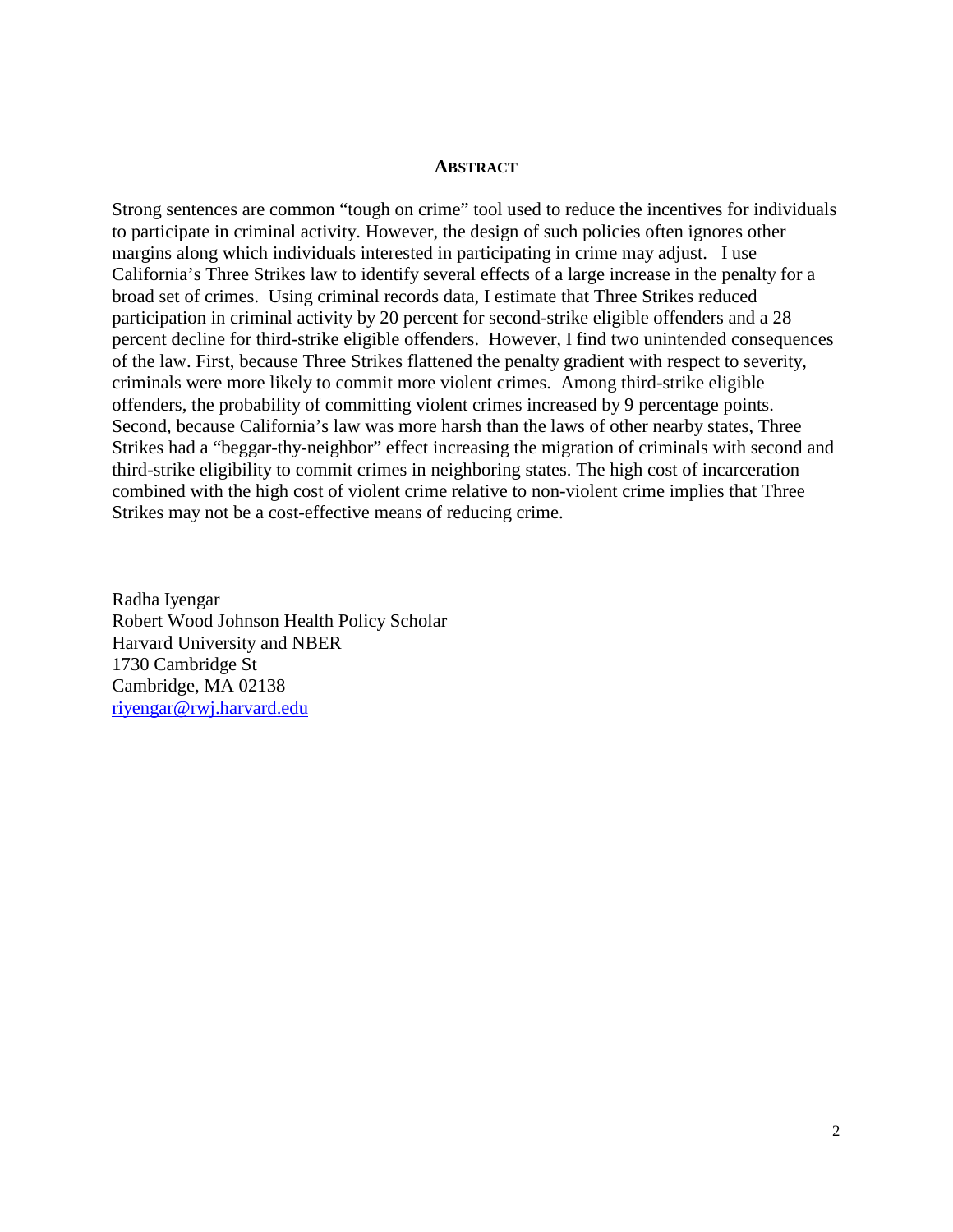#### **ABSTRACT**

Strong sentences are common "tough on crime" tool used to reduce the incentives for individuals to participate in criminal activity. However, the design of such policies often ignores other margins along which individuals interested in participating in crime may adjust. I use California's Three Strikes law to identify several effects of a large increase in the penalty for a broad set of crimes. Using criminal records data, I estimate that Three Strikes reduced participation in criminal activity by 20 percent for second-strike eligible offenders and a 28 percent decline for third-strike eligible offenders. However, I find two unintended consequences of the law. First, because Three Strikes flattened the penalty gradient with respect to severity, criminals were more likely to commit more violent crimes. Among third-strike eligible offenders, the probability of committing violent crimes increased by 9 percentage points. Second, because California's law was more harsh than the laws of other nearby states, Three Strikes had a "beggar-thy-neighbor" effect increasing the migration of criminals with second and third-strike eligibility to commit crimes in neighboring states. The high cost of incarceration combined with the high cost of violent crime relative to non-violent crime implies that Three Strikes may not be a cost-effective means of reducing crime.

Radha Iyengar Robert Wood Johnson Health Policy Scholar Harvard University and NBER 1730 Cambridge St Cambridge, MA 02138 riyengar@rwj.harvard.edu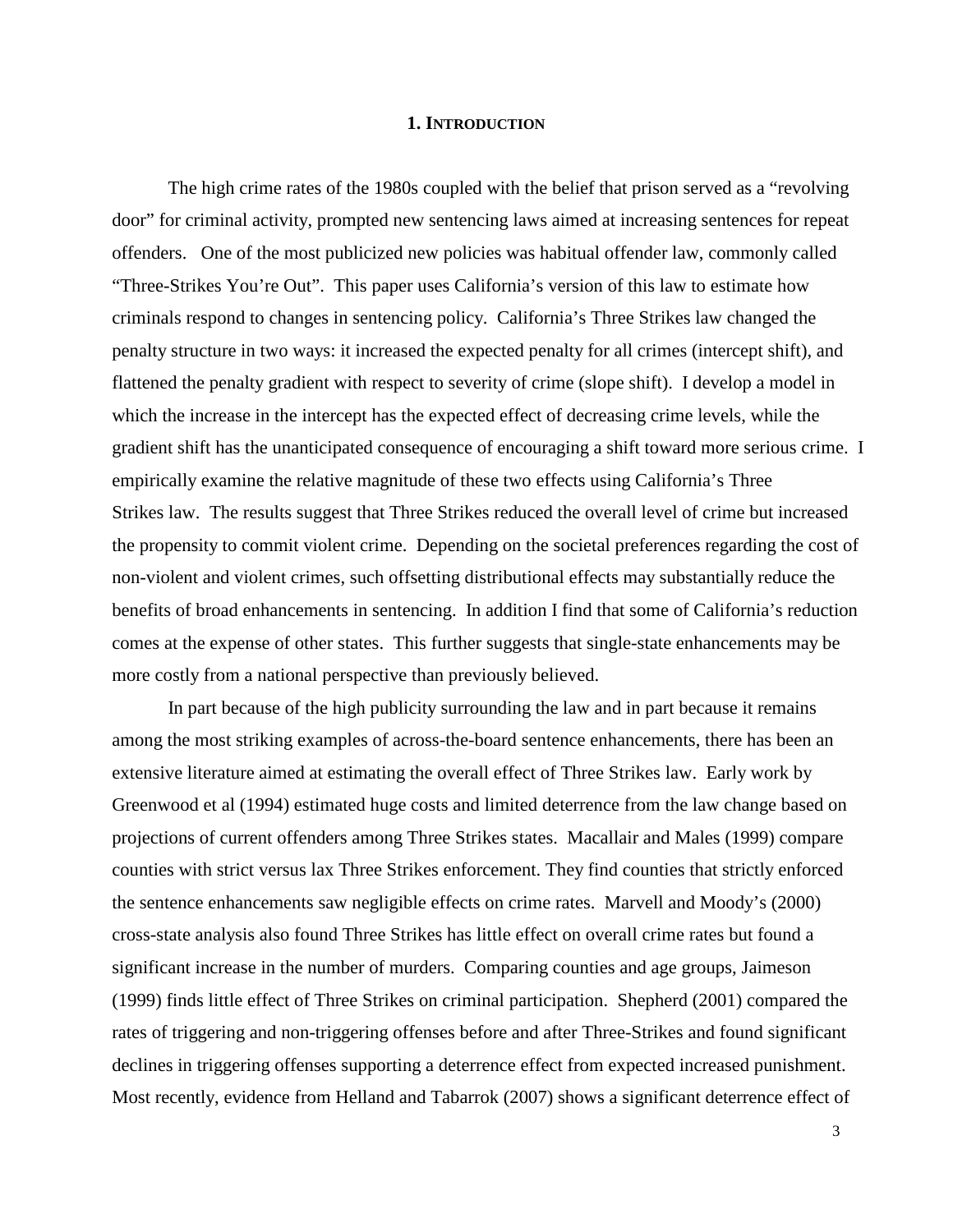#### **1. INTRODUCTION**

 The high crime rates of the 1980s coupled with the belief that prison served as a "revolving door" for criminal activity, prompted new sentencing laws aimed at increasing sentences for repeat offenders. One of the most publicized new policies was habitual offender law, commonly called "Three-Strikes You're Out". This paper uses California's version of this law to estimate how criminals respond to changes in sentencing policy. California's Three Strikes law changed the penalty structure in two ways: it increased the expected penalty for all crimes (intercept shift), and flattened the penalty gradient with respect to severity of crime (slope shift). I develop a model in which the increase in the intercept has the expected effect of decreasing crime levels, while the gradient shift has the unanticipated consequence of encouraging a shift toward more serious crime. I empirically examine the relative magnitude of these two effects using California's Three Strikes law. The results suggest that Three Strikes reduced the overall level of crime but increased the propensity to commit violent crime. Depending on the societal preferences regarding the cost of non-violent and violent crimes, such offsetting distributional effects may substantially reduce the benefits of broad enhancements in sentencing. In addition I find that some of California's reduction comes at the expense of other states. This further suggests that single-state enhancements may be more costly from a national perspective than previously believed.

 In part because of the high publicity surrounding the law and in part because it remains among the most striking examples of across-the-board sentence enhancements, there has been an extensive literature aimed at estimating the overall effect of Three Strikes law. Early work by Greenwood et al (1994) estimated huge costs and limited deterrence from the law change based on projections of current offenders among Three Strikes states. Macallair and Males (1999) compare counties with strict versus lax Three Strikes enforcement. They find counties that strictly enforced the sentence enhancements saw negligible effects on crime rates. Marvell and Moody's (2000) cross-state analysis also found Three Strikes has little effect on overall crime rates but found a significant increase in the number of murders. Comparing counties and age groups, Jaimeson (1999) finds little effect of Three Strikes on criminal participation. Shepherd (2001) compared the rates of triggering and non-triggering offenses before and after Three-Strikes and found significant declines in triggering offenses supporting a deterrence effect from expected increased punishment. Most recently, evidence from Helland and Tabarrok (2007) shows a significant deterrence effect of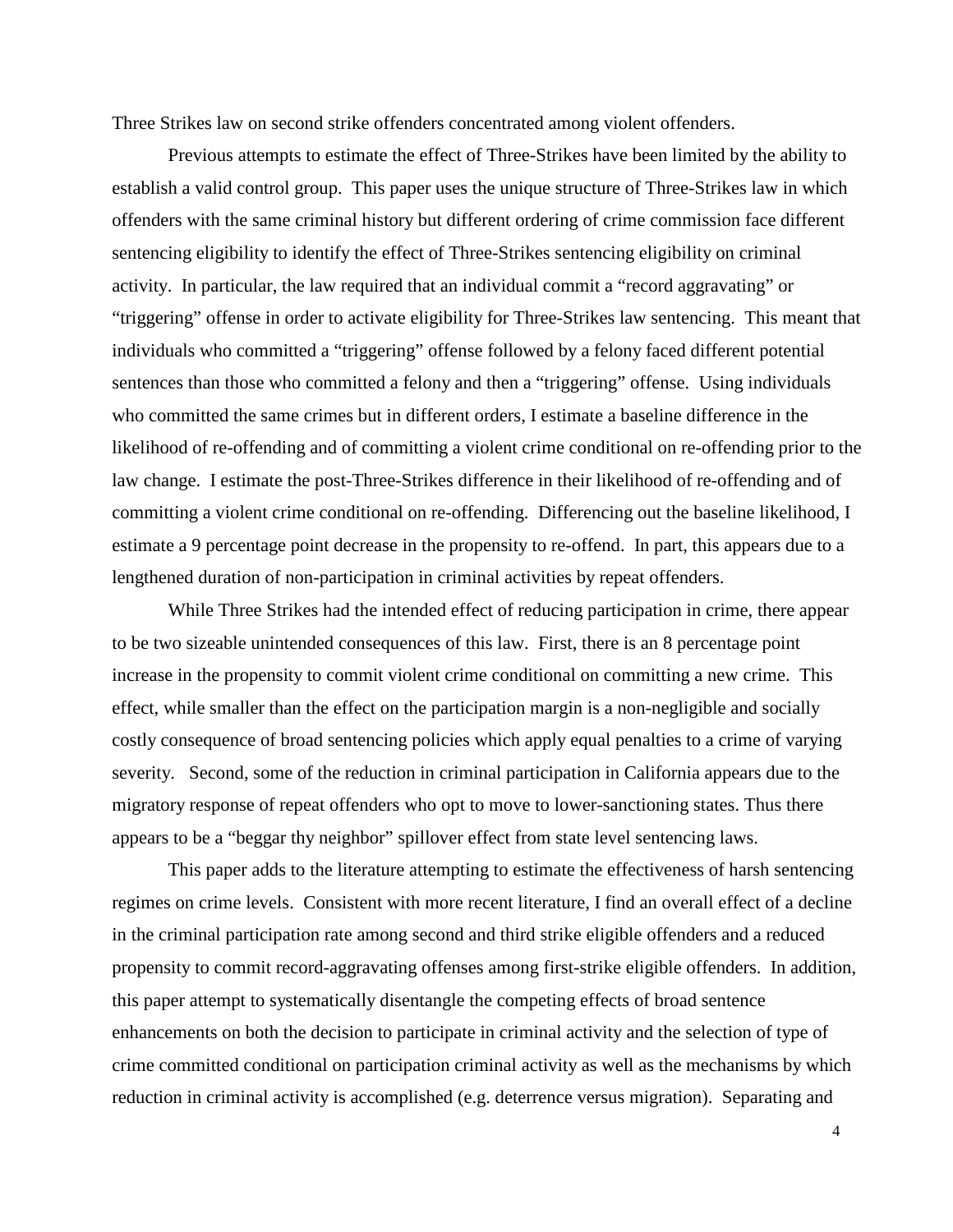Three Strikes law on second strike offenders concentrated among violent offenders.

 Previous attempts to estimate the effect of Three-Strikes have been limited by the ability to establish a valid control group. This paper uses the unique structure of Three-Strikes law in which offenders with the same criminal history but different ordering of crime commission face different sentencing eligibility to identify the effect of Three-Strikes sentencing eligibility on criminal activity. In particular, the law required that an individual commit a "record aggravating" or "triggering" offense in order to activate eligibility for Three-Strikes law sentencing. This meant that individuals who committed a "triggering" offense followed by a felony faced different potential sentences than those who committed a felony and then a "triggering" offense. Using individuals who committed the same crimes but in different orders, I estimate a baseline difference in the likelihood of re-offending and of committing a violent crime conditional on re-offending prior to the law change. I estimate the post-Three-Strikes difference in their likelihood of re-offending and of committing a violent crime conditional on re-offending. Differencing out the baseline likelihood, I estimate a 9 percentage point decrease in the propensity to re-offend. In part, this appears due to a lengthened duration of non-participation in criminal activities by repeat offenders.

 While Three Strikes had the intended effect of reducing participation in crime, there appear to be two sizeable unintended consequences of this law. First, there is an 8 percentage point increase in the propensity to commit violent crime conditional on committing a new crime. This effect, while smaller than the effect on the participation margin is a non-negligible and socially costly consequence of broad sentencing policies which apply equal penalties to a crime of varying severity. Second, some of the reduction in criminal participation in California appears due to the migratory response of repeat offenders who opt to move to lower-sanctioning states. Thus there appears to be a "beggar thy neighbor" spillover effect from state level sentencing laws.

 This paper adds to the literature attempting to estimate the effectiveness of harsh sentencing regimes on crime levels. Consistent with more recent literature, I find an overall effect of a decline in the criminal participation rate among second and third strike eligible offenders and a reduced propensity to commit record-aggravating offenses among first-strike eligible offenders. In addition, this paper attempt to systematically disentangle the competing effects of broad sentence enhancements on both the decision to participate in criminal activity and the selection of type of crime committed conditional on participation criminal activity as well as the mechanisms by which reduction in criminal activity is accomplished (e.g. deterrence versus migration). Separating and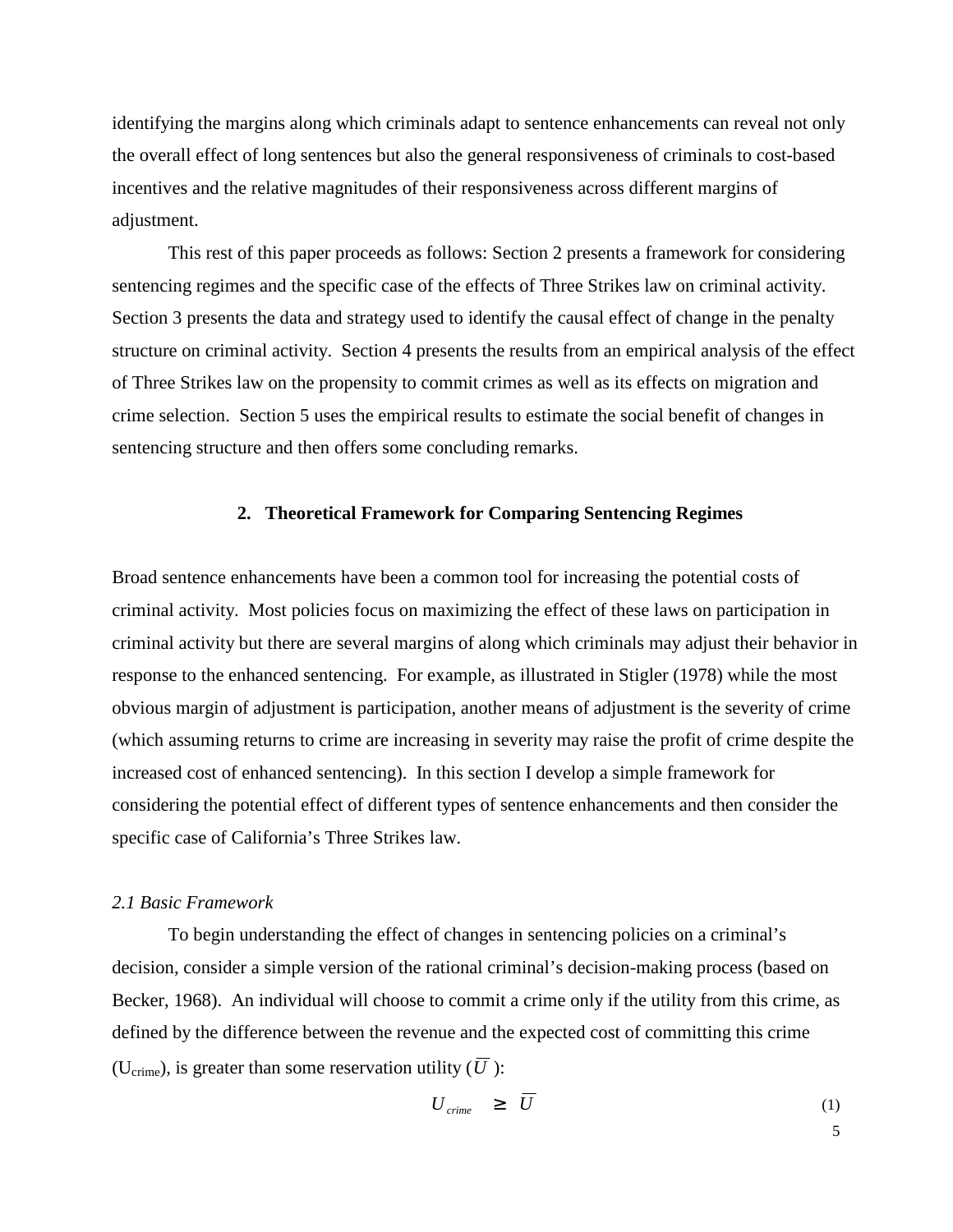identifying the margins along which criminals adapt to sentence enhancements can reveal not only the overall effect of long sentences but also the general responsiveness of criminals to cost-based incentives and the relative magnitudes of their responsiveness across different margins of adjustment.

 This rest of this paper proceeds as follows: Section 2 presents a framework for considering sentencing regimes and the specific case of the effects of Three Strikes law on criminal activity. Section 3 presents the data and strategy used to identify the causal effect of change in the penalty structure on criminal activity. Section 4 presents the results from an empirical analysis of the effect of Three Strikes law on the propensity to commit crimes as well as its effects on migration and crime selection. Section 5 uses the empirical results to estimate the social benefit of changes in sentencing structure and then offers some concluding remarks.

### **2. Theoretical Framework for Comparing Sentencing Regimes**

Broad sentence enhancements have been a common tool for increasing the potential costs of criminal activity. Most policies focus on maximizing the effect of these laws on participation in criminal activity but there are several margins of along which criminals may adjust their behavior in response to the enhanced sentencing. For example, as illustrated in Stigler (1978) while the most obvious margin of adjustment is participation, another means of adjustment is the severity of crime (which assuming returns to crime are increasing in severity may raise the profit of crime despite the increased cost of enhanced sentencing). In this section I develop a simple framework for considering the potential effect of different types of sentence enhancements and then consider the specific case of California's Three Strikes law.

#### *2.1 Basic Framework*

To begin understanding the effect of changes in sentencing policies on a criminal's decision, consider a simple version of the rational criminal's decision-making process (based on Becker, 1968). An individual will choose to commit a crime only if the utility from this crime, as defined by the difference between the revenue and the expected cost of committing this crime (U<sub>crime</sub>), is greater than some reservation utility ( $\overline{U}$ ):

$$
U_{\text{crime}} \geq U \tag{1}
$$

 $\sim$  5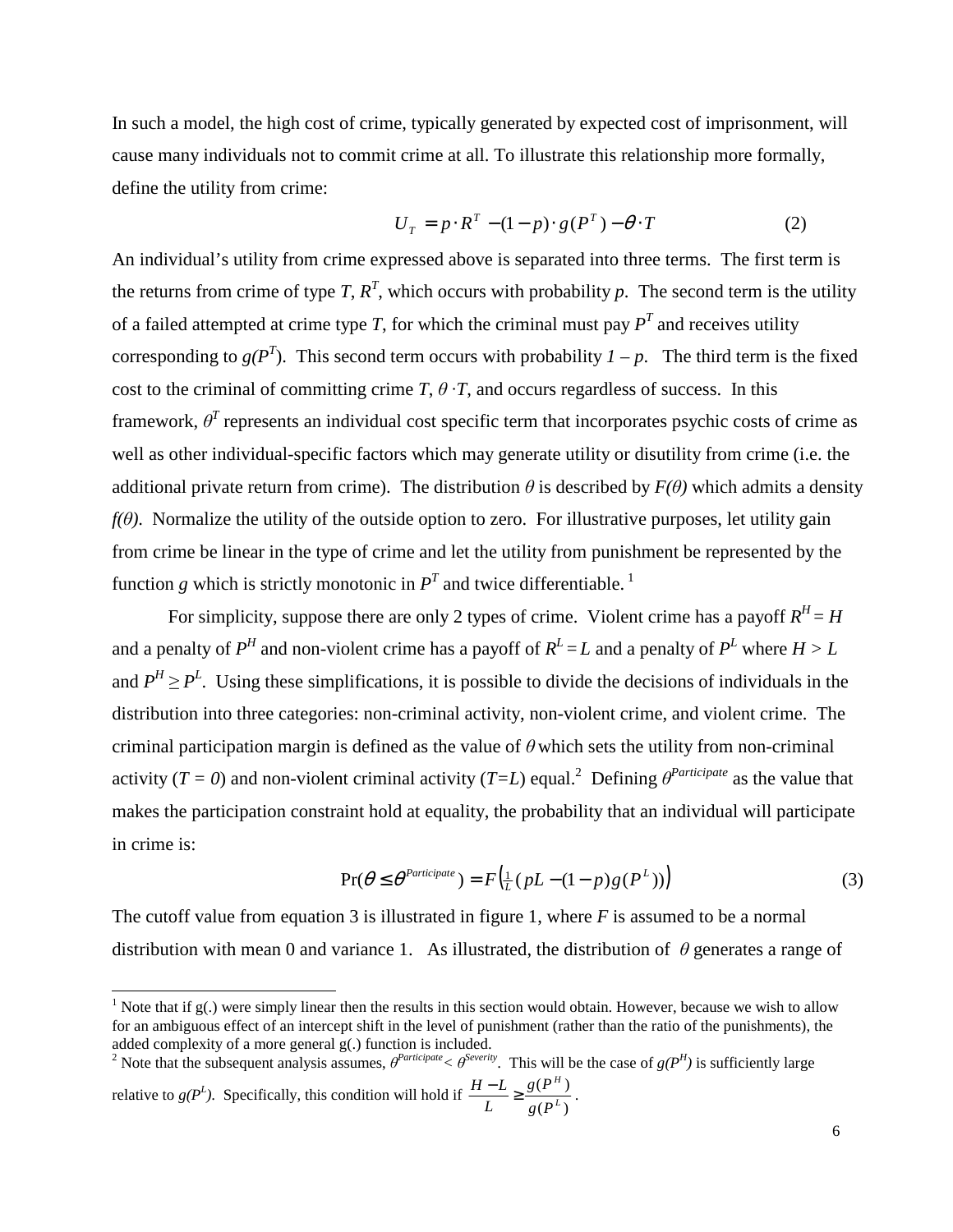In such a model, the high cost of crime, typically generated by expected cost of imprisonment, will cause many individuals not to commit crime at all. To illustrate this relationship more formally, define the utility from crime:

$$
U_T = p \cdot R^T - (1 - p) \cdot g(P^T) - \theta \cdot T \tag{2}
$$

An individual's utility from crime expressed above is separated into three terms. The first term is the returns from crime of type *T*,  $R<sup>T</sup>$ , which occurs with probability *p*. The second term is the utility of a failed attempted at crime type *T*, for which the criminal must pay  $P<sup>T</sup>$  and receives utility corresponding to  $g(P^T)$ . This second term occurs with probability  $I - p$ . The third term is the fixed cost to the criminal of committing crime *T*,  $\theta$  ·*T*, and occurs regardless of success. In this framework,  $\theta^T$  represents an individual cost specific term that incorporates psychic costs of crime as well as other individual-specific factors which may generate utility or disutility from crime (i.e. the additional private return from crime). The distribution  $\theta$  is described by  $F(\theta)$  which admits a density  $f(\theta)$ . Normalize the utility of the outside option to zero. For illustrative purposes, let utility gain from crime be linear in the type of crime and let the utility from punishment be represented by the function *g* which is strictly monotonic in  $P<sup>T</sup>$  and twice differentiable.<sup>1</sup>

For simplicity, suppose there are only 2 types of crime. Violent crime has a payoff  $R<sup>H</sup> = H$ and a penalty of  $P^H$  and non-violent crime has a payoff of  $R^L = L$  and a penalty of  $P^L$  where  $H > L$ and  $P^H \ge P^L$ . Using these simplifications, it is possible to divide the decisions of individuals in the distribution into three categories: non-criminal activity, non-violent crime, and violent crime. The criminal participation margin is defined as the value of  $\theta$  which sets the utility from non-criminal activity ( $T = 0$ ) and non-violent criminal activity ( $T = L$ ) equal.<sup>2</sup> Defining  $\theta^{Particle}$  as the value that makes the participation constraint hold at equality, the probability that an individual will participate in crime is:

$$
\Pr(\theta \le \theta^{\text{Particle}}) = F\left(\frac{1}{L}(pL - (1-p)g(P^L))\right) \tag{3}
$$

The cutoff value from equation 3 is illustrated in figure 1, where *F* is assumed to be a normal distribution with mean 0 and variance 1. As illustrated, the distribution of  $\theta$  generates a range of

-

added complexity of a more general g(.) function is included.<br><sup>2</sup> Note that the subsequent analysis assumes,  $\theta^{Paricipate} < \theta^{Severity}$ . This will be the case of  $g(P^H)$  is sufficiently large relative to  $g(P^L)$ . Specifically, this condition will hold if  $(P^L)$  $(P^H)$ *L H g P g P L*  $\frac{H-L}{I} \geq \frac{g(P^H)}{1-\frac{L}{I}}$ .

<sup>&</sup>lt;sup>1</sup> Note that if  $g(.)$  were simply linear then the results in this section would obtain. However, because we wish to allow for an ambiguous effect of an intercept shift in the level of punishment (rather than the ratio of the punishments), the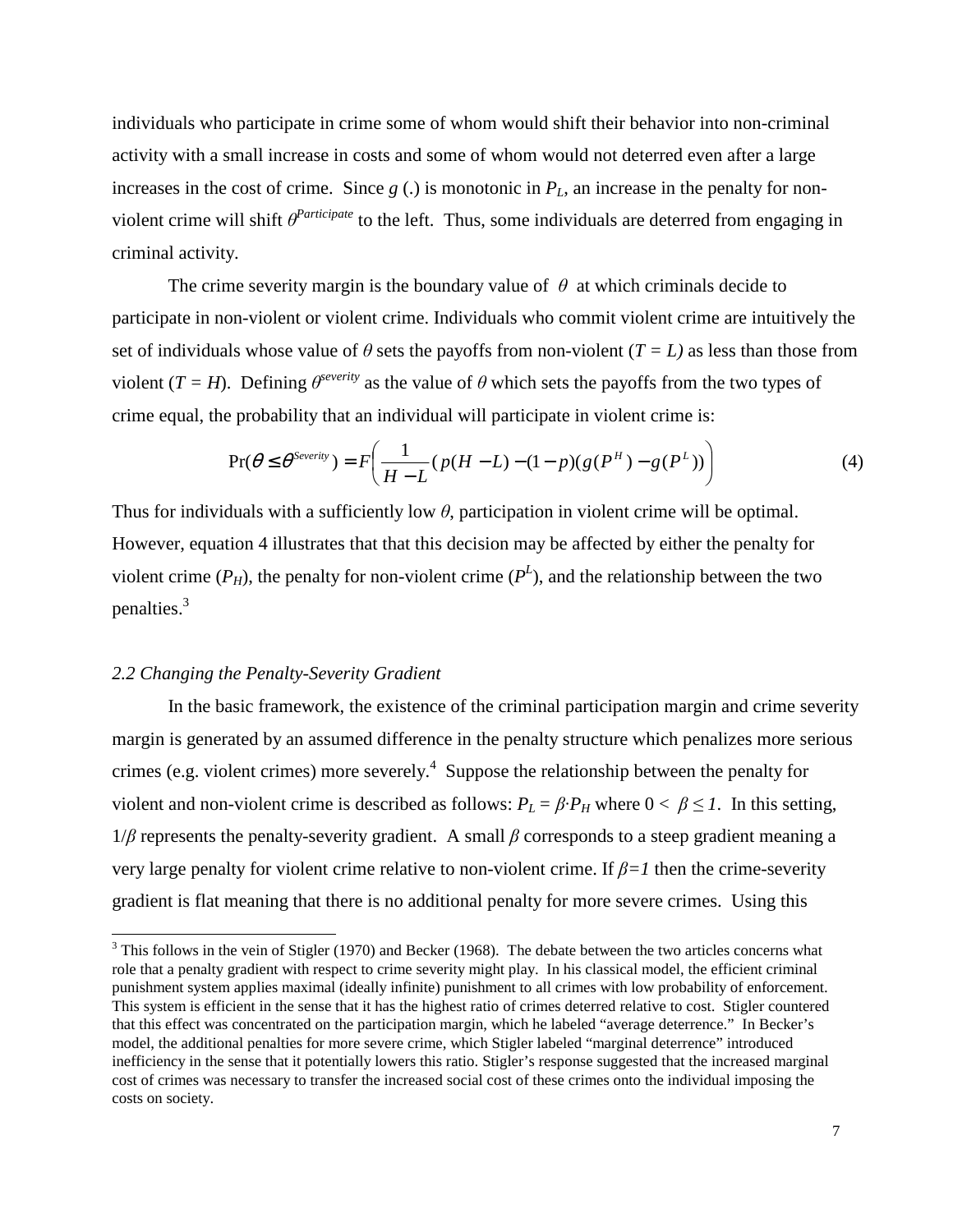individuals who participate in crime some of whom would shift their behavior into non-criminal activity with a small increase in costs and some of whom would not deterred even after a large increases in the cost of crime. Since  $g(.)$  is monotonic in  $P<sub>L</sub>$ , an increase in the penalty for nonviolent crime will shift  $\theta^{Particle}$  to the left. Thus, some individuals are deterred from engaging in criminal activity.

The crime severity margin is the boundary value of  $\theta$  at which criminals decide to participate in non-violent or violent crime. Individuals who commit violent crime are intuitively the set of individuals whose value of  $\theta$  sets the payoffs from non-violent ( $T = L$ ) as less than those from violent ( $T = H$ ). Defining  $\theta^{severity}$  as the value of  $\theta$  which sets the payoffs from the two types of crime equal, the probability that an individual will participate in violent crime is:

$$
\Pr(\theta \le \theta^{S\text{every}}) = F\bigg(\frac{1}{H-L}(p(H-L)-(1-p)(g(P^H)-g(P^L))\bigg) \tag{4}
$$

Thus for individuals with a sufficiently low  $\theta$ , participation in violent crime will be optimal. However, equation 4 illustrates that that this decision may be affected by either the penalty for violent crime  $(P_H)$ , the penalty for non-violent crime  $(P^L)$ , and the relationship between the two penalties. $3$ 

#### *2.2 Changing the Penalty-Severity Gradient*

1

 In the basic framework, the existence of the criminal participation margin and crime severity margin is generated by an assumed difference in the penalty structure which penalizes more serious crimes (e.g. violent crimes) more severely.<sup>4</sup> Suppose the relationship between the penalty for violent and non-violent crime is described as follows:  $P_L = \beta \cdot P_H$  where  $0 < \beta \leq 1$ . In this setting,  $1/\beta$  represents the penalty-severity gradient. A small  $\beta$  corresponds to a steep gradient meaning a very large penalty for violent crime relative to non-violent crime. If β*=1* then the crime-severity gradient is flat meaning that there is no additional penalty for more severe crimes. Using this

 $3$  This follows in the vein of Stigler (1970) and Becker (1968). The debate between the two articles concerns what role that a penalty gradient with respect to crime severity might play. In his classical model, the efficient criminal punishment system applies maximal (ideally infinite) punishment to all crimes with low probability of enforcement. This system is efficient in the sense that it has the highest ratio of crimes deterred relative to cost. Stigler countered that this effect was concentrated on the participation margin, which he labeled "average deterrence." In Becker's model, the additional penalties for more severe crime, which Stigler labeled "marginal deterrence" introduced inefficiency in the sense that it potentially lowers this ratio. Stigler's response suggested that the increased marginal cost of crimes was necessary to transfer the increased social cost of these crimes onto the individual imposing the costs on society.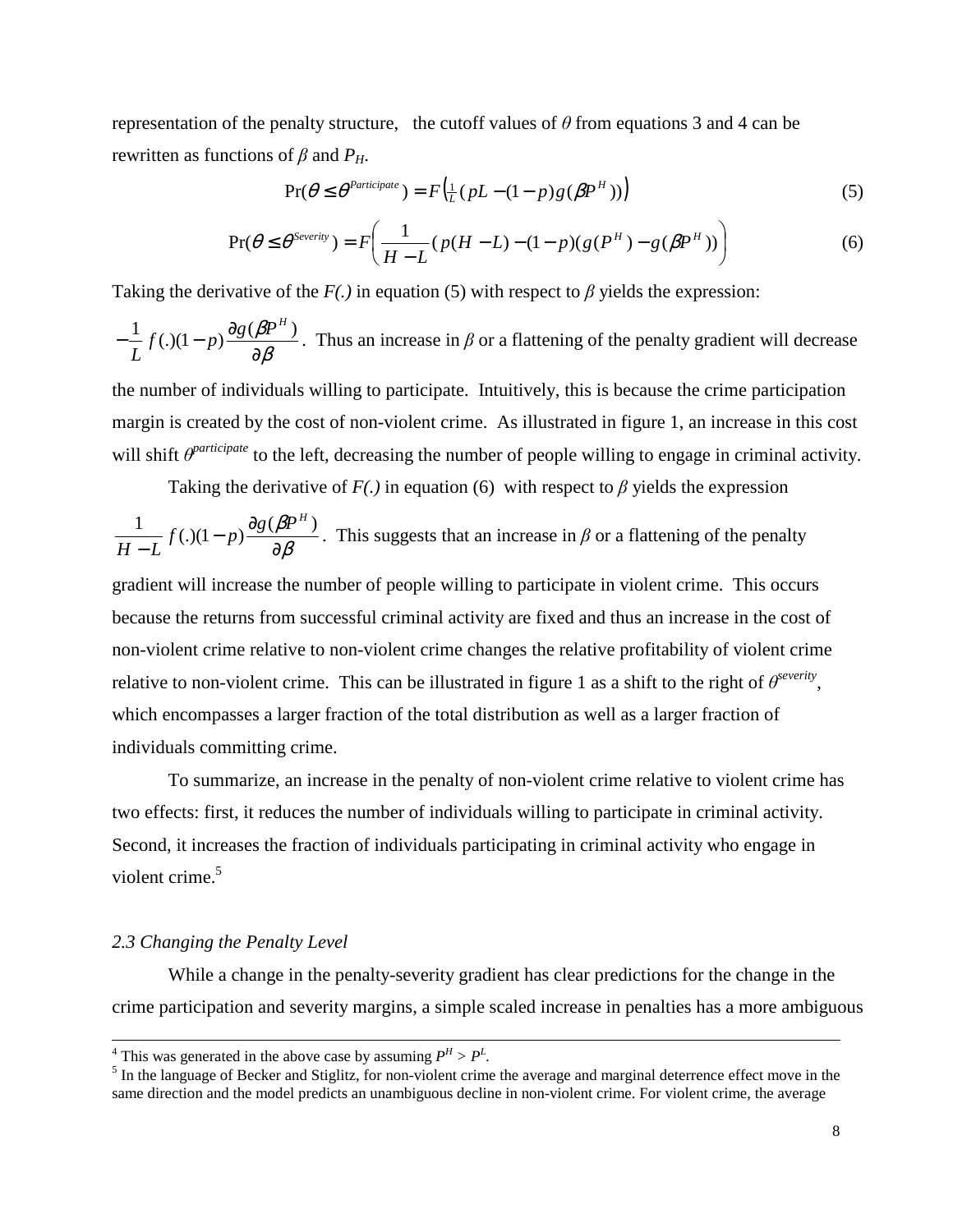representation of the penalty structure, the cutoff values of  $\theta$  from equations 3 and 4 can be rewritten as functions of β and *PH*.

$$
\Pr(\theta \le \theta^{\text{Participate}}) = F\left(\frac{1}{L}(pL - (1-p)g(\beta P^H))\right)
$$
\n(5)

$$
\Pr(\theta \le \theta^{S \text{every}}) = F\bigg(\frac{1}{H - L}(p(H - L) - (1 - p)(g(P^H) - g(\beta P^H))\bigg) \tag{6}
$$

Taking the derivative of the  $F(.)$  in equation (5) with respect to  $\beta$  yields the expression:

$$
-\frac{1}{L}f(.) (1-p)\frac{\partial g(\beta P^H)}{\partial \beta}
$$
. Thus an increase in  $\beta$  or a flattening of the penalty gradient will decrease

the number of individuals willing to participate. Intuitively, this is because the crime participation margin is created by the cost of non-violent crime. As illustrated in figure 1, an increase in this cost will shift  $\theta^{particle}$  to the left, decreasing the number of people willing to engage in criminal activity.

Taking the derivative of  $F(.)$  in equation (6) with respect to  $\beta$  yields the expression

$$
\frac{1}{H-L} f(.) (1-p) \frac{\partial g(\beta P^H)}{\partial \beta}.
$$
 This suggests that an increase in  $\beta$  or a flattening of the penalty

gradient will increase the number of people willing to participate in violent crime. This occurs because the returns from successful criminal activity are fixed and thus an increase in the cost of non-violent crime relative to non-violent crime changes the relative profitability of violent crime relative to non-violent crime. This can be illustrated in figure 1 as a shift to the right of  $\theta^{severity}$ , which encompasses a larger fraction of the total distribution as well as a larger fraction of individuals committing crime.

 To summarize, an increase in the penalty of non-violent crime relative to violent crime has two effects: first, it reduces the number of individuals willing to participate in criminal activity. Second, it increases the fraction of individuals participating in criminal activity who engage in violent crime.<sup>5</sup>

#### *2.3 Changing the Penalty Level*

 While a change in the penalty-severity gradient has clear predictions for the change in the crime participation and severity margins, a simple scaled increase in penalties has a more ambiguous

<sup>&</sup>lt;sup>4</sup> This was generated in the above case by assuming  $P^H > P^L$ .

 $<sup>5</sup>$  In the language of Becker and Stiglitz, for non-violent crime the average and marginal deterrence effect move in the</sup> same direction and the model predicts an unambiguous decline in non-violent crime. For violent crime, the average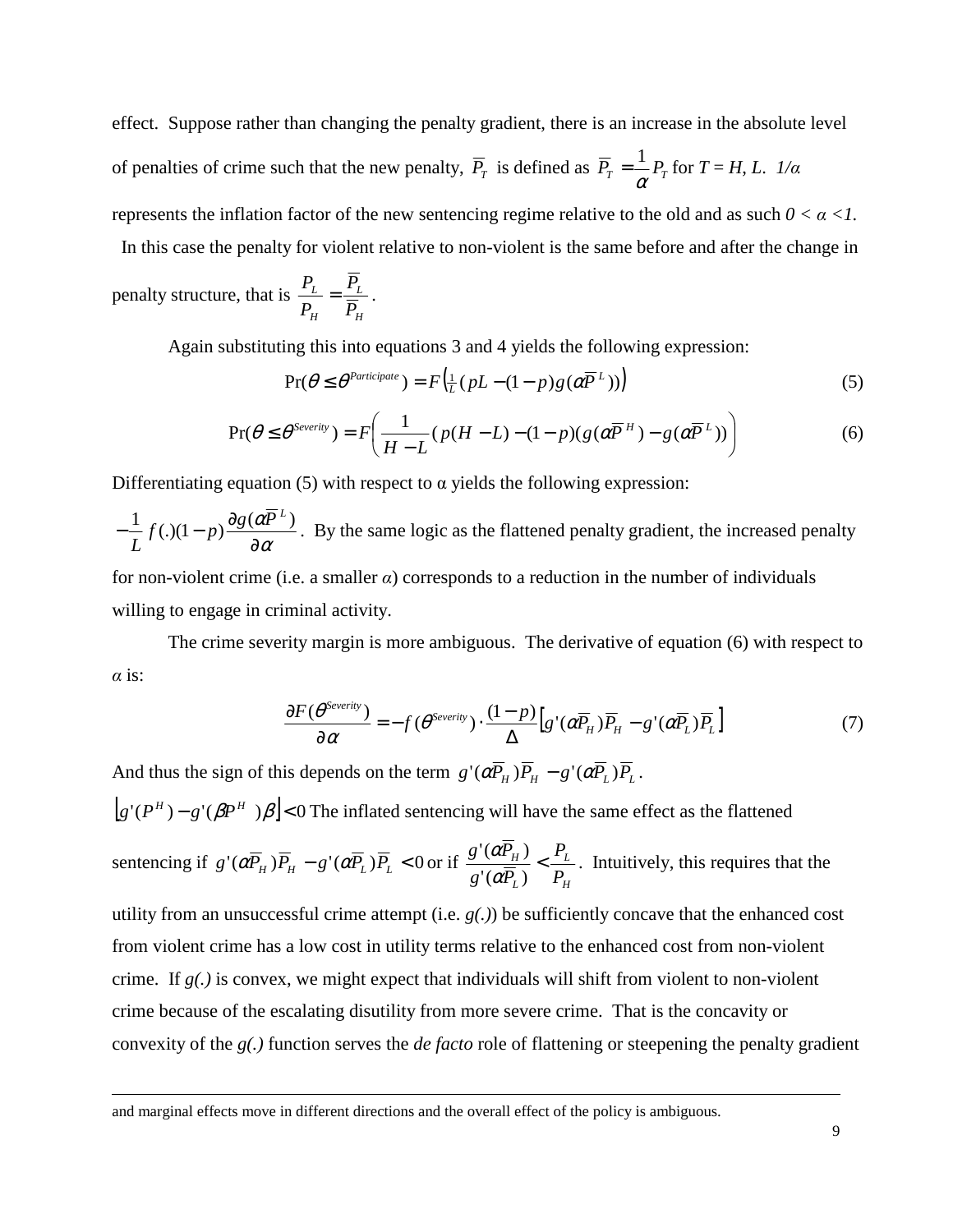effect. Suppose rather than changing the penalty gradient, there is an increase in the absolute level of penalties of crime such that the new penalty,  $P_T$  is defined as  $P_T = \frac{1}{\alpha} P_T$  $=\frac{1}{r}P_T$  for  $T = H, L$ . *1/α* represents the inflation factor of the new sentencing regime relative to the old and as such  $0 < \alpha < 1$ .

In this case the penalty for violent relative to non-violent is the same before and after the change in

penalty structure, that is 
$$
\frac{P_L}{P_H} = \frac{\overline{P_L}}{\overline{P_H}}
$$
.

1

Again substituting this into equations 3 and 4 yields the following expression:

$$
\Pr(\theta \le \theta^{\text{Participate}}) = F\left(\frac{1}{L}(pL - (1-p)g(\alpha \overline{P}^L))\right)
$$
\n<sup>(5)</sup>

$$
\Pr(\theta \le \theta^{S \text{every}}) = F\left(\frac{1}{H-L}(p(H-L)-(1-p)(g(\alpha \overline{P}^H) - g(\alpha \overline{P}^L))\right) \tag{6}
$$

Differentiating equation (5) with respect to  $\alpha$  yields the following expression:

α α ∂  $-\frac{1}{a}f(.)\frac{1-p}{p} \frac{\partial g(a\overline{P}^L)}{\partial a}$ *L* . By the same logic as the flattened penalty gradient, the increased penalty for non-violent crime (i.e. a smaller  $\alpha$ ) corresponds to a reduction in the number of individuals willing to engage in criminal activity.

 The crime severity margin is more ambiguous. The derivative of equation (6) with respect to  $\alpha$  is:

$$
\frac{\partial F(\theta^{Severity})}{\partial \alpha} = -f(\theta^{Severity}) \cdot \frac{(1-p)}{\Delta} \Big[ g'(\alpha \overline{P}_H) \overline{P}_H - g'(\alpha \overline{P}_L) \overline{P}_L \Big]
$$
(7)

And thus the sign of this depends on the term  $g'(\alpha P_H)P_H - g'(\alpha P_L)P_L$ .

 $|g'(P^H) - g'(\beta P^H) \beta|$  < 0 The inflated sentencing will have the same effect as the flattened

sentencing if 
$$
g'(\alpha \overline{P}_H) \overline{P}_H - g'(\alpha \overline{P}_L) \overline{P}_L < 0
$$
 or if  $\frac{g'(\alpha \overline{P}_H)}{g'(\alpha \overline{P}_L)} < \frac{P_L}{P_H}$ . Intuitively, this requires that the

utility from an unsuccessful crime attempt (i.e. *g(.)*) be sufficiently concave that the enhanced cost from violent crime has a low cost in utility terms relative to the enhanced cost from non-violent crime. If *g(.)* is convex, we might expect that individuals will shift from violent to non-violent crime because of the escalating disutility from more severe crime. That is the concavity or convexity of the *g(.)* function serves the *de facto* role of flattening or steepening the penalty gradient

and marginal effects move in different directions and the overall effect of the policy is ambiguous.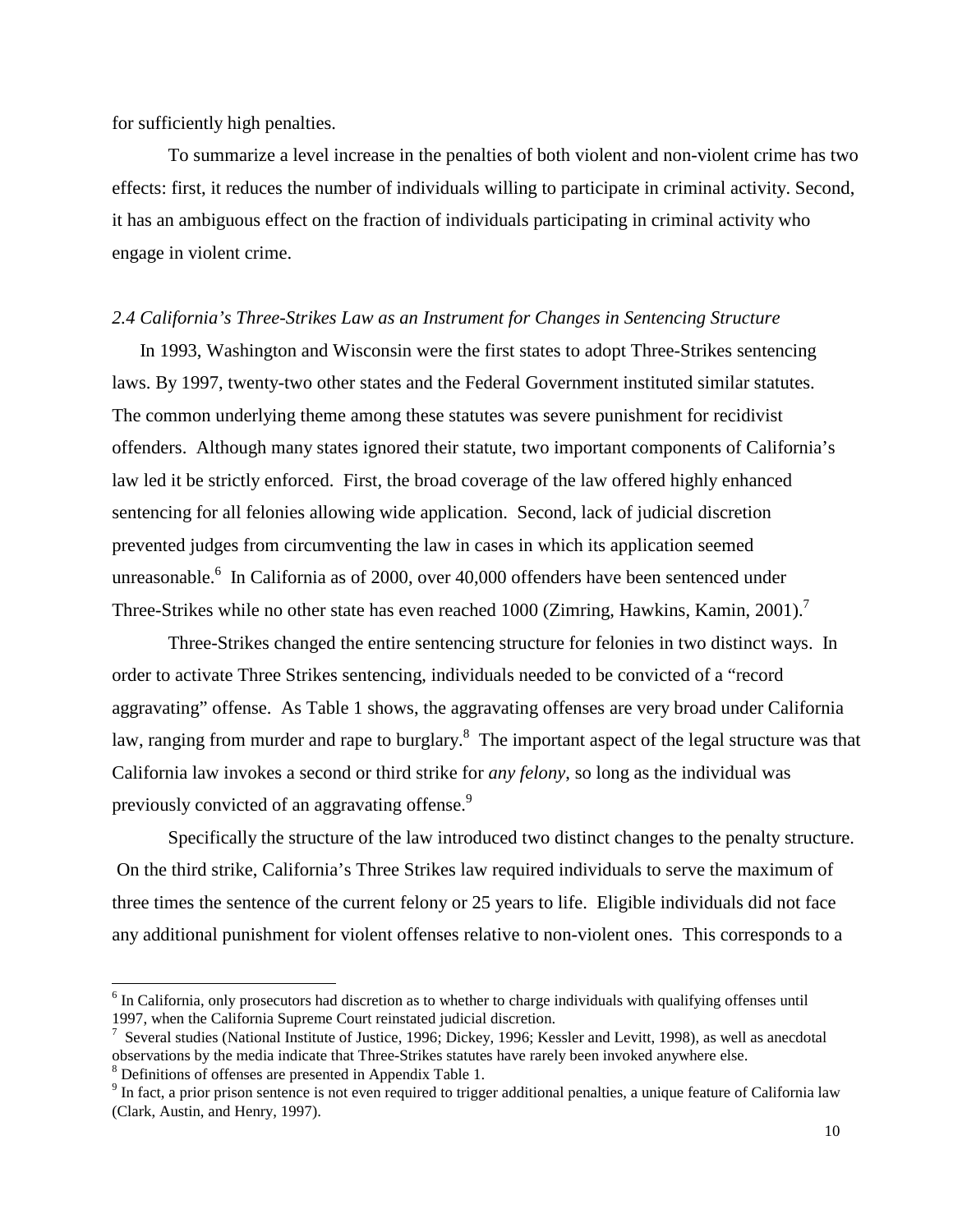for sufficiently high penalties.

 To summarize a level increase in the penalties of both violent and non-violent crime has two effects: first, it reduces the number of individuals willing to participate in criminal activity. Second, it has an ambiguous effect on the fraction of individuals participating in criminal activity who engage in violent crime.

#### *2.4 California's Three-Strikes Law as an Instrument for Changes in Sentencing Structure*

In 1993, Washington and Wisconsin were the first states to adopt Three-Strikes sentencing laws. By 1997, twenty-two other states and the Federal Government instituted similar statutes. The common underlying theme among these statutes was severe punishment for recidivist offenders. Although many states ignored their statute, two important components of California's law led it be strictly enforced. First, the broad coverage of the law offered highly enhanced sentencing for all felonies allowing wide application. Second, lack of judicial discretion prevented judges from circumventing the law in cases in which its application seemed unreasonable.<sup>6</sup> In California as of 2000, over 40,000 offenders have been sentenced under Three-Strikes while no other state has even reached 1000 (Zimring, Hawkins, Kamin, 2001).<sup>7</sup>

 Three-Strikes changed the entire sentencing structure for felonies in two distinct ways. In order to activate Three Strikes sentencing, individuals needed to be convicted of a "record aggravating" offense. As Table 1 shows, the aggravating offenses are very broad under California law, ranging from murder and rape to burglary.<sup>8</sup> The important aspect of the legal structure was that California law invokes a second or third strike for *any felony*, so long as the individual was previously convicted of an aggravating offense.<sup>9</sup>

 Specifically the structure of the law introduced two distinct changes to the penalty structure. On the third strike, California's Three Strikes law required individuals to serve the maximum of three times the sentence of the current felony or 25 years to life. Eligible individuals did not face any additional punishment for violent offenses relative to non-violent ones. This corresponds to a

<sup>&</sup>lt;sup>6</sup> In California, only prosecutors had discretion as to whether to charge individuals with qualifying offenses until 1997, when the California Supreme Court reinstated judicial discretion.

<sup>&</sup>lt;sup>7</sup> Several studies (National Institute of Justice, 1996; Dickey, 1996; Kessler and Levitt, 1998), as well as anecdotal observations by the media indicate that Three-Strikes statutes have rarely been invoked anywhere else. <sup>8</sup> Definitions of offenses are presented in Appendix Table 1.

 $9$  In fact, a prior prison sentence is not even required to trigger additional penalties, a unique feature of California law (Clark, Austin, and Henry, 1997).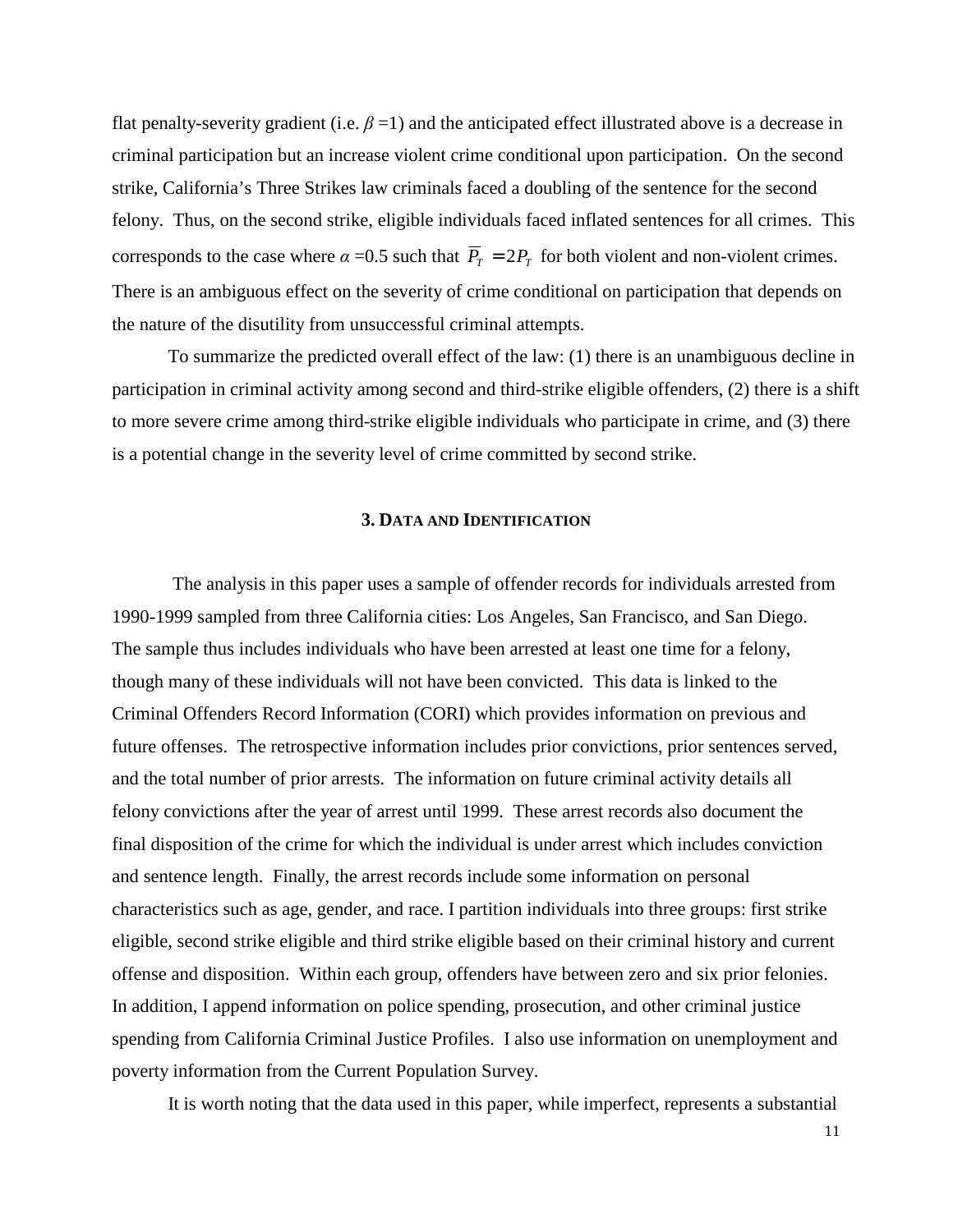flat penalty-severity gradient (i.e.  $\beta$  =1) and the anticipated effect illustrated above is a decrease in criminal participation but an increase violent crime conditional upon participation. On the second strike, California's Three Strikes law criminals faced a doubling of the sentence for the second felony. Thus, on the second strike, eligible individuals faced inflated sentences for all crimes. This corresponds to the case where  $\alpha = 0.5$  such that  $\overline{P}_T = 2P_T$  for both violent and non-violent crimes. There is an ambiguous effect on the severity of crime conditional on participation that depends on the nature of the disutility from unsuccessful criminal attempts.

 To summarize the predicted overall effect of the law: (1) there is an unambiguous decline in participation in criminal activity among second and third-strike eligible offenders, (2) there is a shift to more severe crime among third-strike eligible individuals who participate in crime, and (3) there is a potential change in the severity level of crime committed by second strike.

#### **3. DATA AND IDENTIFICATION**

 The analysis in this paper uses a sample of offender records for individuals arrested from 1990-1999 sampled from three California cities: Los Angeles, San Francisco, and San Diego. The sample thus includes individuals who have been arrested at least one time for a felony, though many of these individuals will not have been convicted. This data is linked to the Criminal Offenders Record Information (CORI) which provides information on previous and future offenses. The retrospective information includes prior convictions, prior sentences served, and the total number of prior arrests. The information on future criminal activity details all felony convictions after the year of arrest until 1999. These arrest records also document the final disposition of the crime for which the individual is under arrest which includes conviction and sentence length. Finally, the arrest records include some information on personal characteristics such as age, gender, and race. I partition individuals into three groups: first strike eligible, second strike eligible and third strike eligible based on their criminal history and current offense and disposition. Within each group, offenders have between zero and six prior felonies. In addition, I append information on police spending, prosecution, and other criminal justice spending from California Criminal Justice Profiles. I also use information on unemployment and poverty information from the Current Population Survey.

It is worth noting that the data used in this paper, while imperfect, represents a substantial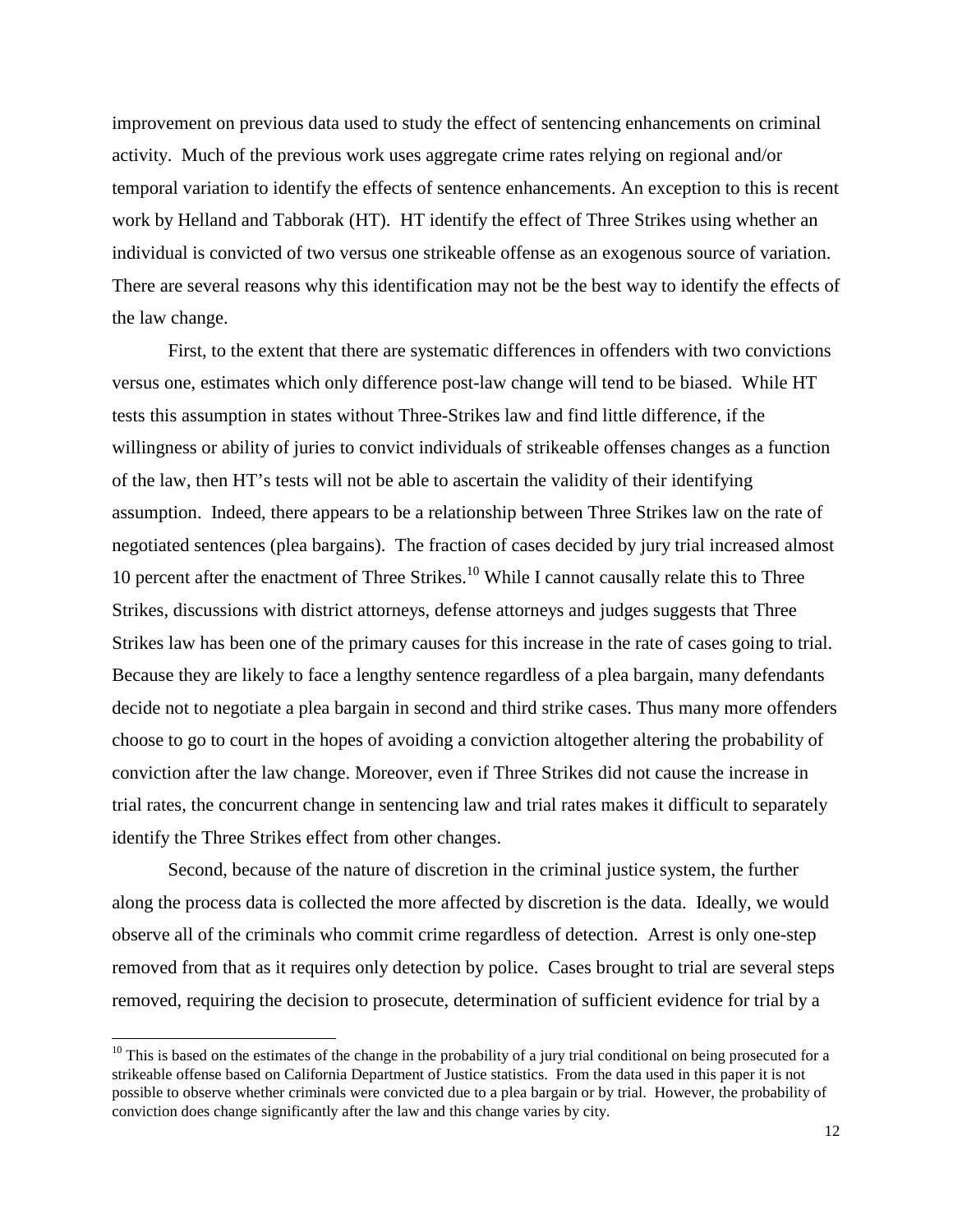improvement on previous data used to study the effect of sentencing enhancements on criminal activity. Much of the previous work uses aggregate crime rates relying on regional and/or temporal variation to identify the effects of sentence enhancements. An exception to this is recent work by Helland and Tabborak (HT). HT identify the effect of Three Strikes using whether an individual is convicted of two versus one strikeable offense as an exogenous source of variation. There are several reasons why this identification may not be the best way to identify the effects of the law change.

First, to the extent that there are systematic differences in offenders with two convictions versus one, estimates which only difference post-law change will tend to be biased. While HT tests this assumption in states without Three-Strikes law and find little difference, if the willingness or ability of juries to convict individuals of strikeable offenses changes as a function of the law, then HT's tests will not be able to ascertain the validity of their identifying assumption. Indeed, there appears to be a relationship between Three Strikes law on the rate of negotiated sentences (plea bargains). The fraction of cases decided by jury trial increased almost 10 percent after the enactment of Three Strikes.<sup>10</sup> While I cannot causally relate this to Three Strikes, discussions with district attorneys, defense attorneys and judges suggests that Three Strikes law has been one of the primary causes for this increase in the rate of cases going to trial. Because they are likely to face a lengthy sentence regardless of a plea bargain, many defendants decide not to negotiate a plea bargain in second and third strike cases. Thus many more offenders choose to go to court in the hopes of avoiding a conviction altogether altering the probability of conviction after the law change. Moreover, even if Three Strikes did not cause the increase in trial rates, the concurrent change in sentencing law and trial rates makes it difficult to separately identify the Three Strikes effect from other changes.

Second, because of the nature of discretion in the criminal justice system, the further along the process data is collected the more affected by discretion is the data. Ideally, we would observe all of the criminals who commit crime regardless of detection. Arrest is only one-step removed from that as it requires only detection by police. Cases brought to trial are several steps removed, requiring the decision to prosecute, determination of sufficient evidence for trial by a

 $10$  This is based on the estimates of the change in the probability of a jury trial conditional on being prosecuted for a strikeable offense based on California Department of Justice statistics. From the data used in this paper it is not possible to observe whether criminals were convicted due to a plea bargain or by trial. However, the probability of conviction does change significantly after the law and this change varies by city.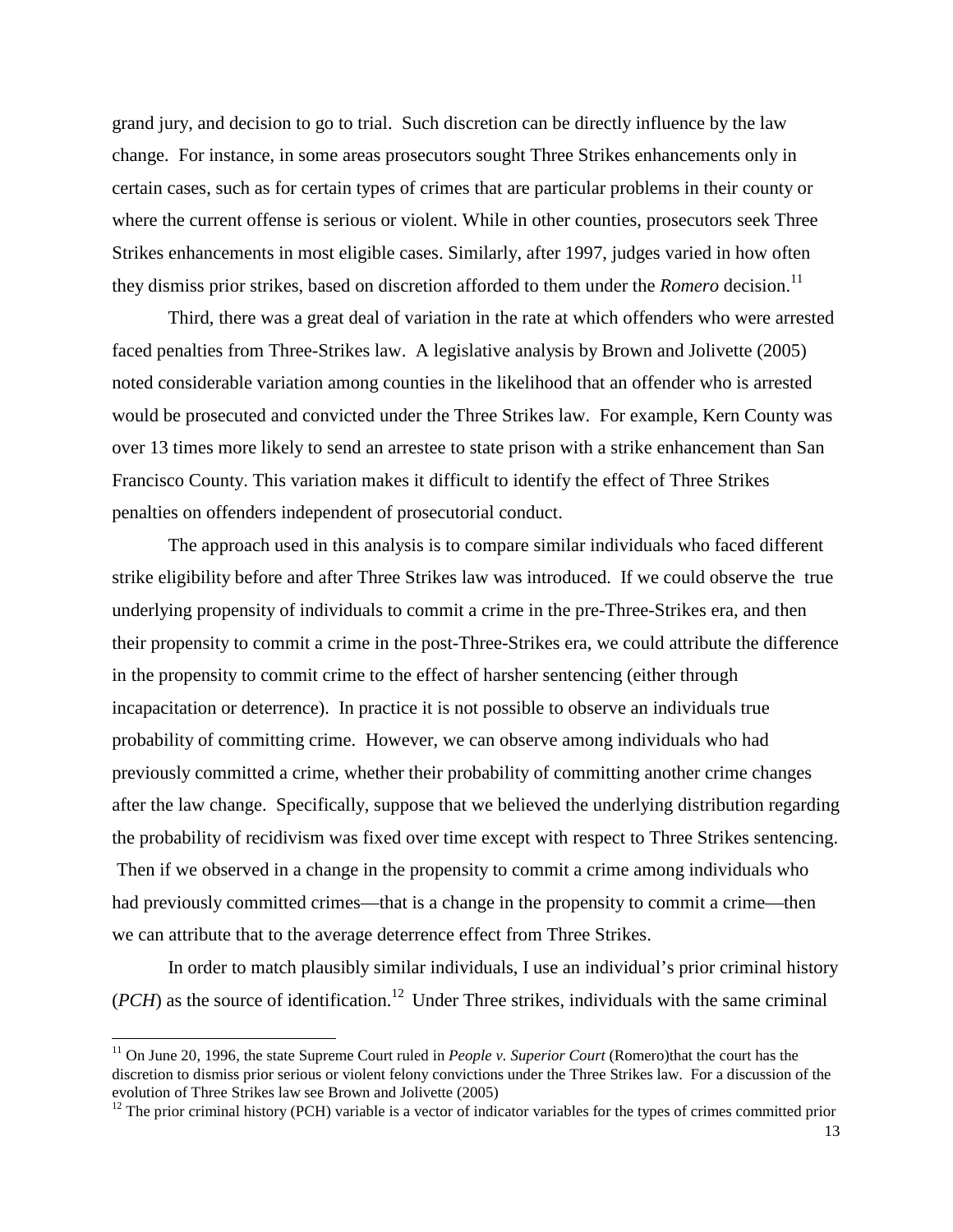grand jury, and decision to go to trial. Such discretion can be directly influence by the law change. For instance, in some areas prosecutors sought Three Strikes enhancements only in certain cases, such as for certain types of crimes that are particular problems in their county or where the current offense is serious or violent. While in other counties, prosecutors seek Three Strikes enhancements in most eligible cases. Similarly, after 1997, judges varied in how often they dismiss prior strikes, based on discretion afforded to them under the *Romero* decision.<sup>11</sup>

Third, there was a great deal of variation in the rate at which offenders who were arrested faced penalties from Three-Strikes law. A legislative analysis by Brown and Jolivette (2005) noted considerable variation among counties in the likelihood that an offender who is arrested would be prosecuted and convicted under the Three Strikes law. For example, Kern County was over 13 times more likely to send an arrestee to state prison with a strike enhancement than San Francisco County. This variation makes it difficult to identify the effect of Three Strikes penalties on offenders independent of prosecutorial conduct.

The approach used in this analysis is to compare similar individuals who faced different strike eligibility before and after Three Strikes law was introduced. If we could observe the true underlying propensity of individuals to commit a crime in the pre-Three-Strikes era, and then their propensity to commit a crime in the post-Three-Strikes era, we could attribute the difference in the propensity to commit crime to the effect of harsher sentencing (either through incapacitation or deterrence). In practice it is not possible to observe an individuals true probability of committing crime. However, we can observe among individuals who had previously committed a crime, whether their probability of committing another crime changes after the law change. Specifically, suppose that we believed the underlying distribution regarding the probability of recidivism was fixed over time except with respect to Three Strikes sentencing. Then if we observed in a change in the propensity to commit a crime among individuals who had previously committed crimes—that is a change in the propensity to commit a crime—then we can attribute that to the average deterrence effect from Three Strikes.

 In order to match plausibly similar individuals, I use an individual's prior criminal history  $(PCH)$  as the source of identification.<sup>12</sup> Under Three strikes, individuals with the same criminal

<sup>&</sup>lt;sup>11</sup> On June 20, 1996, the state Supreme Court ruled in *People v. Superior Court* (Romero)that the court has the discretion to dismiss prior serious or violent felony convictions under the Three Strikes law. For a discussion of the evolution of Three Strikes law see Brown and Jolivette (2005)

 $12$  The prior criminal history (PCH) variable is a vector of indicator variables for the types of crimes committed prior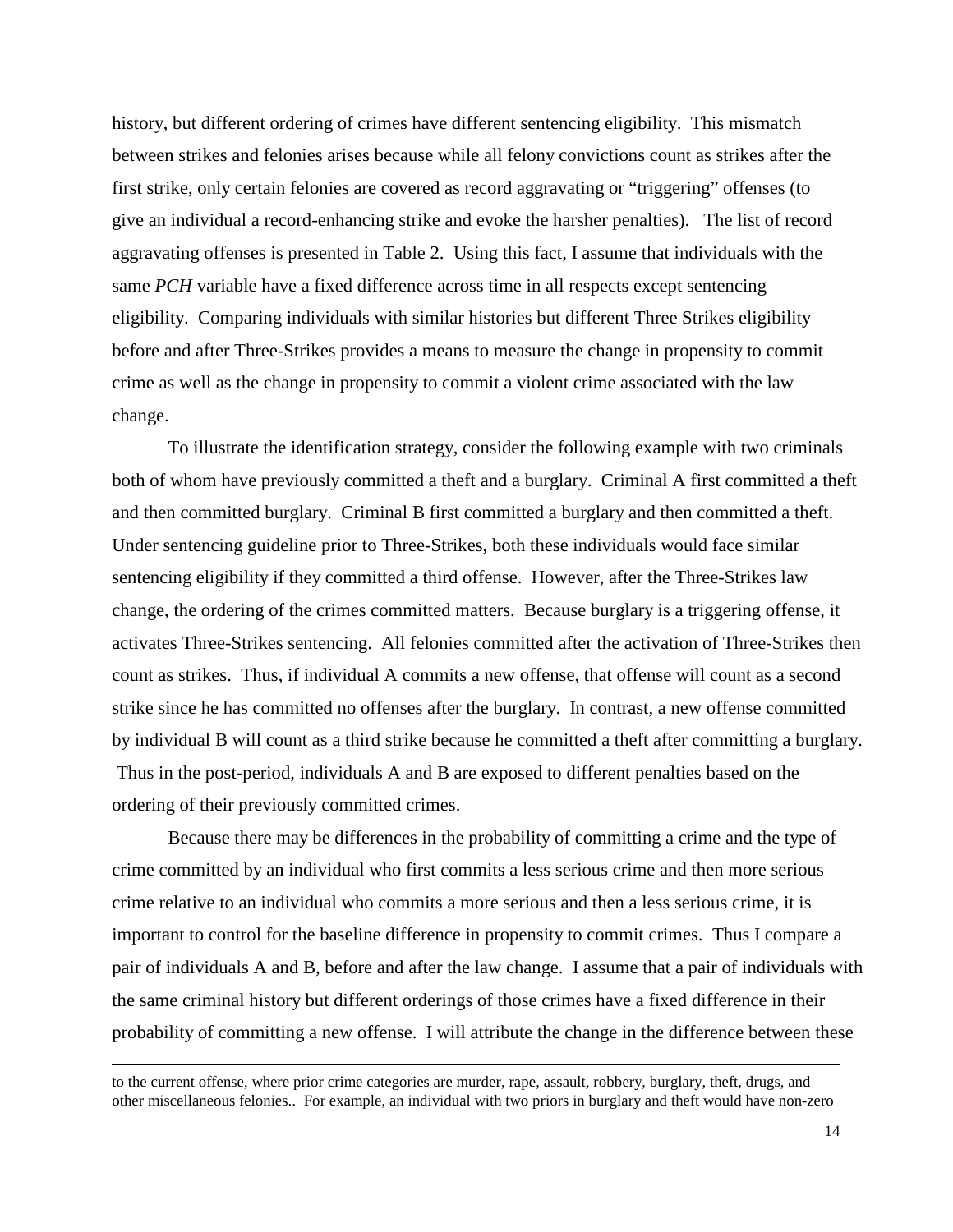history, but different ordering of crimes have different sentencing eligibility. This mismatch between strikes and felonies arises because while all felony convictions count as strikes after the first strike, only certain felonies are covered as record aggravating or "triggering" offenses (to give an individual a record-enhancing strike and evoke the harsher penalties). The list of record aggravating offenses is presented in Table 2. Using this fact, I assume that individuals with the same *PCH* variable have a fixed difference across time in all respects except sentencing eligibility. Comparing individuals with similar histories but different Three Strikes eligibility before and after Three-Strikes provides a means to measure the change in propensity to commit crime as well as the change in propensity to commit a violent crime associated with the law change.

 To illustrate the identification strategy, consider the following example with two criminals both of whom have previously committed a theft and a burglary. Criminal A first committed a theft and then committed burglary. Criminal B first committed a burglary and then committed a theft. Under sentencing guideline prior to Three-Strikes, both these individuals would face similar sentencing eligibility if they committed a third offense. However, after the Three-Strikes law change, the ordering of the crimes committed matters. Because burglary is a triggering offense, it activates Three-Strikes sentencing. All felonies committed after the activation of Three-Strikes then count as strikes. Thus, if individual A commits a new offense, that offense will count as a second strike since he has committed no offenses after the burglary. In contrast, a new offense committed by individual B will count as a third strike because he committed a theft after committing a burglary. Thus in the post-period, individuals A and B are exposed to different penalties based on the ordering of their previously committed crimes.

 Because there may be differences in the probability of committing a crime and the type of crime committed by an individual who first commits a less serious crime and then more serious crime relative to an individual who commits a more serious and then a less serious crime, it is important to control for the baseline difference in propensity to commit crimes. Thus I compare a pair of individuals A and B, before and after the law change. I assume that a pair of individuals with the same criminal history but different orderings of those crimes have a fixed difference in their probability of committing a new offense. I will attribute the change in the difference between these

to the current offense, where prior crime categories are murder, rape, assault, robbery, burglary, theft, drugs, and other miscellaneous felonies.. For example, an individual with two priors in burglary and theft would have non-zero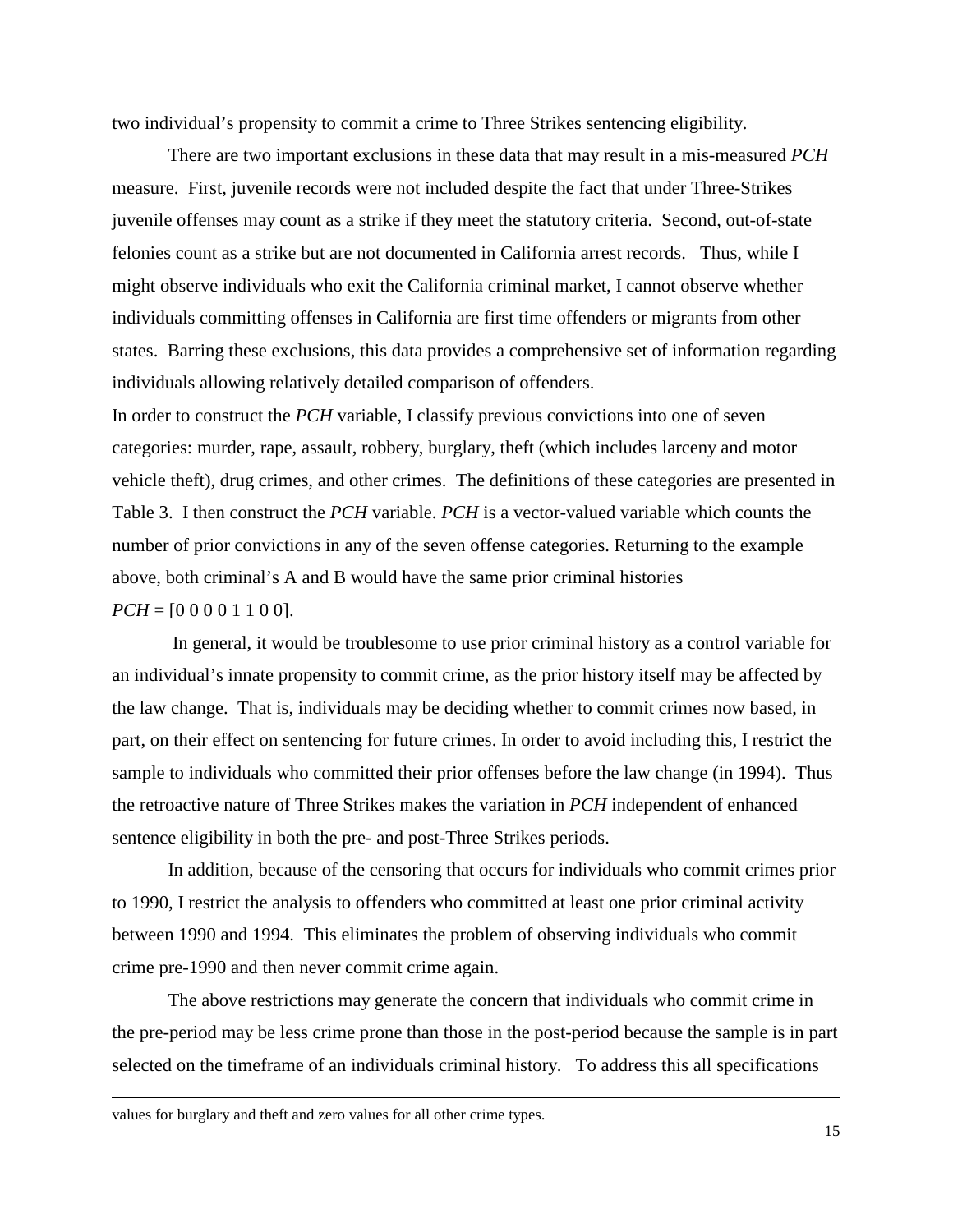two individual's propensity to commit a crime to Three Strikes sentencing eligibility.

There are two important exclusions in these data that may result in a mis-measured *PCH*  measure. First, juvenile records were not included despite the fact that under Three-Strikes juvenile offenses may count as a strike if they meet the statutory criteria. Second, out-of-state felonies count as a strike but are not documented in California arrest records. Thus, while I might observe individuals who exit the California criminal market, I cannot observe whether individuals committing offenses in California are first time offenders or migrants from other states. Barring these exclusions, this data provides a comprehensive set of information regarding individuals allowing relatively detailed comparison of offenders.

In order to construct the *PCH* variable, I classify previous convictions into one of seven categories: murder, rape, assault, robbery, burglary, theft (which includes larceny and motor vehicle theft), drug crimes, and other crimes. The definitions of these categories are presented in Table 3. I then construct the *PCH* variable. *PCH* is a vector-valued variable which counts the number of prior convictions in any of the seven offense categories. Returning to the example above, both criminal's A and B would have the same prior criminal histories  $PCH = [0 0 0 0 1 1 0 0].$ 

 In general, it would be troublesome to use prior criminal history as a control variable for an individual's innate propensity to commit crime, as the prior history itself may be affected by the law change. That is, individuals may be deciding whether to commit crimes now based, in part, on their effect on sentencing for future crimes. In order to avoid including this, I restrict the sample to individuals who committed their prior offenses before the law change (in 1994). Thus the retroactive nature of Three Strikes makes the variation in *PCH* independent of enhanced sentence eligibility in both the pre- and post-Three Strikes periods.

In addition, because of the censoring that occurs for individuals who commit crimes prior to 1990, I restrict the analysis to offenders who committed at least one prior criminal activity between 1990 and 1994. This eliminates the problem of observing individuals who commit crime pre-1990 and then never commit crime again.

 The above restrictions may generate the concern that individuals who commit crime in the pre-period may be less crime prone than those in the post-period because the sample is in part selected on the timeframe of an individuals criminal history. To address this all specifications

values for burglary and theft and zero values for all other crime types.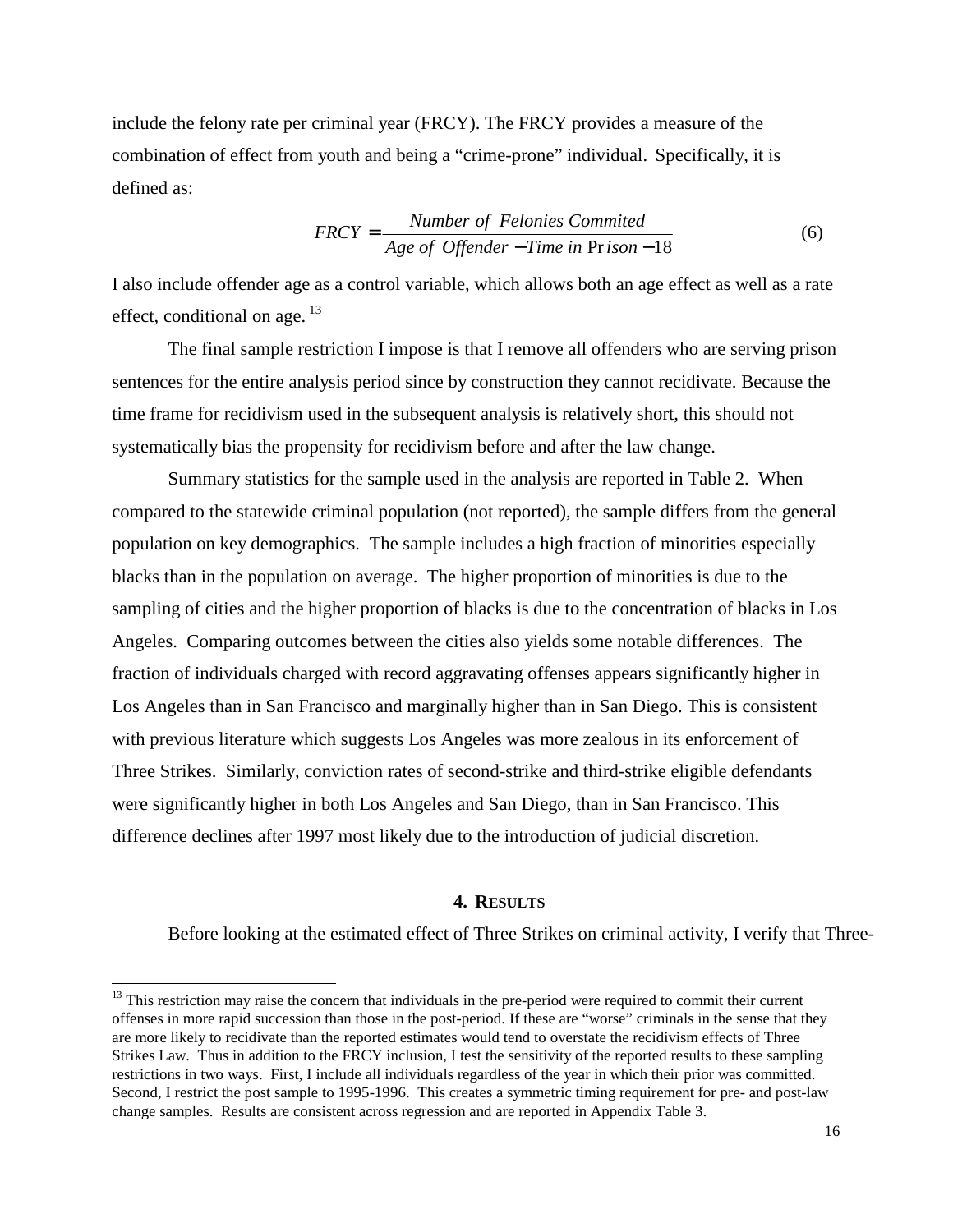include the felony rate per criminal year (FRCY). The FRCY provides a measure of the combination of effect from youth and being a "crime-prone" individual. Specifically, it is defined as:

$$
FRCY = \frac{Number\ of\ Felonies\ Committee}{Age\ of\ Offender - Time\ in\ Pr\ ison - 18}
$$
 (6)

I also include offender age as a control variable, which allows both an age effect as well as a rate effect, conditional on age.  $^{13}$ 

 The final sample restriction I impose is that I remove all offenders who are serving prison sentences for the entire analysis period since by construction they cannot recidivate. Because the time frame for recidivism used in the subsequent analysis is relatively short, this should not systematically bias the propensity for recidivism before and after the law change.

Summary statistics for the sample used in the analysis are reported in Table 2. When compared to the statewide criminal population (not reported), the sample differs from the general population on key demographics. The sample includes a high fraction of minorities especially blacks than in the population on average. The higher proportion of minorities is due to the sampling of cities and the higher proportion of blacks is due to the concentration of blacks in Los Angeles. Comparing outcomes between the cities also yields some notable differences. The fraction of individuals charged with record aggravating offenses appears significantly higher in Los Angeles than in San Francisco and marginally higher than in San Diego. This is consistent with previous literature which suggests Los Angeles was more zealous in its enforcement of Three Strikes. Similarly, conviction rates of second-strike and third-strike eligible defendants were significantly higher in both Los Angeles and San Diego, than in San Francisco. This difference declines after 1997 most likely due to the introduction of judicial discretion.

#### **4. RESULTS**

Before looking at the estimated effect of Three Strikes on criminal activity, I verify that Three-

 $13$  This restriction may raise the concern that individuals in the pre-period were required to commit their current offenses in more rapid succession than those in the post-period. If these are "worse" criminals in the sense that they are more likely to recidivate than the reported estimates would tend to overstate the recidivism effects of Three Strikes Law. Thus in addition to the FRCY inclusion, I test the sensitivity of the reported results to these sampling restrictions in two ways. First, I include all individuals regardless of the year in which their prior was committed. Second, I restrict the post sample to 1995-1996. This creates a symmetric timing requirement for pre- and post-law change samples. Results are consistent across regression and are reported in Appendix Table 3.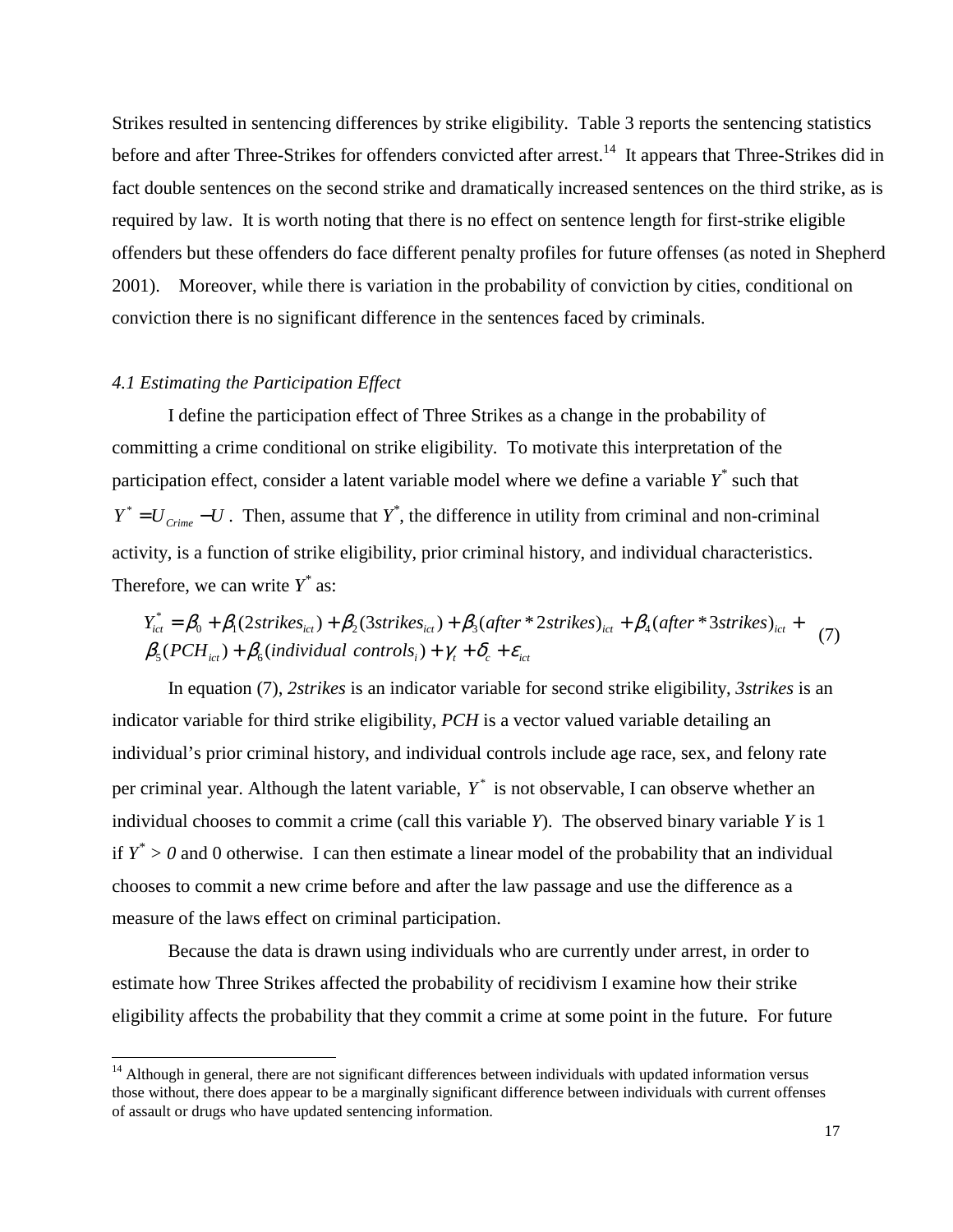Strikes resulted in sentencing differences by strike eligibility. Table 3 reports the sentencing statistics before and after Three-Strikes for offenders convicted after arrest.<sup>14</sup> It appears that Three-Strikes did in fact double sentences on the second strike and dramatically increased sentences on the third strike, as is required by law. It is worth noting that there is no effect on sentence length for first-strike eligible offenders but these offenders do face different penalty profiles for future offenses (as noted in Shepherd 2001). Moreover, while there is variation in the probability of conviction by cities, conditional on conviction there is no significant difference in the sentences faced by criminals.

#### *4.1 Estimating the Participation Effect*

-

I define the participation effect of Three Strikes as a change in the probability of committing a crime conditional on strike eligibility. To motivate this interpretation of the participation effect, consider a latent variable model where we define a variable  $Y^*$  such that  $Y^* = U_{\text{C}^{\text{time}}} - U$ . Then, assume that  $Y^*$ , the difference in utility from criminal and non-criminal activity, is a function of strike eligibility, prior criminal history, and individual characteristics. Therefore, we can write  $Y^*$  as:

$$
Y_{ict}^* = \beta_0 + \beta_1(2 \text{strikes}_{ict}) + \beta_2(3 \text{strikes}_{ict}) + \beta_3(\text{after}^*2 \text{strikes})_{ict} + \beta_4(\text{after}^*3 \text{strikes})_{ict} + \beta_5(PCH_{ict}) + \beta_6(\text{individual controls}_i) + \gamma_t + \delta_c + \varepsilon_{ict}
$$
 (7)

In equation (7), *2strikes* is an indicator variable for second strike eligibility, *3strikes* is an indicator variable for third strike eligibility, *PCH* is a vector valued variable detailing an individual's prior criminal history, and individual controls include age race, sex, and felony rate per criminal year. Although the latent variable,  $Y^*$  is not observable, I can observe whether an individual chooses to commit a crime (call this variable *Y*). The observed binary variable *Y* is 1 if  $Y^* > 0$  and 0 otherwise. I can then estimate a linear model of the probability that an individual chooses to commit a new crime before and after the law passage and use the difference as a measure of the laws effect on criminal participation.

Because the data is drawn using individuals who are currently under arrest, in order to estimate how Three Strikes affected the probability of recidivism I examine how their strike eligibility affects the probability that they commit a crime at some point in the future. For future

 $14$  Although in general, there are not significant differences between individuals with updated information versus those without, there does appear to be a marginally significant difference between individuals with current offenses of assault or drugs who have updated sentencing information.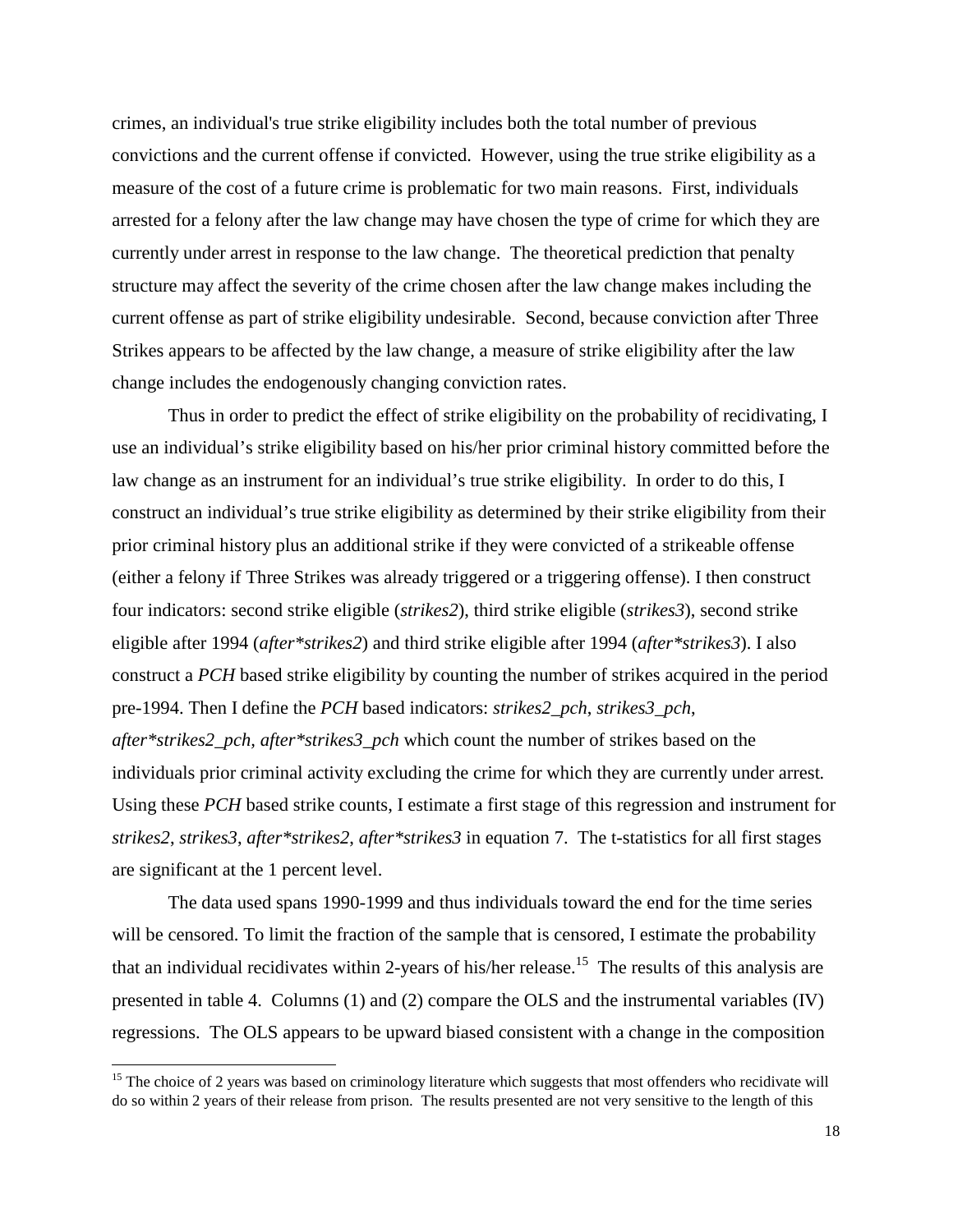crimes, an individual's true strike eligibility includes both the total number of previous convictions and the current offense if convicted. However, using the true strike eligibility as a measure of the cost of a future crime is problematic for two main reasons. First, individuals arrested for a felony after the law change may have chosen the type of crime for which they are currently under arrest in response to the law change. The theoretical prediction that penalty structure may affect the severity of the crime chosen after the law change makes including the current offense as part of strike eligibility undesirable. Second, because conviction after Three Strikes appears to be affected by the law change, a measure of strike eligibility after the law change includes the endogenously changing conviction rates.

Thus in order to predict the effect of strike eligibility on the probability of recidivating, I use an individual's strike eligibility based on his/her prior criminal history committed before the law change as an instrument for an individual's true strike eligibility. In order to do this, I construct an individual's true strike eligibility as determined by their strike eligibility from their prior criminal history plus an additional strike if they were convicted of a strikeable offense (either a felony if Three Strikes was already triggered or a triggering offense). I then construct four indicators: second strike eligible (*strikes2*), third strike eligible (*strikes3*), second strike eligible after 1994 (*after\*strikes2*) and third strike eligible after 1994 (*after\*strikes3*). I also construct a *PCH* based strike eligibility by counting the number of strikes acquired in the period pre-1994. Then I define the *PCH* based indicators: *strikes2\_pch*, *strikes3\_pch*, *after\*strikes2\_pch, after\*strikes3\_pch* which count the number of strikes based on the individuals prior criminal activity excluding the crime for which they are currently under arrest*.*  Using these *PCH* based strike counts, I estimate a first stage of this regression and instrument for *strikes2*, *strikes3*, *after\*strikes2*, *after\*strikes3* in equation 7. The t-statistics for all first stages are significant at the 1 percent level.

The data used spans 1990-1999 and thus individuals toward the end for the time series will be censored. To limit the fraction of the sample that is censored, I estimate the probability that an individual recidivates within 2-years of his/her release.<sup>15</sup> The results of this analysis are presented in table 4. Columns (1) and (2) compare the OLS and the instrumental variables (IV) regressions. The OLS appears to be upward biased consistent with a change in the composition

<sup>&</sup>lt;sup>15</sup> The choice of 2 years was based on criminology literature which suggests that most offenders who recidivate will do so within 2 years of their release from prison. The results presented are not very sensitive to the length of this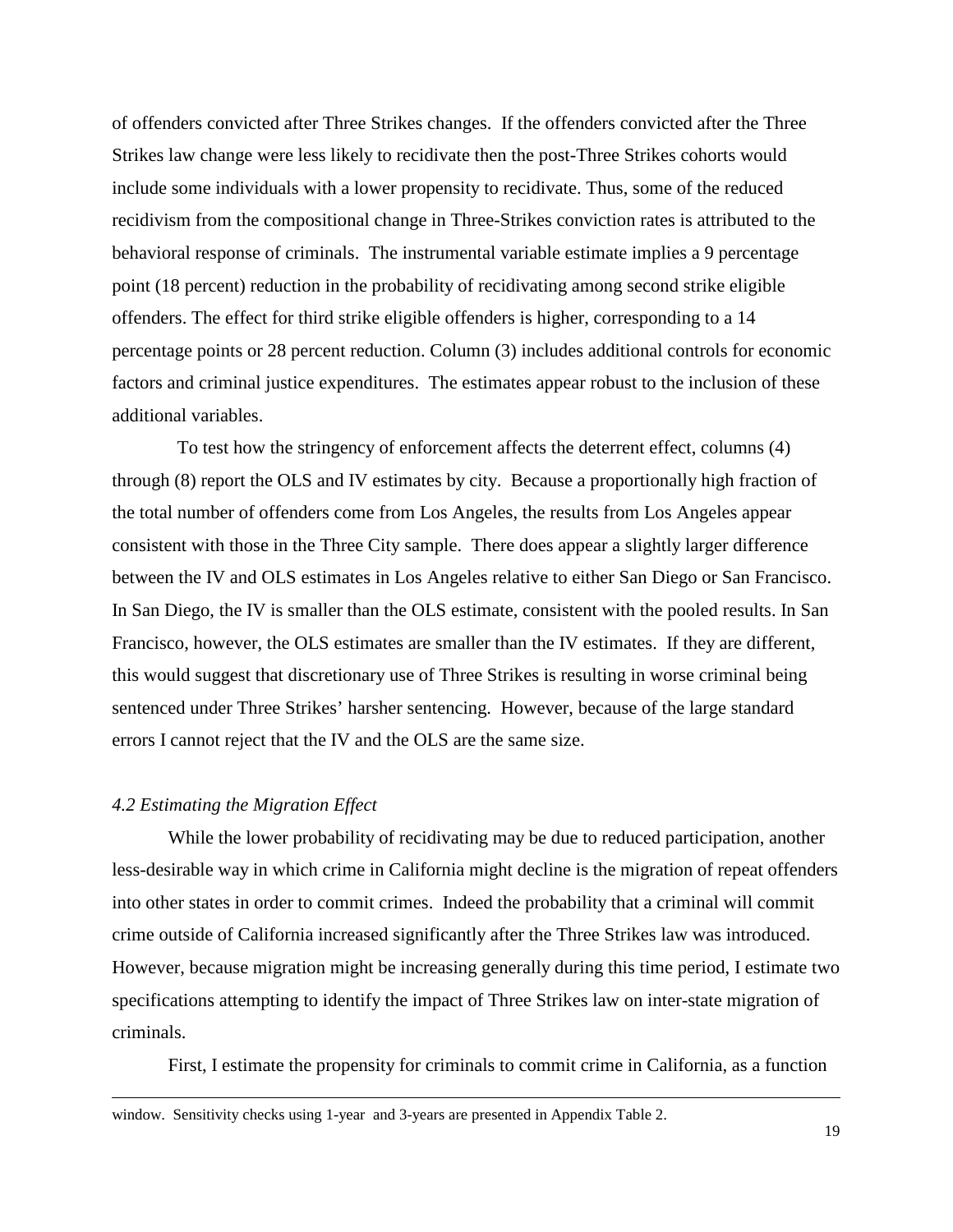of offenders convicted after Three Strikes changes. If the offenders convicted after the Three Strikes law change were less likely to recidivate then the post-Three Strikes cohorts would include some individuals with a lower propensity to recidivate. Thus, some of the reduced recidivism from the compositional change in Three-Strikes conviction rates is attributed to the behavioral response of criminals. The instrumental variable estimate implies a 9 percentage point (18 percent) reduction in the probability of recidivating among second strike eligible offenders. The effect for third strike eligible offenders is higher, corresponding to a 14 percentage points or 28 percent reduction. Column (3) includes additional controls for economic factors and criminal justice expenditures. The estimates appear robust to the inclusion of these additional variables.

 To test how the stringency of enforcement affects the deterrent effect, columns (4) through (8) report the OLS and IV estimates by city. Because a proportionally high fraction of the total number of offenders come from Los Angeles, the results from Los Angeles appear consistent with those in the Three City sample. There does appear a slightly larger difference between the IV and OLS estimates in Los Angeles relative to either San Diego or San Francisco. In San Diego, the IV is smaller than the OLS estimate, consistent with the pooled results. In San Francisco, however, the OLS estimates are smaller than the IV estimates. If they are different, this would suggest that discretionary use of Three Strikes is resulting in worse criminal being sentenced under Three Strikes' harsher sentencing. However, because of the large standard errors I cannot reject that the IV and the OLS are the same size.

#### *4.2 Estimating the Migration Effect*

1

While the lower probability of recidivating may be due to reduced participation, another less-desirable way in which crime in California might decline is the migration of repeat offenders into other states in order to commit crimes. Indeed the probability that a criminal will commit crime outside of California increased significantly after the Three Strikes law was introduced. However, because migration might be increasing generally during this time period, I estimate two specifications attempting to identify the impact of Three Strikes law on inter-state migration of criminals.

First, I estimate the propensity for criminals to commit crime in California, as a function

window. Sensitivity checks using 1-year and 3-years are presented in Appendix Table 2.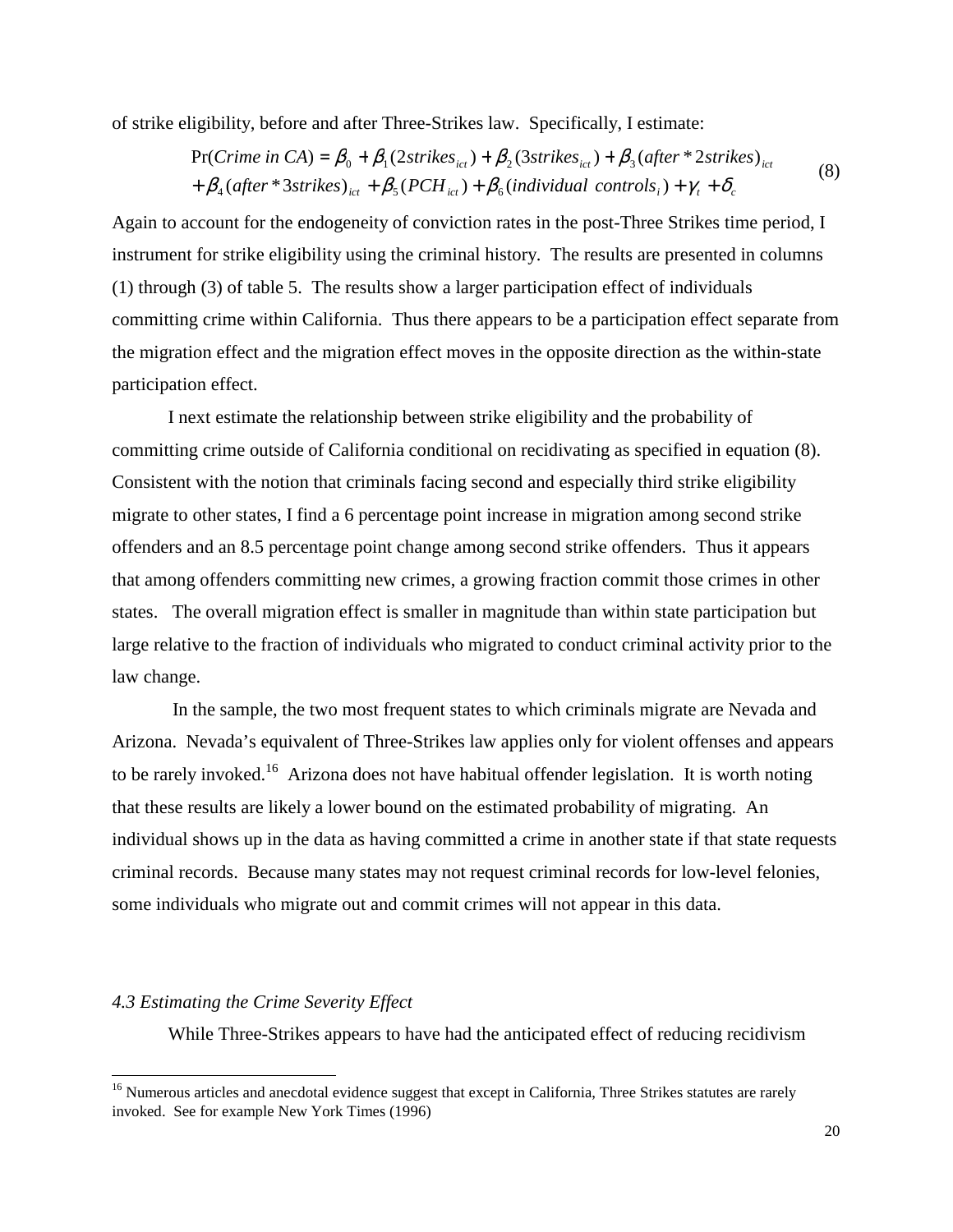of strike eligibility, before and after Three-Strikes law. Specifically, I estimate:

$$
\Pr(Crime in CA) = \beta_0 + \beta_1 (2 \, \text{strikes}_{\text{ict}}) + \beta_2 (3 \, \text{strikes}_{\text{ict}}) + \beta_3 (\, \text{after} \, * \, 2 \, \text{strikes})_{\text{ict}} + \beta_4 (\, \text{after} \, * \, 3 \, \text{strikes})_{\text{ict}} + \beta_5 (PCH_{\text{ict}}) + \beta_6 (\text{individual controls}_{\text{i}}) + \gamma_t + \delta_c
$$
\n
$$
(8)
$$

Again to account for the endogeneity of conviction rates in the post-Three Strikes time period, I instrument for strike eligibility using the criminal history. The results are presented in columns (1) through (3) of table 5. The results show a larger participation effect of individuals committing crime within California. Thus there appears to be a participation effect separate from the migration effect and the migration effect moves in the opposite direction as the within-state participation effect.

I next estimate the relationship between strike eligibility and the probability of committing crime outside of California conditional on recidivating as specified in equation (8). Consistent with the notion that criminals facing second and especially third strike eligibility migrate to other states, I find a 6 percentage point increase in migration among second strike offenders and an 8.5 percentage point change among second strike offenders. Thus it appears that among offenders committing new crimes, a growing fraction commit those crimes in other states. The overall migration effect is smaller in magnitude than within state participation but large relative to the fraction of individuals who migrated to conduct criminal activity prior to the law change.

 In the sample, the two most frequent states to which criminals migrate are Nevada and Arizona. Nevada's equivalent of Three-Strikes law applies only for violent offenses and appears to be rarely invoked.<sup>16</sup> Arizona does not have habitual offender legislation. It is worth noting that these results are likely a lower bound on the estimated probability of migrating. An individual shows up in the data as having committed a crime in another state if that state requests criminal records. Because many states may not request criminal records for low-level felonies, some individuals who migrate out and commit crimes will not appear in this data.

#### *4.3 Estimating the Crime Severity Effect*

-

While Three-Strikes appears to have had the anticipated effect of reducing recidivism

<sup>&</sup>lt;sup>16</sup> Numerous articles and anecdotal evidence suggest that except in California, Three Strikes statutes are rarely invoked. See for example New York Times (1996)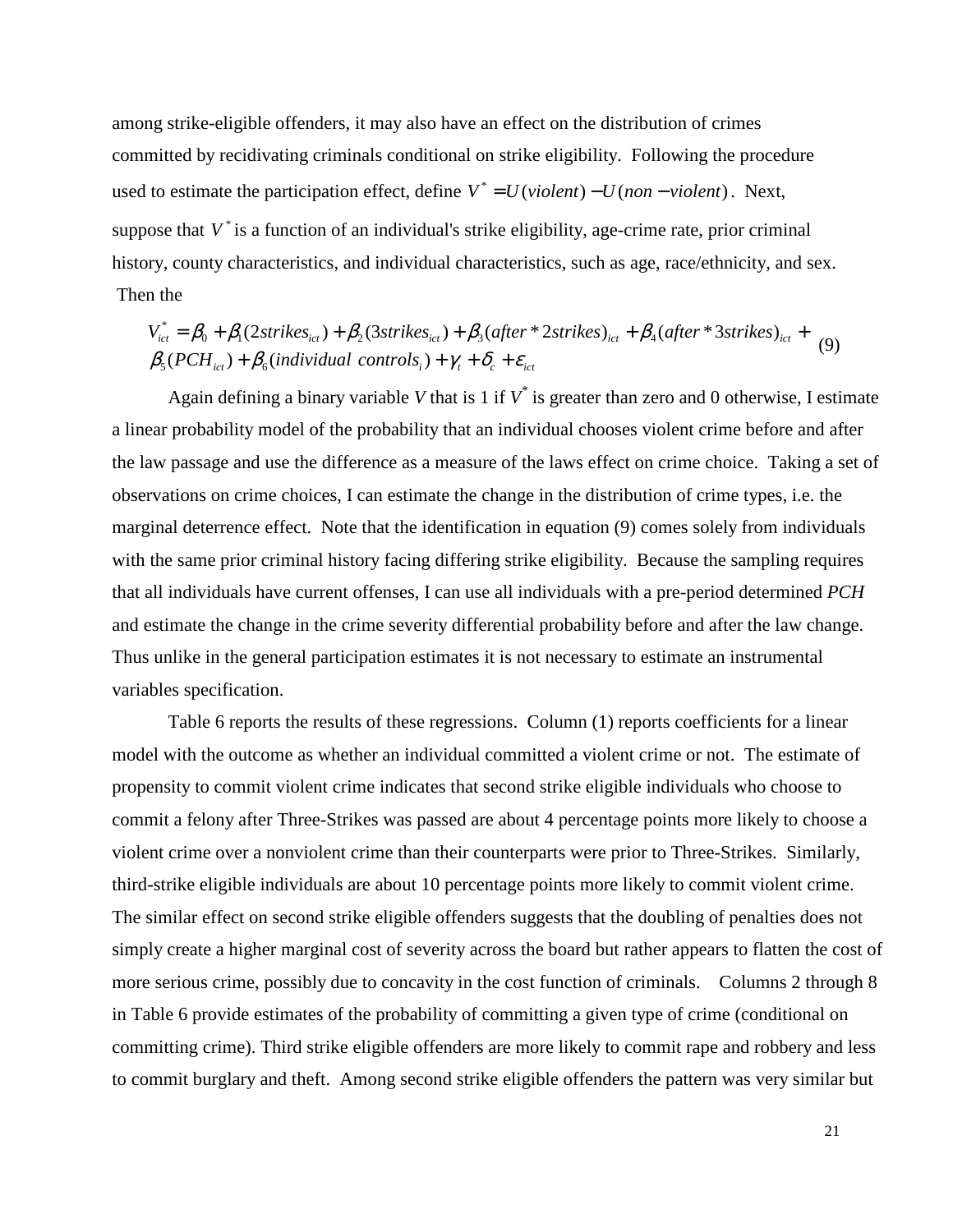among strike-eligible offenders, it may also have an effect on the distribution of crimes committed by recidivating criminals conditional on strike eligibility. Following the procedure used to estimate the participation effect, define  $V^* = U(violent) - U(non - violent)$ . Next, suppose that  $V^*$  is a function of an individual's strike eligibility, age-crime rate, prior criminal history, county characteristics, and individual characteristics, such as age, race/ethnicity, and sex. Then the

 $\beta_{5}(PCH_{ict}) + \beta_{6}(individual\ controls_{i}) + \gamma_{t} + \delta_{c} + \varepsilon_{ict}$  $V_{ict}^* = \beta_0 + \beta_1(2 \text{strikes}_{ict}) + \beta_2(3 \text{strikes}_{ict}) + \beta_3(\text{after} * 2 \text{strikes})_{ict} + \beta_4(\text{after} * 3 \text{strikes})_{ict} +$ \* (9)

Again defining a binary variable *V* that is 1 if  $V^*$  is greater than zero and 0 otherwise, I estimate a linear probability model of the probability that an individual chooses violent crime before and after the law passage and use the difference as a measure of the laws effect on crime choice. Taking a set of observations on crime choices, I can estimate the change in the distribution of crime types, i.e. the marginal deterrence effect. Note that the identification in equation (9) comes solely from individuals with the same prior criminal history facing differing strike eligibility. Because the sampling requires that all individuals have current offenses, I can use all individuals with a pre-period determined *PCH* and estimate the change in the crime severity differential probability before and after the law change. Thus unlike in the general participation estimates it is not necessary to estimate an instrumental variables specification.

 Table 6 reports the results of these regressions. Column (1) reports coefficients for a linear model with the outcome as whether an individual committed a violent crime or not. The estimate of propensity to commit violent crime indicates that second strike eligible individuals who choose to commit a felony after Three-Strikes was passed are about 4 percentage points more likely to choose a violent crime over a nonviolent crime than their counterparts were prior to Three-Strikes. Similarly, third-strike eligible individuals are about 10 percentage points more likely to commit violent crime. The similar effect on second strike eligible offenders suggests that the doubling of penalties does not simply create a higher marginal cost of severity across the board but rather appears to flatten the cost of more serious crime, possibly due to concavity in the cost function of criminals. Columns 2 through 8 in Table 6 provide estimates of the probability of committing a given type of crime (conditional on committing crime). Third strike eligible offenders are more likely to commit rape and robbery and less to commit burglary and theft. Among second strike eligible offenders the pattern was very similar but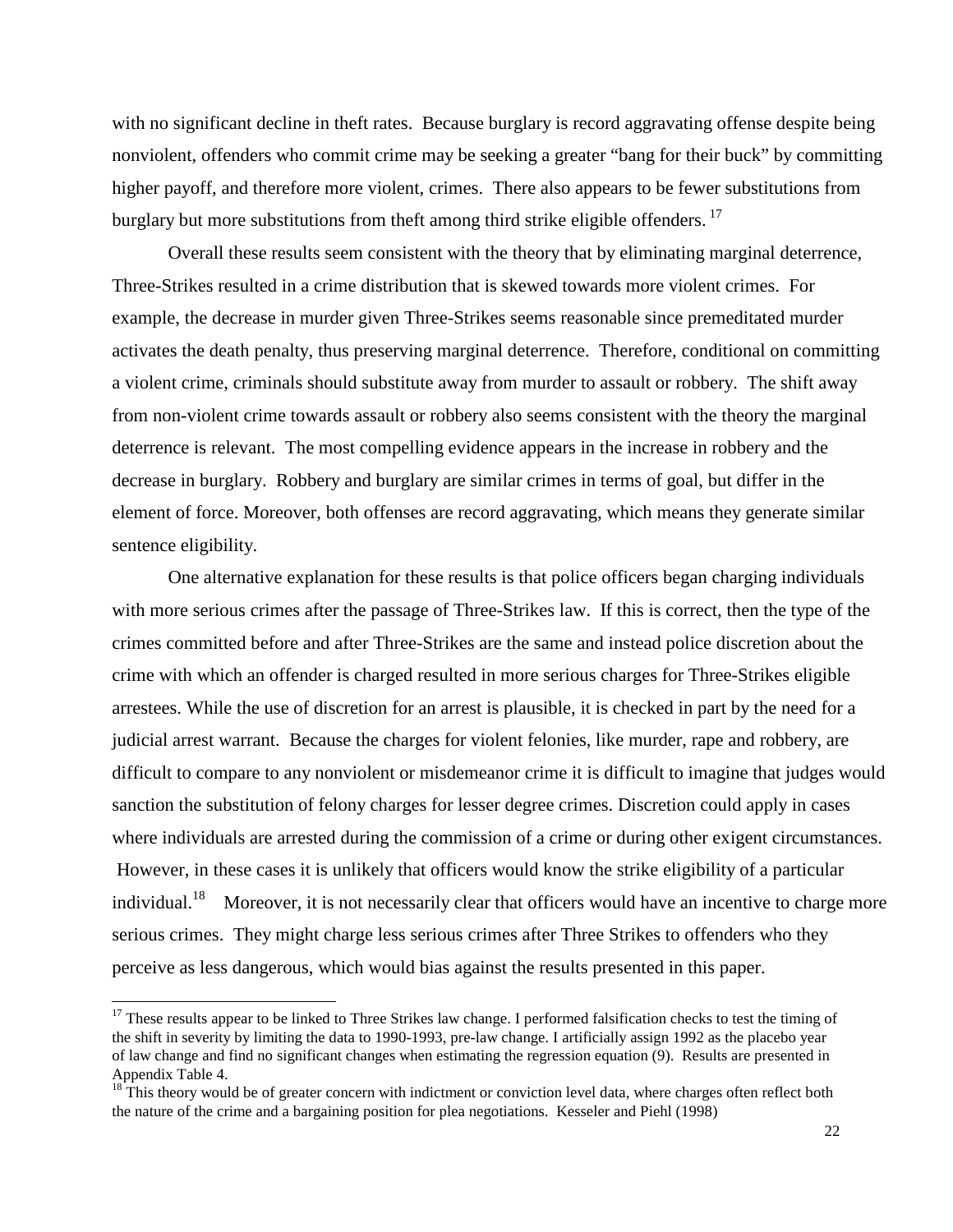with no significant decline in theft rates. Because burglary is record aggravating offense despite being nonviolent, offenders who commit crime may be seeking a greater "bang for their buck" by committing higher payoff, and therefore more violent, crimes. There also appears to be fewer substitutions from burglary but more substitutions from theft among third strike eligible offenders.<sup>17</sup>

 Overall these results seem consistent with the theory that by eliminating marginal deterrence, Three-Strikes resulted in a crime distribution that is skewed towards more violent crimes. For example, the decrease in murder given Three-Strikes seems reasonable since premeditated murder activates the death penalty, thus preserving marginal deterrence. Therefore, conditional on committing a violent crime, criminals should substitute away from murder to assault or robbery. The shift away from non-violent crime towards assault or robbery also seems consistent with the theory the marginal deterrence is relevant. The most compelling evidence appears in the increase in robbery and the decrease in burglary. Robbery and burglary are similar crimes in terms of goal, but differ in the element of force. Moreover, both offenses are record aggravating, which means they generate similar sentence eligibility.

 One alternative explanation for these results is that police officers began charging individuals with more serious crimes after the passage of Three-Strikes law. If this is correct, then the type of the crimes committed before and after Three-Strikes are the same and instead police discretion about the crime with which an offender is charged resulted in more serious charges for Three-Strikes eligible arrestees. While the use of discretion for an arrest is plausible, it is checked in part by the need for a judicial arrest warrant. Because the charges for violent felonies, like murder, rape and robbery, are difficult to compare to any nonviolent or misdemeanor crime it is difficult to imagine that judges would sanction the substitution of felony charges for lesser degree crimes. Discretion could apply in cases where individuals are arrested during the commission of a crime or during other exigent circumstances. However, in these cases it is unlikely that officers would know the strike eligibility of a particular individual.<sup>18</sup> Moreover, it is not necessarily clear that officers would have an incentive to charge more serious crimes. They might charge less serious crimes after Three Strikes to offenders who they perceive as less dangerous, which would bias against the results presented in this paper.

-

 $17$  These results appear to be linked to Three Strikes law change. I performed falsification checks to test the timing of the shift in severity by limiting the data to 1990-1993, pre-law change. I artificially assign 1992 as the placebo year of law change and find no significant changes when estimating the regression equation (9). Results are presented in Appendix Table 4.

 $18$ <sup>18</sup> This theory would be of greater concern with indictment or conviction level data, where charges often reflect both the nature of the crime and a bargaining position for plea negotiations. Kesseler and Piehl (1998)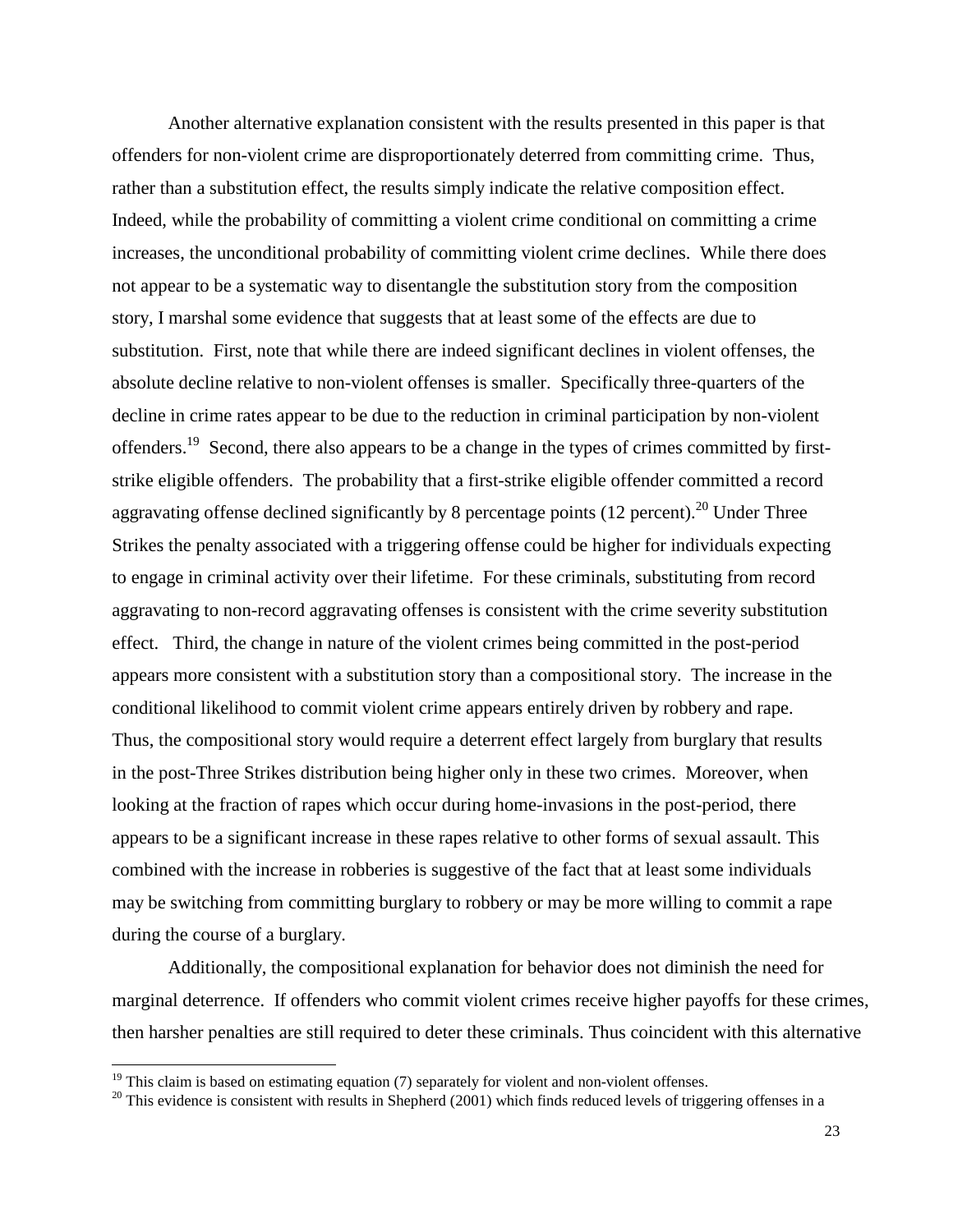Another alternative explanation consistent with the results presented in this paper is that offenders for non-violent crime are disproportionately deterred from committing crime. Thus, rather than a substitution effect, the results simply indicate the relative composition effect. Indeed, while the probability of committing a violent crime conditional on committing a crime increases, the unconditional probability of committing violent crime declines. While there does not appear to be a systematic way to disentangle the substitution story from the composition story, I marshal some evidence that suggests that at least some of the effects are due to substitution. First, note that while there are indeed significant declines in violent offenses, the absolute decline relative to non-violent offenses is smaller. Specifically three-quarters of the decline in crime rates appear to be due to the reduction in criminal participation by non-violent offenders.<sup>19</sup> Second, there also appears to be a change in the types of crimes committed by firststrike eligible offenders. The probability that a first-strike eligible offender committed a record aggravating offense declined significantly by 8 percentage points  $(12 \text{ percent})^{20}$  Under Three Strikes the penalty associated with a triggering offense could be higher for individuals expecting to engage in criminal activity over their lifetime. For these criminals, substituting from record aggravating to non-record aggravating offenses is consistent with the crime severity substitution effect. Third, the change in nature of the violent crimes being committed in the post-period appears more consistent with a substitution story than a compositional story. The increase in the conditional likelihood to commit violent crime appears entirely driven by robbery and rape. Thus, the compositional story would require a deterrent effect largely from burglary that results in the post-Three Strikes distribution being higher only in these two crimes. Moreover, when looking at the fraction of rapes which occur during home-invasions in the post-period, there appears to be a significant increase in these rapes relative to other forms of sexual assault. This combined with the increase in robberies is suggestive of the fact that at least some individuals may be switching from committing burglary to robbery or may be more willing to commit a rape during the course of a burglary.

 Additionally, the compositional explanation for behavior does not diminish the need for marginal deterrence. If offenders who commit violent crimes receive higher payoffs for these crimes, then harsher penalties are still required to deter these criminals. Thus coincident with this alternative

 $19$  This claim is based on estimating equation (7) separately for violent and non-violent offenses.

 $20$  This evidence is consistent with results in Shepherd (2001) which finds reduced levels of triggering offenses in a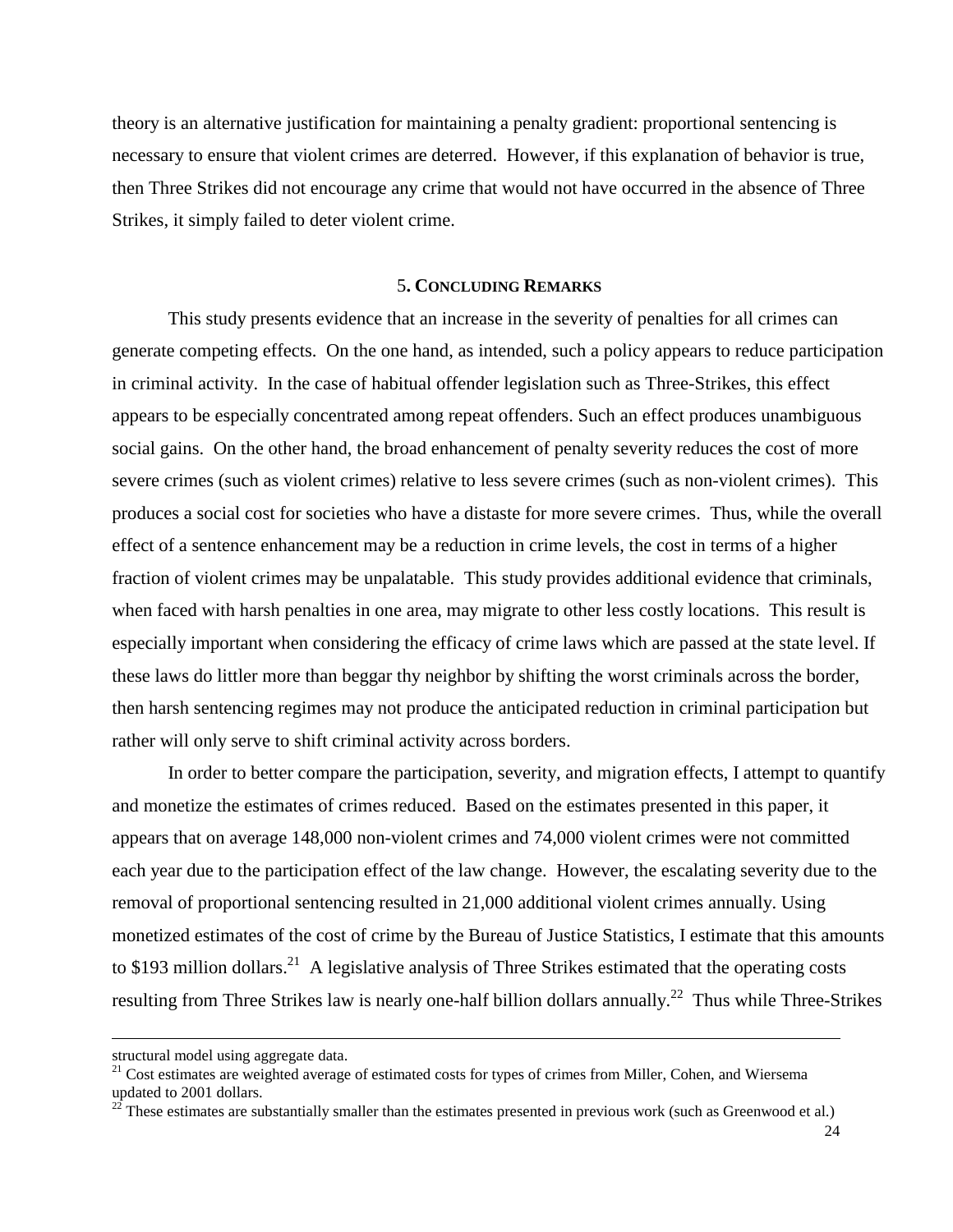theory is an alternative justification for maintaining a penalty gradient: proportional sentencing is necessary to ensure that violent crimes are deterred. However, if this explanation of behavior is true, then Three Strikes did not encourage any crime that would not have occurred in the absence of Three Strikes, it simply failed to deter violent crime.

#### 5**. CONCLUDING REMARKS**

 This study presents evidence that an increase in the severity of penalties for all crimes can generate competing effects. On the one hand, as intended, such a policy appears to reduce participation in criminal activity. In the case of habitual offender legislation such as Three-Strikes, this effect appears to be especially concentrated among repeat offenders. Such an effect produces unambiguous social gains. On the other hand, the broad enhancement of penalty severity reduces the cost of more severe crimes (such as violent crimes) relative to less severe crimes (such as non-violent crimes). This produces a social cost for societies who have a distaste for more severe crimes. Thus, while the overall effect of a sentence enhancement may be a reduction in crime levels, the cost in terms of a higher fraction of violent crimes may be unpalatable. This study provides additional evidence that criminals, when faced with harsh penalties in one area, may migrate to other less costly locations. This result is especially important when considering the efficacy of crime laws which are passed at the state level. If these laws do littler more than beggar thy neighbor by shifting the worst criminals across the border, then harsh sentencing regimes may not produce the anticipated reduction in criminal participation but rather will only serve to shift criminal activity across borders.

 In order to better compare the participation, severity, and migration effects, I attempt to quantify and monetize the estimates of crimes reduced. Based on the estimates presented in this paper, it appears that on average 148,000 non-violent crimes and 74,000 violent crimes were not committed each year due to the participation effect of the law change. However, the escalating severity due to the removal of proportional sentencing resulted in 21,000 additional violent crimes annually. Using monetized estimates of the cost of crime by the Bureau of Justice Statistics, I estimate that this amounts to \$193 million dollars.<sup>21</sup> A legislative analysis of Three Strikes estimated that the operating costs resulting from Three Strikes law is nearly one-half billion dollars annually.<sup>22</sup> Thus while Three-Strikes

structural model using aggregate data.

<sup>&</sup>lt;sup>21</sup> Cost estimates are weighted average of estimated costs for types of crimes from Miller, Cohen, and Wiersema updated to 2001 dollars.

 $22$  These estimates are substantially smaller than the estimates presented in previous work (such as Greenwood et al.)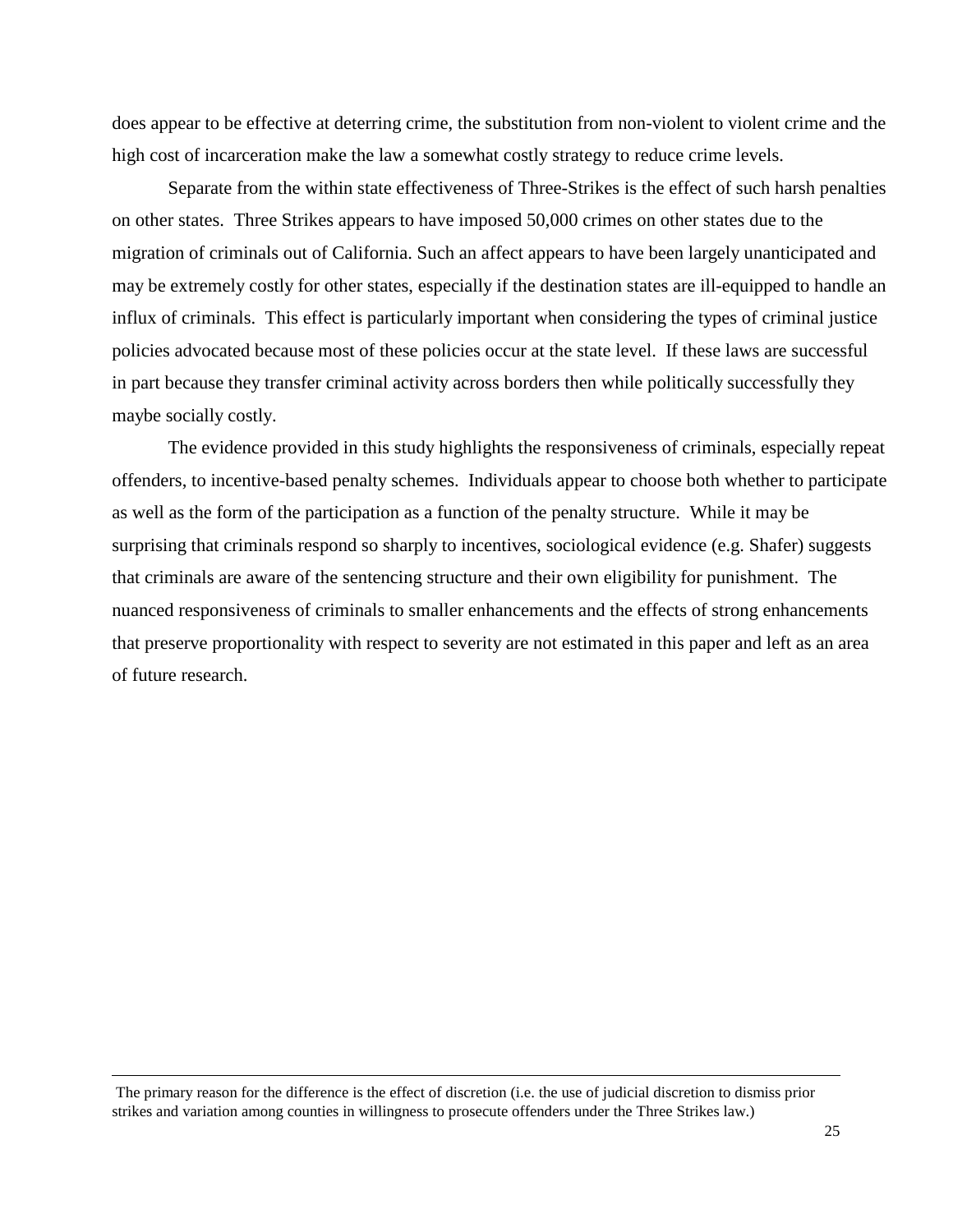does appear to be effective at deterring crime, the substitution from non-violent to violent crime and the high cost of incarceration make the law a somewhat costly strategy to reduce crime levels.

 Separate from the within state effectiveness of Three-Strikes is the effect of such harsh penalties on other states. Three Strikes appears to have imposed 50,000 crimes on other states due to the migration of criminals out of California. Such an affect appears to have been largely unanticipated and may be extremely costly for other states, especially if the destination states are ill-equipped to handle an influx of criminals. This effect is particularly important when considering the types of criminal justice policies advocated because most of these policies occur at the state level. If these laws are successful in part because they transfer criminal activity across borders then while politically successfully they maybe socially costly.

 The evidence provided in this study highlights the responsiveness of criminals, especially repeat offenders, to incentive-based penalty schemes. Individuals appear to choose both whether to participate as well as the form of the participation as a function of the penalty structure. While it may be surprising that criminals respond so sharply to incentives, sociological evidence (e.g. Shafer) suggests that criminals are aware of the sentencing structure and their own eligibility for punishment. The nuanced responsiveness of criminals to smaller enhancements and the effects of strong enhancements that preserve proportionality with respect to severity are not estimated in this paper and left as an area of future research.

-

The primary reason for the difference is the effect of discretion (i.e. the use of judicial discretion to dismiss prior strikes and variation among counties in willingness to prosecute offenders under the Three Strikes law.)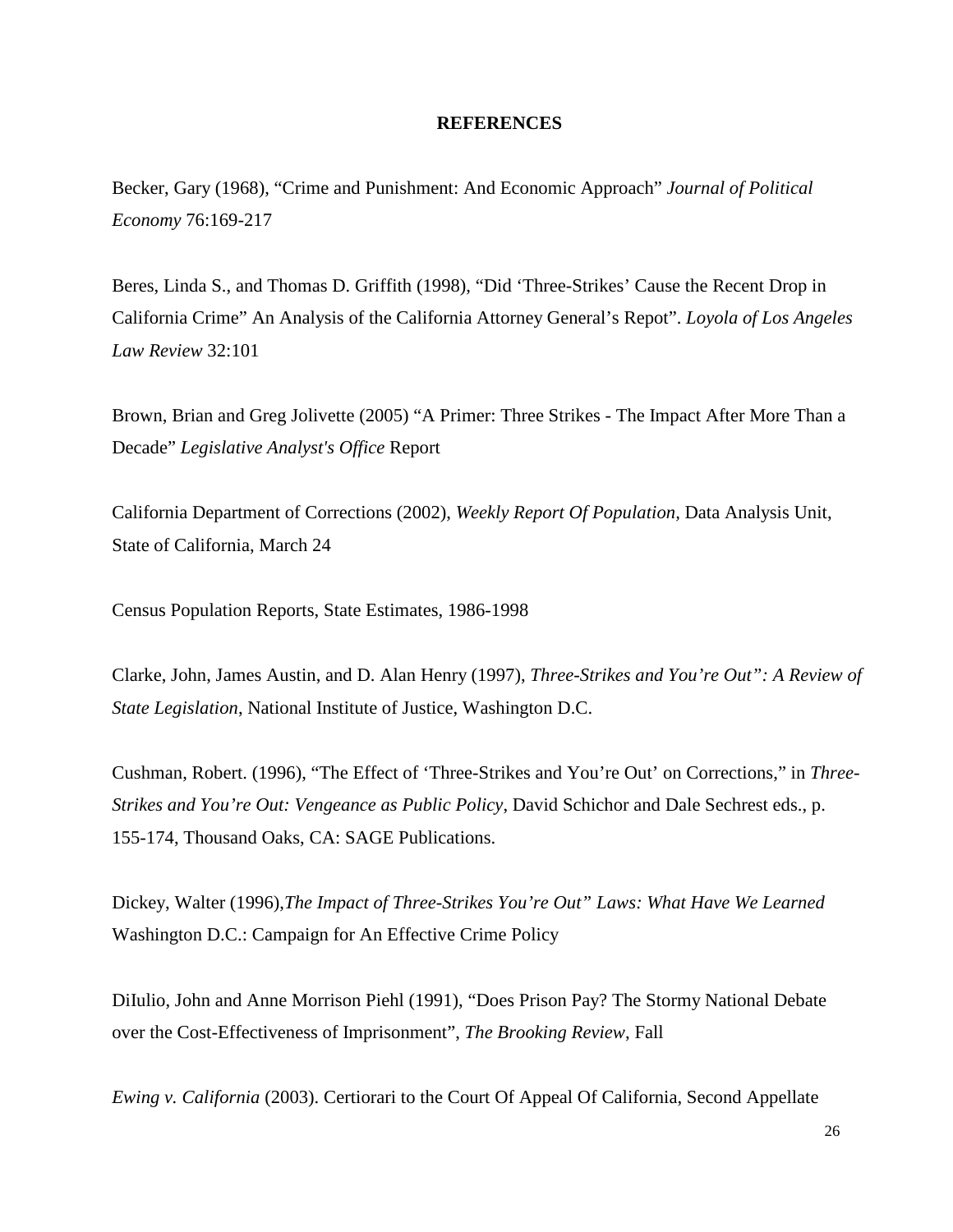#### **REFERENCES**

Becker, Gary (1968), "Crime and Punishment: And Economic Approach" *Journal of Political Economy* 76:169-217

Beres, Linda S., and Thomas D. Griffith (1998), "Did 'Three-Strikes' Cause the Recent Drop in California Crime" An Analysis of the California Attorney General's Repot". *Loyola of Los Angeles Law Review* 32:101

Brown, Brian and Greg Jolivette (2005) "A Primer: Three Strikes - The Impact After More Than a Decade" *Legislative Analyst's Office* Report

California Department of Corrections (2002), *Weekly Report Of Population,* Data Analysis Unit, State of California, March 24

Census Population Reports, State Estimates, 1986-1998

Clarke, John, James Austin, and D. Alan Henry (1997), *Three-Strikes and You're Out": A Review of State Legislation*, National Institute of Justice, Washington D.C.

Cushman, Robert. (1996), "The Effect of 'Three-Strikes and You're Out' on Corrections," in *Three-Strikes and You're Out: Vengeance as Public Policy*, David Schichor and Dale Sechrest eds., p. 155-174, Thousand Oaks, CA: SAGE Publications.

Dickey, Walter (1996),*The Impact of Three-Strikes You're Out" Laws: What Have We Learned* Washington D.C.: Campaign for An Effective Crime Policy

DiIulio, John and Anne Morrison Piehl (1991), "Does Prison Pay? The Stormy National Debate over the Cost-Effectiveness of Imprisonment", *The Brooking Review*, Fall

*Ewing v. California* (2003). Certiorari to the Court Of Appeal Of California, Second Appellate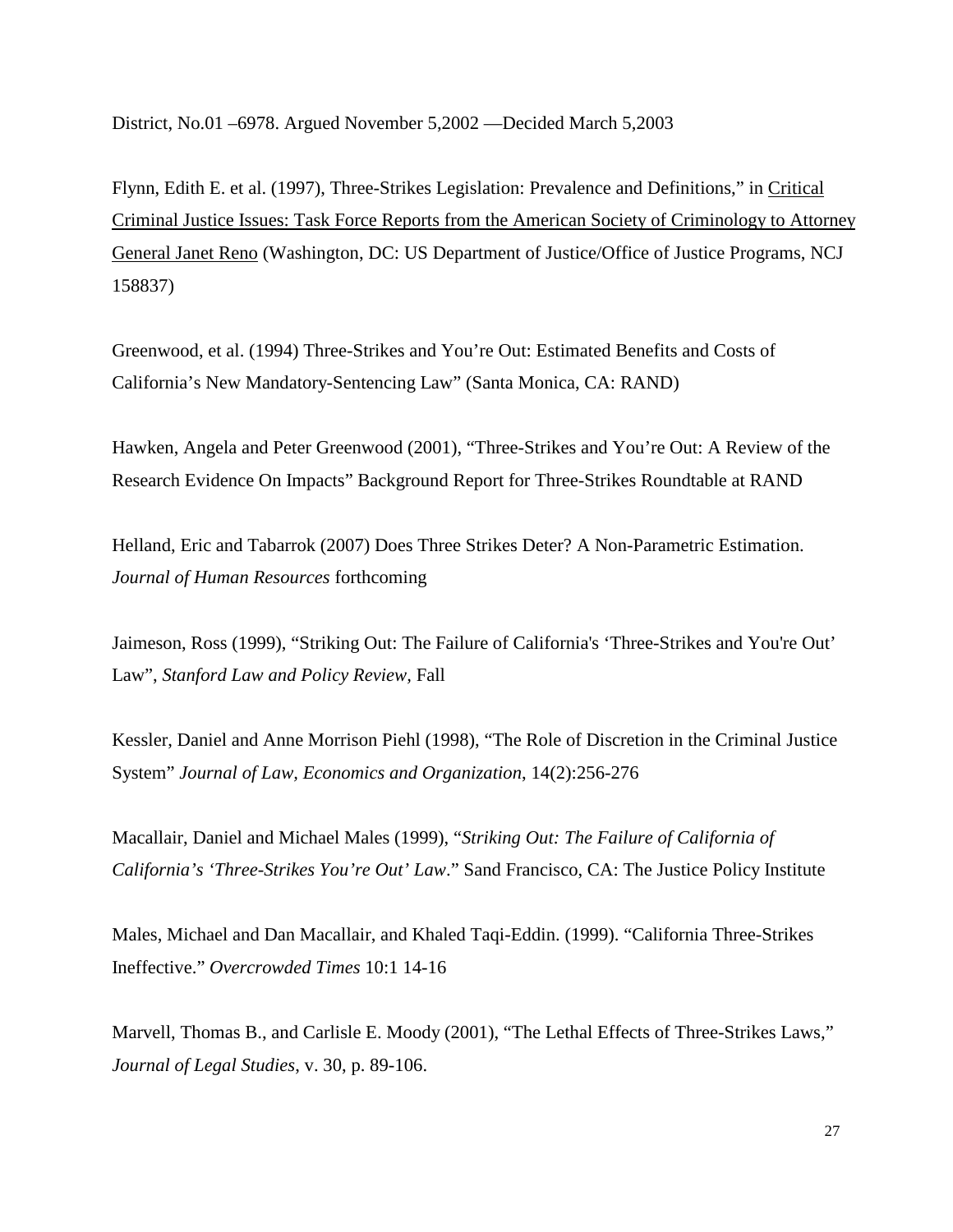District, No.01 –6978. Argued November 5,2002 —Decided March 5,2003

Flynn, Edith E. et al. (1997), Three-Strikes Legislation: Prevalence and Definitions," in Critical Criminal Justice Issues: Task Force Reports from the American Society of Criminology to Attorney General Janet Reno (Washington, DC: US Department of Justice/Office of Justice Programs, NCJ 158837)

Greenwood, et al. (1994) Three-Strikes and You're Out: Estimated Benefits and Costs of California's New Mandatory-Sentencing Law" (Santa Monica, CA: RAND)

Hawken, Angela and Peter Greenwood (2001), "Three-Strikes and You're Out: A Review of the Research Evidence On Impacts" Background Report for Three-Strikes Roundtable at RAND

Helland, Eric and Tabarrok (2007) Does Three Strikes Deter? A Non-Parametric Estimation. *Journal of Human Resources* forthcoming

Jaimeson, Ross (1999), "Striking Out: The Failure of California's 'Three-Strikes and You're Out' Law", *Stanford Law and Policy Review,* Fall

Kessler, Daniel and Anne Morrison Piehl (1998), "The Role of Discretion in the Criminal Justice System" *Journal of Law, Economics and Organization*, 14(2):256-276

Macallair, Daniel and Michael Males (1999), "*Striking Out: The Failure of California of California's 'Three-Strikes You're Out' Law*." Sand Francisco, CA: The Justice Policy Institute

Males, Michael and Dan Macallair, and Khaled Taqi-Eddin. (1999). "California Three-Strikes Ineffective." *Overcrowded Times* 10:1 14-16

Marvell, Thomas B., and Carlisle E. Moody (2001), "The Lethal Effects of Three-Strikes Laws," *Journal of Legal Studies*, v. 30, p. 89-106.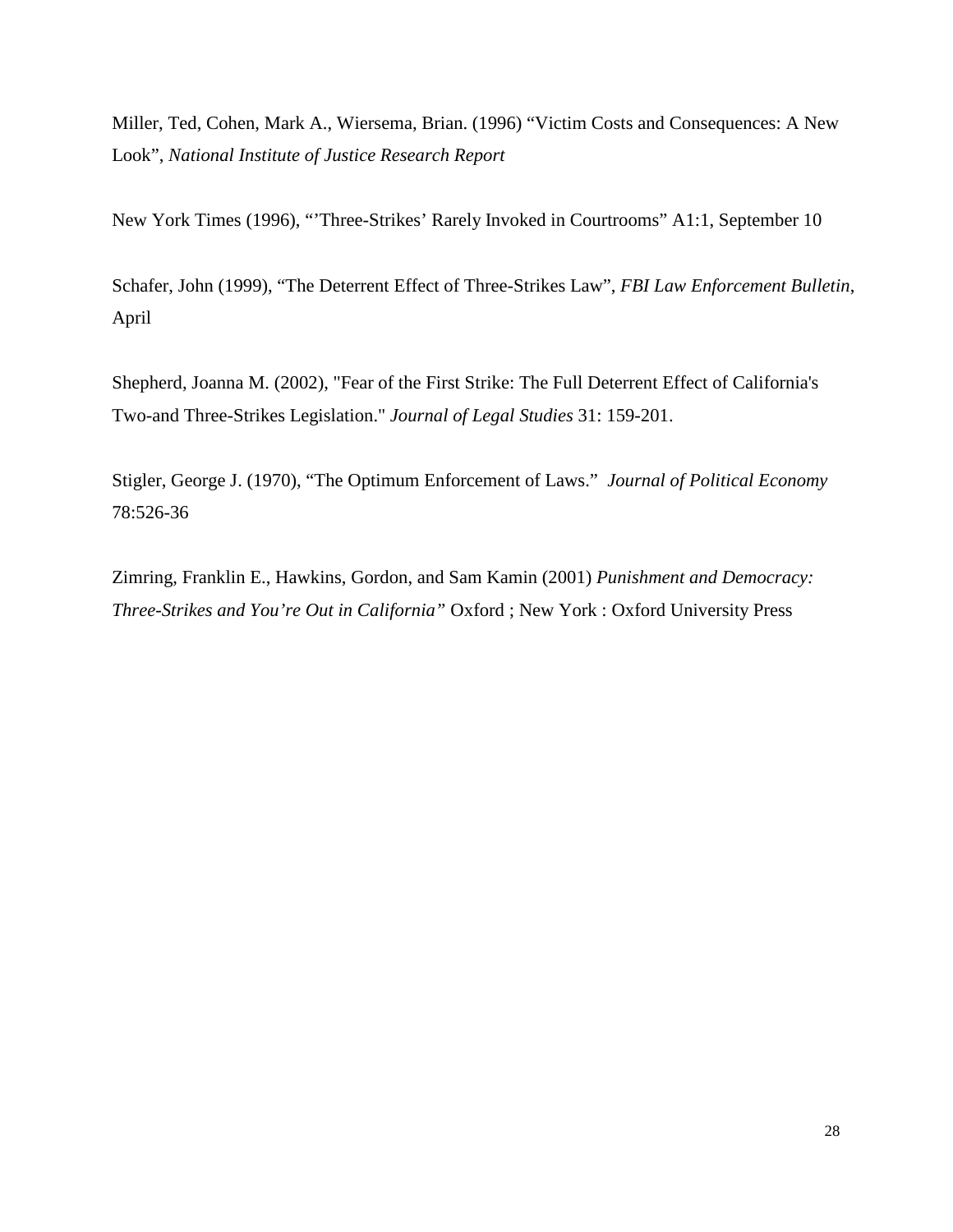Miller, Ted, Cohen, Mark A., Wiersema, Brian. (1996) "Victim Costs and Consequences: A New Look", *National Institute of Justice Research Report*

New York Times (1996), "'Three-Strikes' Rarely Invoked in Courtrooms" A1:1, September 10

Schafer, John (1999), "The Deterrent Effect of Three-Strikes Law", *FBI Law Enforcement Bulletin*, April

Shepherd, Joanna M. (2002), "Fear of the First Strike: The Full Deterrent Effect of California's Two-and Three-Strikes Legislation." *Journal of Legal Studies* 31: 159-201.

Stigler, George J. (1970), "The Optimum Enforcement of Laws." *Journal of Political Economy* 78:526-36

Zimring, Franklin E., Hawkins, Gordon, and Sam Kamin (2001) *Punishment and Democracy: Three-Strikes and You're Out in California"* Oxford ; New York : Oxford University Press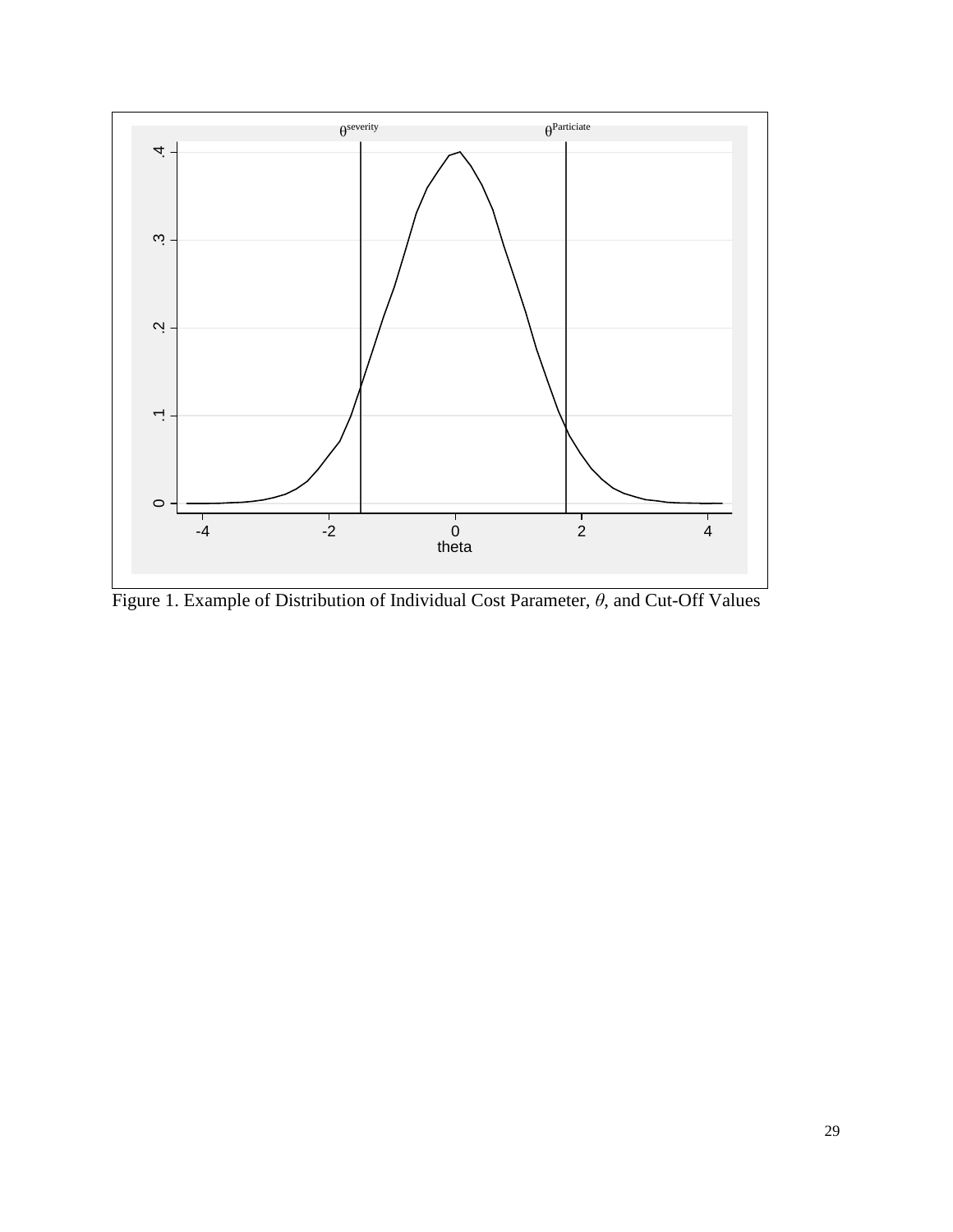

Figure 1. Example of Distribution of Individual Cost Parameter,  $\theta$ , and Cut-Off Values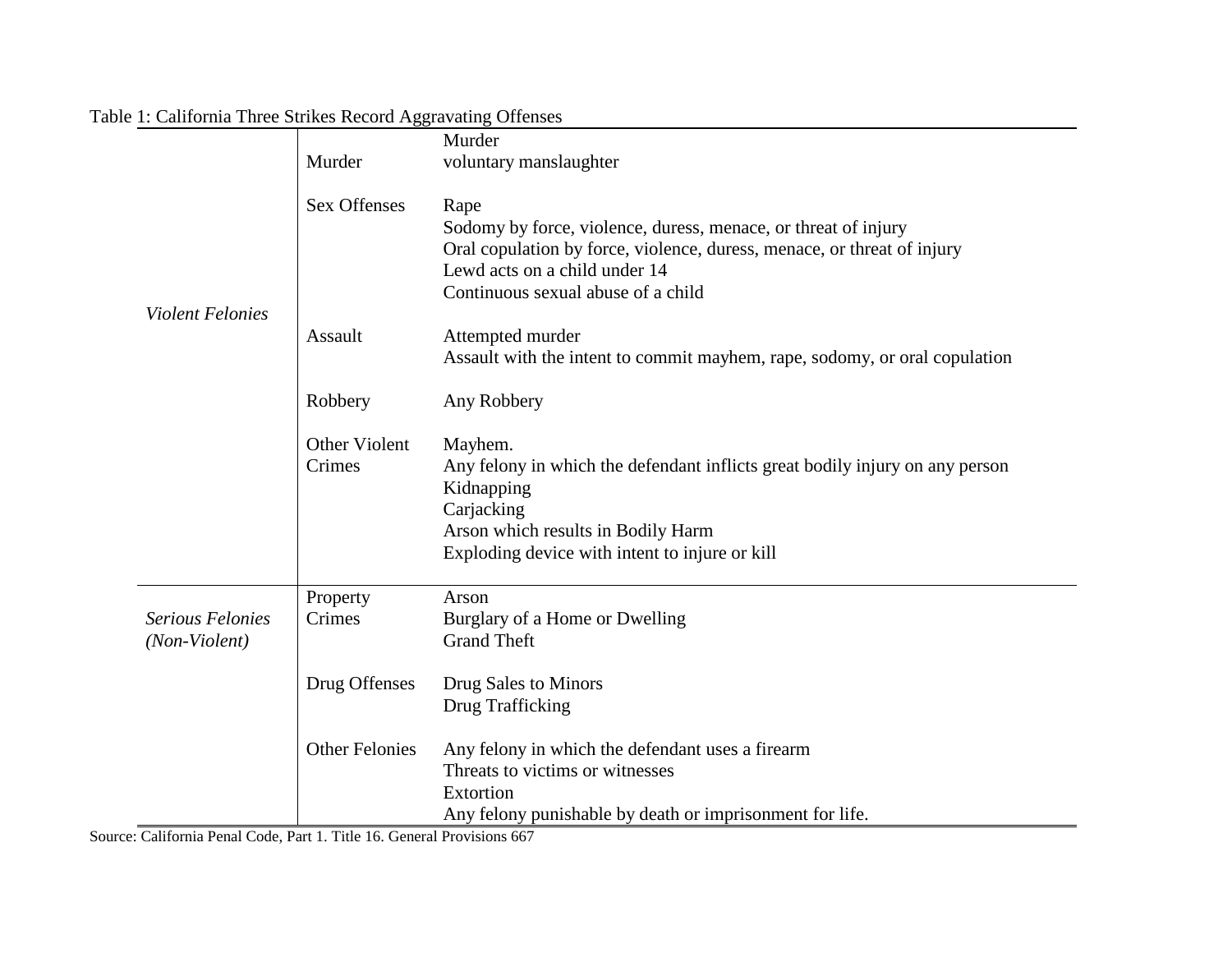|                                          |                       | Murder                                                                                                                                                                                                                   |
|------------------------------------------|-----------------------|--------------------------------------------------------------------------------------------------------------------------------------------------------------------------------------------------------------------------|
|                                          | Murder                | voluntary manslaughter                                                                                                                                                                                                   |
| <b>Violent Felonies</b>                  | <b>Sex Offenses</b>   | Rape<br>Sodomy by force, violence, duress, menace, or threat of injury<br>Oral copulation by force, violence, duress, menace, or threat of injury<br>Lewd acts on a child under 14<br>Continuous sexual abuse of a child |
|                                          | Assault               | Attempted murder<br>Assault with the intent to commit mayhem, rape, sodomy, or oral copulation                                                                                                                           |
|                                          | Robbery               | Any Robbery                                                                                                                                                                                                              |
|                                          | Other Violent         | Mayhem.                                                                                                                                                                                                                  |
|                                          | Crimes                | Any felony in which the defendant inflicts great bodily injury on any person<br>Kidnapping<br>Carjacking                                                                                                                 |
|                                          |                       | Arson which results in Bodily Harm<br>Exploding device with intent to injure or kill                                                                                                                                     |
|                                          | Property              | Arson                                                                                                                                                                                                                    |
| <b>Serious Felonies</b><br>(Non-Violent) | Crimes                | Burglary of a Home or Dwelling<br><b>Grand Theft</b>                                                                                                                                                                     |
|                                          | Drug Offenses         | Drug Sales to Minors<br>Drug Trafficking                                                                                                                                                                                 |
|                                          | <b>Other Felonies</b> | Any felony in which the defendant uses a firearm<br>Threats to victims or witnesses<br>Extortion<br>Any felony punishable by death or imprisonment for life.                                                             |

-

# Table 1: California Three Strikes Record Aggravating Offenses

Source: California Penal Code, Part 1. Title 16. General Provisions 667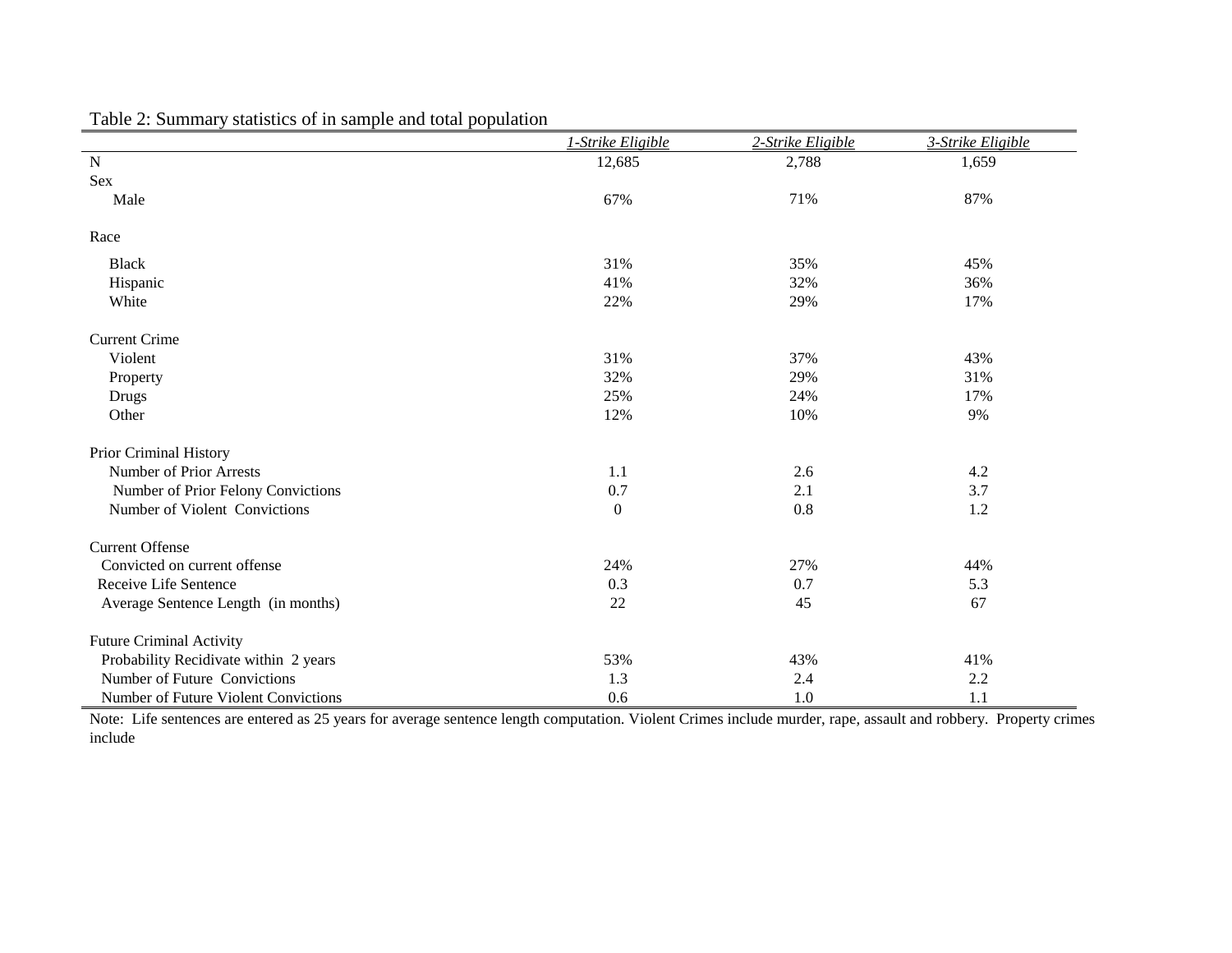|                                       | 1-Strike Eligible | 2-Strike Eligible | 3-Strike Eligible |
|---------------------------------------|-------------------|-------------------|-------------------|
| $\mathbf N$                           | 12,685            | 2,788             | 1,659             |
| Sex                                   |                   |                   |                   |
| Male                                  | 67%               | 71%               | 87%               |
| Race                                  |                   |                   |                   |
| <b>Black</b>                          | 31%               | 35%               | 45%               |
| Hispanic                              | 41%               | 32%               | 36%               |
| White                                 | 22%               | 29%               | 17%               |
| <b>Current Crime</b>                  |                   |                   |                   |
| Violent                               | 31%               | 37%               | 43%               |
| Property                              | 32%               | 29%               | 31%               |
| <b>Drugs</b>                          | 25%               | 24%               | 17%               |
| Other                                 | 12%               | 10%               | 9%                |
| Prior Criminal History                |                   |                   |                   |
| <b>Number of Prior Arrests</b>        | 1.1               | 2.6               | 4.2               |
| Number of Prior Felony Convictions    | 0.7               | 2.1               | 3.7               |
| Number of Violent Convictions         | $\boldsymbol{0}$  | 0.8               | 1.2               |
| <b>Current Offense</b>                |                   |                   |                   |
| Convicted on current offense          | 24%               | 27%               | 44%               |
| Receive Life Sentence                 | 0.3               | 0.7               | 5.3               |
| Average Sentence Length (in months)   | 22                | 45                | 67                |
| <b>Future Criminal Activity</b>       |                   |                   |                   |
| Probability Recidivate within 2 years | 53%               | 43%               | 41%               |
| Number of Future Convictions          | 1.3               | 2.4               | 2.2               |
| Number of Future Violent Convictions  | 0.6               | 1.0               | 1.1               |

Table 2: Summary statistics of in sample and total population

 Note: Life sentences are entered as 25 years for average sentence length computation. Violent Crimes include murder, rape, assault and robbery. Property crimes include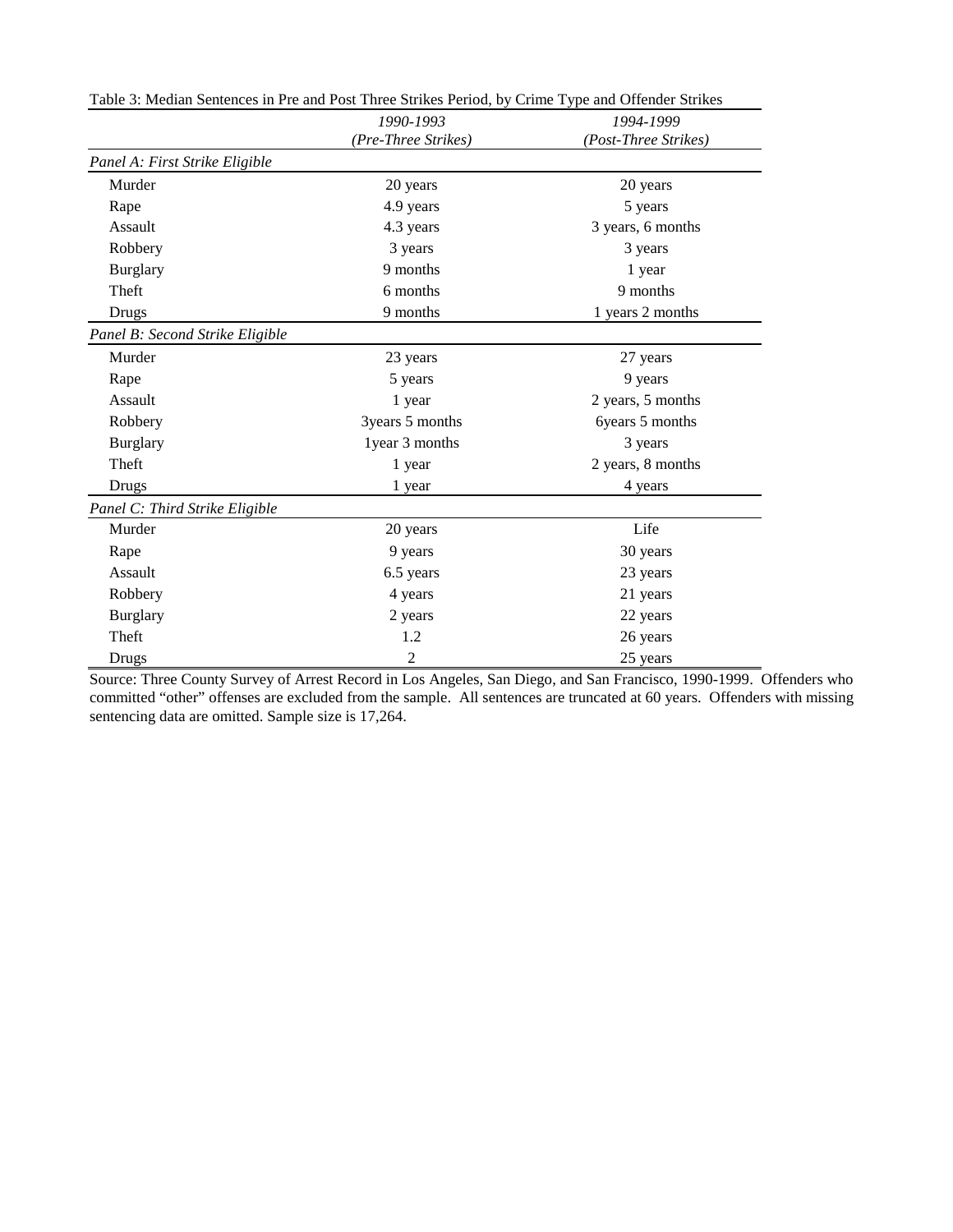|                                 | 1990-1993           | 1994-1999            |
|---------------------------------|---------------------|----------------------|
|                                 | (Pre-Three Strikes) | (Post-Three Strikes) |
| Panel A: First Strike Eligible  |                     |                      |
| Murder                          | 20 years            | 20 years             |
| Rape                            | 4.9 years           | 5 years              |
| Assault                         | 4.3 years           | 3 years, 6 months    |
| Robbery                         | 3 years             | 3 years              |
| <b>Burglary</b>                 | 9 months            | 1 year               |
| Theft                           | 6 months            | 9 months             |
| Drugs                           | 9 months            | 1 years 2 months     |
| Panel B: Second Strike Eligible |                     |                      |
| Murder                          | 23 years            | 27 years             |
| Rape                            | 5 years             | 9 years              |
| Assault                         | 1 year              | 2 years, 5 months    |
| Robbery                         | 3years 5 months     | 6years 5 months      |
| <b>Burglary</b>                 | 1 year 3 months     | 3 years              |
| Theft                           | 1 year              | 2 years, 8 months    |
| Drugs                           | 1 year              | 4 years              |
| Panel C: Third Strike Eligible  |                     |                      |
| Murder                          | 20 years            | Life                 |
| Rape                            | 9 years             | 30 years             |
| Assault                         | 6.5 years           | 23 years             |
| Robbery                         | 4 years             | 21 years             |
| <b>Burglary</b>                 | 2 years             | 22 years             |
| Theft                           | 1.2                 | 26 years             |
| Drugs                           | $\overline{2}$      | 25 years             |

Table 3: Median Sentences in Pre and Post Three Strikes Period, by Crime Type and Offender Strikes

Source: Three County Survey of Arrest Record in Los Angeles, San Diego, and San Francisco, 1990-1999. Offenders who committed "other" offenses are excluded from the sample. All sentences are truncated at 60 years. Offenders with missing sentencing data are omitted. Sample size is 17,264.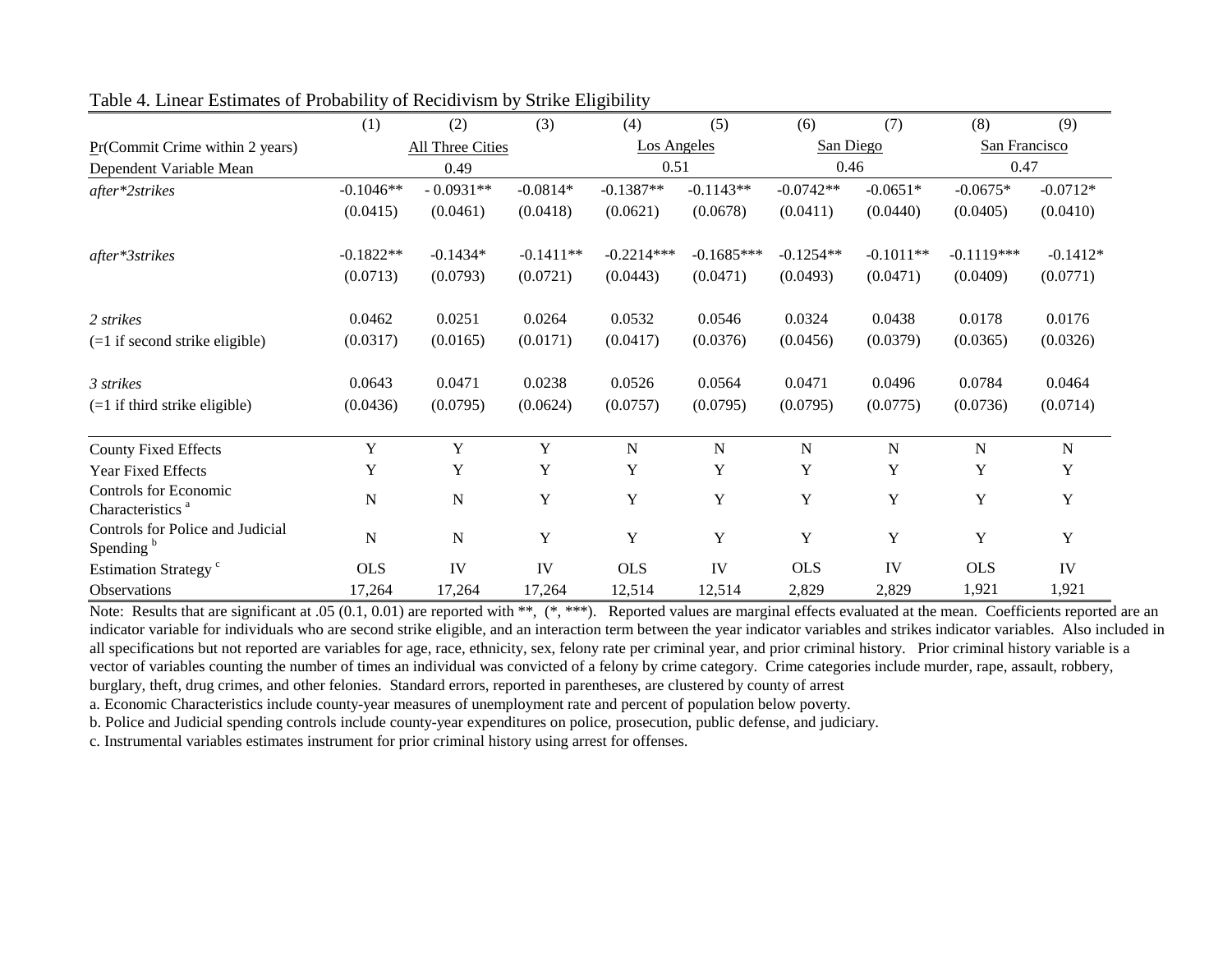|                                                              | (1)         | (2)                     | (3)         | (4)                | (5)          | (6)         | (7)         | (8)           | (9)         |
|--------------------------------------------------------------|-------------|-------------------------|-------------|--------------------|--------------|-------------|-------------|---------------|-------------|
| $Pr(Commit C$ rime within 2 years)                           |             | <b>All Three Cities</b> |             | <b>Los Angeles</b> |              | San Diego   |             | San Francisco |             |
| Dependent Variable Mean                                      |             | 0.49                    |             | 0.51               |              | 0.46        |             | 0.47          |             |
| after*2strikes                                               | $-0.1046**$ | $-0.0931**$             | $-0.0814*$  | $-0.1387**$        | $-0.1143**$  | $-0.0742**$ | $-0.0651*$  | $-0.0675*$    | $-0.0712*$  |
|                                                              | (0.0415)    | (0.0461)                | (0.0418)    | (0.0621)           | (0.0678)     | (0.0411)    | (0.0440)    | (0.0405)      | (0.0410)    |
| after*3strikes                                               | $-0.1822**$ | $-0.1434*$              | $-0.1411**$ | $-0.2214***$       | $-0.1685***$ | $-0.1254**$ | $-0.1011**$ | $-0.1119***$  | $-0.1412*$  |
|                                                              | (0.0713)    | (0.0793)                | (0.0721)    | (0.0443)           | (0.0471)     | (0.0493)    | (0.0471)    | (0.0409)      | (0.0771)    |
| 2 strikes                                                    | 0.0462      | 0.0251                  | 0.0264      | 0.0532             | 0.0546       | 0.0324      | 0.0438      | 0.0178        | 0.0176      |
| $(=1$ if second strike eligible)                             | (0.0317)    | (0.0165)                | (0.0171)    | (0.0417)           | (0.0376)     | (0.0456)    | (0.0379)    | (0.0365)      | (0.0326)    |
| 3 strikes                                                    | 0.0643      | 0.0471                  | 0.0238      | 0.0526             | 0.0564       | 0.0471      | 0.0496      | 0.0784        | 0.0464      |
| $(=1$ if third strike eligible)                              | (0.0436)    | (0.0795)                | (0.0624)    | (0.0757)           | (0.0795)     | (0.0795)    | (0.0775)    | (0.0736)      | (0.0714)    |
| <b>County Fixed Effects</b>                                  | Y           | Y                       | $\mathbf Y$ | N                  | $\mathbf N$  | N           | N           | N             | $\mathbf N$ |
| Year Fixed Effects                                           | Y           | Y                       | Y           | Y                  | Y            | Y           | Y           | Y             | Y           |
| <b>Controls for Economic</b><br>Characteristics <sup>a</sup> | $\mathbf N$ | N                       | Y           | Y                  | $\mathbf Y$  | Y           | Y           | Y             | Y           |
| Controls for Police and Judicial<br>Spending <sup>b</sup>    | $\mathbf N$ | ${\bf N}$               | Y           | Y                  | Y            | Y           | Y           | Y             | Y           |
| Estimation Strategy <sup>c</sup>                             | <b>OLS</b>  | IV                      | IV          | <b>OLS</b>         | IV           | <b>OLS</b>  | IV          | <b>OLS</b>    | IV          |
| Observations                                                 | 17,264      | 17,264                  | 17,264      | 12,514             | 12,514       | 2,829       | 2,829       | 1,921         | 1,921       |

#### Table 4. Linear Estimates of Probability of Recidivism by Strike Eligibility

Note: Results that are significant at .05 (0.1, 0.01) are reported with \*\*, (\*,\*\*\*). Reported values are marginal effects evaluated at the mean. Coefficients reported are an indicator variable for individuals who are second strike eligible, and an interaction term between the year indicator variables and strikes indicator variables. Also included in all specifications but not reported are variables for age, race, ethnicity, sex, felony rate per criminal year, and prior criminal history. Prior criminal history variable is a vector of variables counting the number of times an individual was convicted of a felony by crime category. Crime categories include murder, rape, assault, robbery, burglary, theft, drug crimes, and other felonies. Standard errors, reported in parentheses, are clustered by county of arrest

a. Economic Characteristics include county-year measures of unemployment rate and percent of population below poverty.

b. Police and Judicial spending controls include county-year expenditures on police, prosecution, public defense, and judiciary.

c. Instrumental variables estimates instrument for prior criminal history using arrest for offenses.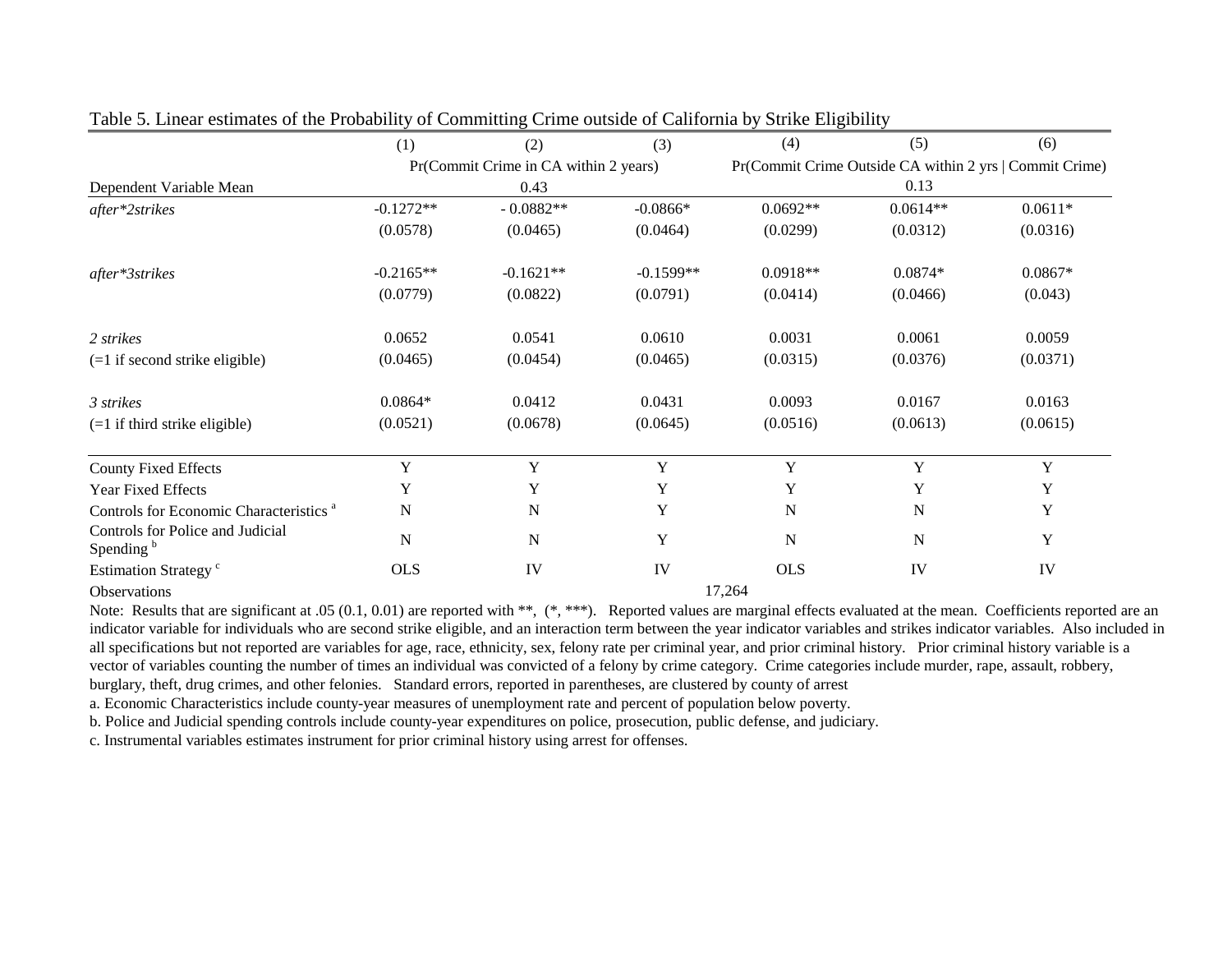|                                                           | (1)         | (2)                                   | (3)         | (4)                                                     | (5)         | (6)         |  |
|-----------------------------------------------------------|-------------|---------------------------------------|-------------|---------------------------------------------------------|-------------|-------------|--|
|                                                           |             | Pr(Commit Crime in CA within 2 years) |             | Pr(Commit Crime Outside CA within 2 yrs   Commit Crime) |             |             |  |
| Dependent Variable Mean                                   |             | 0.43                                  |             |                                                         | 0.13        |             |  |
| after*2strikes                                            | $-0.1272**$ | $-0.0882**$                           | $-0.0866*$  | $0.0692**$                                              | $0.0614**$  | $0.0611*$   |  |
|                                                           | (0.0578)    | (0.0465)                              | (0.0464)    | (0.0299)                                                | (0.0312)    | (0.0316)    |  |
| after*3strikes                                            | $-0.2165**$ | $-0.1621**$                           | $-0.1599**$ | $0.0918**$                                              | $0.0874*$   | $0.0867*$   |  |
|                                                           | (0.0779)    | (0.0822)                              | (0.0791)    | (0.0414)                                                | (0.0466)    | (0.043)     |  |
| 2 strikes                                                 | 0.0652      | 0.0541                                | 0.0610      | 0.0031                                                  | 0.0061      | 0.0059      |  |
| $(=1$ if second strike eligible)                          | (0.0465)    | (0.0454)                              | (0.0465)    | (0.0315)                                                | (0.0376)    | (0.0371)    |  |
| 3 strikes                                                 | $0.0864*$   | 0.0412                                | 0.0431      | 0.0093                                                  | 0.0167      | 0.0163      |  |
| $(=1$ if third strike eligible)                           | (0.0521)    | (0.0678)                              | (0.0645)    | (0.0516)                                                | (0.0613)    | (0.0615)    |  |
| <b>County Fixed Effects</b>                               | Y           | Y                                     | Y           | Y                                                       | Y           | Y           |  |
| Year Fixed Effects                                        | Y           | Y                                     | Y           | Y                                                       | Y           | Y           |  |
| Controls for Economic Characteristics <sup>a</sup>        | $\mathbf N$ | N                                     | Y           | N                                                       | N           | $\mathbf Y$ |  |
| Controls for Police and Judicial<br>Spending <sup>b</sup> | N           | N                                     | $\mathbf Y$ | N                                                       | $\mathbf N$ | $\mathbf Y$ |  |
| Estimation Strategy <sup>c</sup>                          | <b>OLS</b>  | IV                                    | IV          | <b>OLS</b>                                              | IV          | IV          |  |
| <b>Observations</b>                                       |             |                                       |             | 17,264                                                  |             |             |  |

Table 5. Linear estimates of the Probability of Committing Crime outside of California by Strike Eligibility

Note: Results that are significant at .05 (0.1, 0.01) are reported with \*\*, (\*,\*\*\*). Reported values are marginal effects evaluated at the mean. Coefficients reported are an indicator variable for individuals who are second strike eligible, and an interaction term between the year indicator variables and strikes indicator variables. Also included in all specifications but not reported are variables for age, race, ethnicity, sex, felony rate per criminal year, and prior criminal history. Prior criminal history variable is a vector of variables counting the number of times an individual was convicted of a felony by crime category. Crime categories include murder, rape, assault, robbery, burglary, theft, drug crimes, and other felonies. Standard errors, reported in parentheses, are clustered by county of arrest

a. Economic Characteristics include county-year measures of unemployment rate and percent of population below poverty.

b. Police and Judicial spending controls include county-year expenditures on police, prosecution, public defense, and judiciary.

c. Instrumental variables estimates instrument for prior criminal history using arrest for offenses.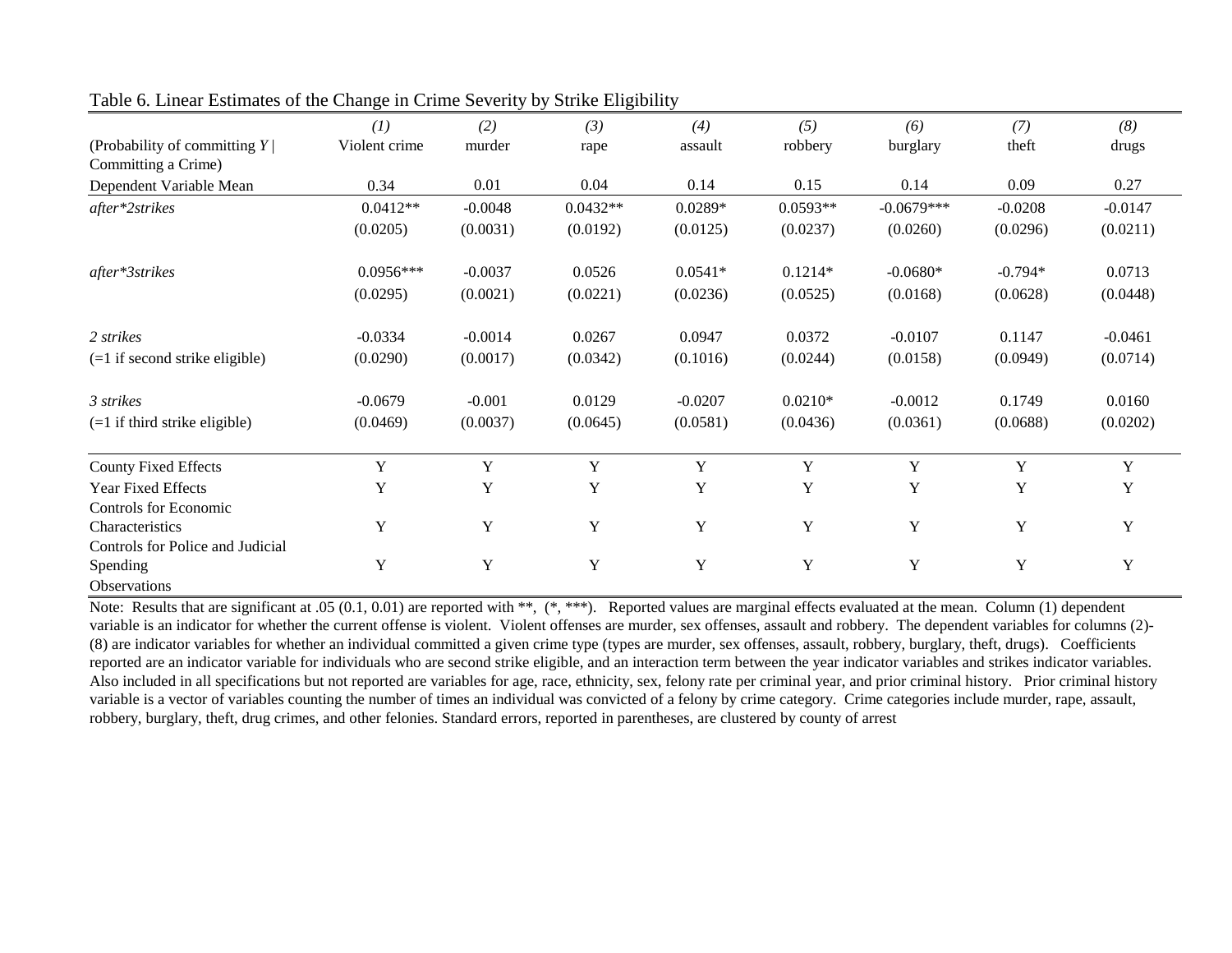|                                  | (1)           | (2)         | (3)        | (4)         | (5)        | (6)          | (7)       | (8)       |
|----------------------------------|---------------|-------------|------------|-------------|------------|--------------|-----------|-----------|
| (Probability of committing $Y$ ) | Violent crime | murder      | rape       | assault     | robbery    | burglary     | theft     | drugs     |
| Committing a Crime)              |               |             |            |             |            |              |           |           |
| Dependent Variable Mean          | 0.34          | 0.01        | 0.04       | 0.14        | 0.15       | 0.14         | 0.09      | 0.27      |
| after*2strikes                   | $0.0412**$    | $-0.0048$   | $0.0432**$ | $0.0289*$   | $0.0593**$ | $-0.0679***$ | $-0.0208$ | $-0.0147$ |
|                                  | (0.0205)      | (0.0031)    | (0.0192)   | (0.0125)    | (0.0237)   | (0.0260)     | (0.0296)  | (0.0211)  |
| after*3strikes                   | $0.0956***$   | $-0.0037$   | 0.0526     | $0.0541*$   | $0.1214*$  | $-0.0680*$   | $-0.794*$ | 0.0713    |
|                                  | (0.0295)      | (0.0021)    | (0.0221)   | (0.0236)    | (0.0525)   | (0.0168)     | (0.0628)  | (0.0448)  |
| 2 strikes                        | $-0.0334$     | $-0.0014$   | 0.0267     | 0.0947      | 0.0372     | $-0.0107$    | 0.1147    | $-0.0461$ |
| $(=1$ if second strike eligible) | (0.0290)      | (0.0017)    | (0.0342)   | (0.1016)    | (0.0244)   | (0.0158)     | (0.0949)  | (0.0714)  |
| 3 strikes                        | $-0.0679$     | $-0.001$    | 0.0129     | $-0.0207$   | $0.0210*$  | $-0.0012$    | 0.1749    | 0.0160    |
| $(=1$ if third strike eligible)  | (0.0469)      | (0.0037)    | (0.0645)   | (0.0581)    | (0.0436)   | (0.0361)     | (0.0688)  | (0.0202)  |
| <b>County Fixed Effects</b>      | Y             | Y           | Y          | Y           | Y          | Y            | Y         | Y         |
| Year Fixed Effects               | Y             | $\mathbf Y$ | Y          | $\mathbf Y$ | Y          | Y            | Y         | Y         |
| Controls for Economic            |               |             |            |             |            |              |           |           |
| Characteristics                  | Y             | $\mathbf Y$ | Y          | Y           | Y          | Y            | Y         | Y         |
| Controls for Police and Judicial |               |             |            |             |            |              |           |           |
| Spending                         | Y             | $\mathbf Y$ | Y          | $\mathbf Y$ | Y          | Y            | Y         | Y         |
| <b>Observations</b>              |               |             |            |             |            |              |           |           |

#### Table 6. Linear Estimates of the Change in Crime Severity by Strike Eligibility

Note: Results that are significant at .05 (0.1, 0.01) are reported with \*\*, (\*,\*\*\*). Reported values are marginal effects evaluated at the mean. Column (1) dependent variable is an indicator for whether the current offense is violent. Violent offenses are murder, sex offenses, assault and robbery. The dependent variables for columns (2)-(8) are indicator variables for whether an individual committed a given crime type (types are murder, sex offenses, assault, robbery, burglary, theft, drugs). Coefficients reported are an indicator variable for individuals who are second strike eligible, and an interaction term between the year indicator variables and strikes indicator variables. Also included in all specifications but not reported are variables for age, race, ethnicity, sex, felony rate per criminal year, and prior criminal history. Prior criminal history variable is a vector of variables counting the number of times an individual was convicted of a felony by crime category. Crime categories include murder, rape, assault, robbery, burglary, theft, drug crimes, and other felonies. Standard errors, reported in parentheses, are clustered by county of arrest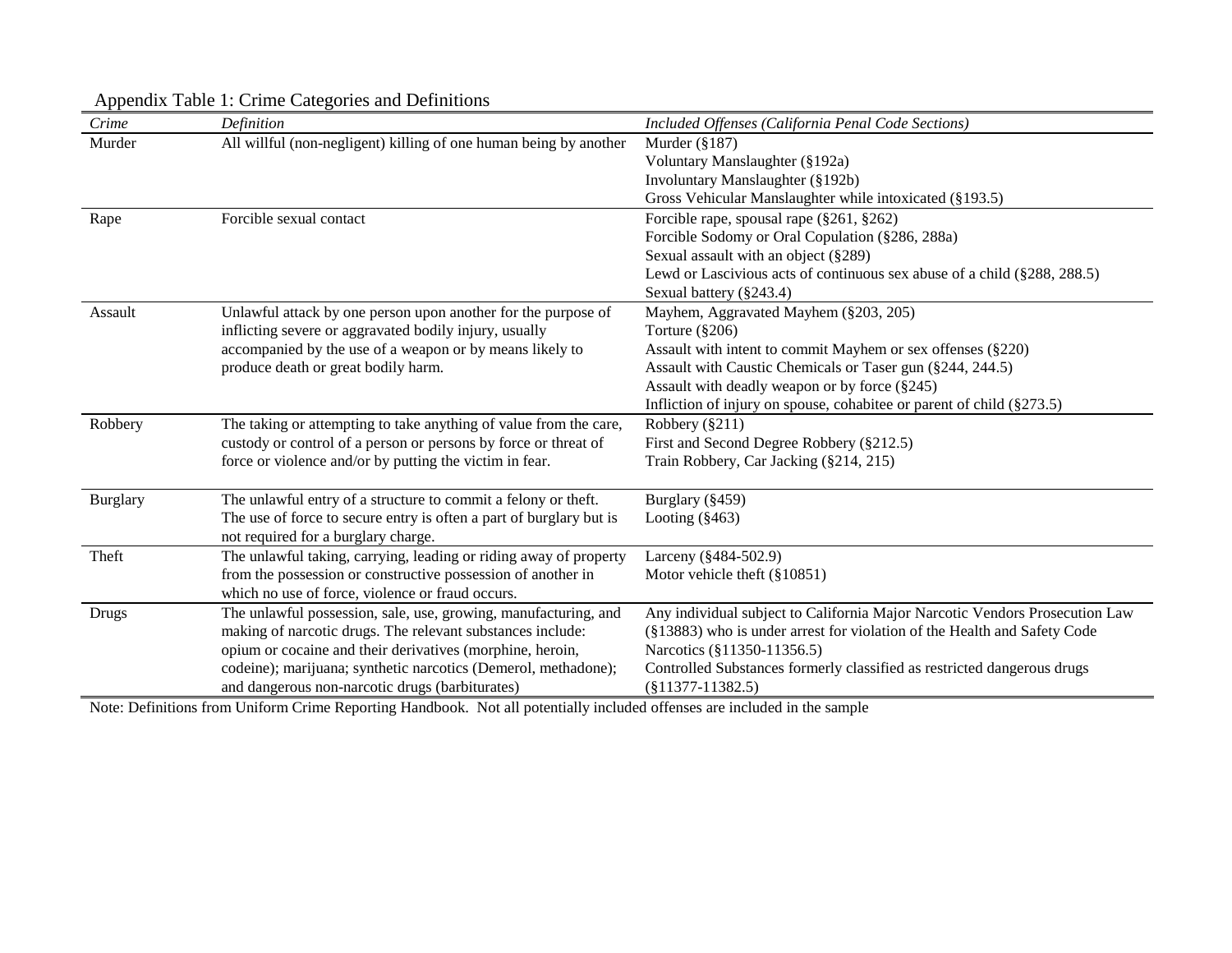| Crime           | Definition                                                                                                        | Included Offenses (California Penal Code Sections)                                             |
|-----------------|-------------------------------------------------------------------------------------------------------------------|------------------------------------------------------------------------------------------------|
| Murder          | All willful (non-negligent) killing of one human being by another                                                 | Murder $(\S187)$                                                                               |
|                 |                                                                                                                   | Voluntary Manslaughter (§192a)                                                                 |
|                 |                                                                                                                   | Involuntary Manslaughter (§192b)                                                               |
|                 |                                                                                                                   | Gross Vehicular Manslaughter while intoxicated (§193.5)                                        |
| Rape            | Forcible sexual contact                                                                                           | Forcible rape, spousal rape (§261, §262)                                                       |
|                 |                                                                                                                   | Forcible Sodomy or Oral Copulation (§286, 288a)                                                |
|                 |                                                                                                                   | Sexual assault with an object (§289)                                                           |
|                 |                                                                                                                   | Lewd or Lascivious acts of continuous sex abuse of a child (§288, 288.5)                       |
|                 |                                                                                                                   | Sexual battery (§243.4)                                                                        |
| Assault         | Unlawful attack by one person upon another for the purpose of                                                     | Mayhem, Aggravated Mayhem (§203, 205)                                                          |
|                 | inflicting severe or aggravated bodily injury, usually                                                            | Torture $(\S 206)$                                                                             |
|                 | accompanied by the use of a weapon or by means likely to                                                          | Assault with intent to commit Mayhem or sex offenses (§220)                                    |
|                 | produce death or great bodily harm.                                                                               | Assault with Caustic Chemicals or Taser gun (§244, 244.5)                                      |
|                 |                                                                                                                   | Assault with deadly weapon or by force (§245)                                                  |
|                 |                                                                                                                   | Infliction of injury on spouse, cohabitee or parent of child $(\S 273.5)$                      |
| Robbery         | The taking or attempting to take anything of value from the care,                                                 | Robbery $(\S 211)$                                                                             |
|                 | custody or control of a person or persons by force or threat of                                                   | First and Second Degree Robbery (§212.5)                                                       |
|                 | force or violence and/or by putting the victim in fear.                                                           | Train Robbery, Car Jacking (§214, 215)                                                         |
| <b>Burglary</b> | The unlawful entry of a structure to commit a felony or theft.                                                    | Burglary (§459)                                                                                |
|                 | The use of force to secure entry is often a part of burglary but is<br>not required for a burglary charge.        | Looting $(\$463)$                                                                              |
| Theft           | The unlawful taking, carrying, leading or riding away of property                                                 | Larceny (§484-502.9)                                                                           |
|                 | from the possession or constructive possession of another in                                                      | Motor vehicle theft $(\S 10851)$                                                               |
|                 | which no use of force, violence or fraud occurs.                                                                  |                                                                                                |
| <b>Drugs</b>    | The unlawful possession, sale, use, growing, manufacturing, and                                                   | Any individual subject to California Major Narcotic Vendors Prosecution Law                    |
|                 | making of narcotic drugs. The relevant substances include:                                                        | (§13883) who is under arrest for violation of the Health and Safety Code                       |
|                 | opium or cocaine and their derivatives (morphine, heroin,                                                         | Narcotics (§11350-11356.5)                                                                     |
|                 | codeine); marijuana; synthetic narcotics (Demerol, methadone);<br>and dangerous non-narcotic drugs (barbiturates) | Controlled Substances formerly classified as restricted dangerous drugs<br>$(\$11377-11382.5)$ |
|                 |                                                                                                                   |                                                                                                |

## Appendix Table 1: Crime Categories and Definitions

Note: Definitions from Uniform Crime Reporting Handbook. Not all potentially included offenses are included in the sample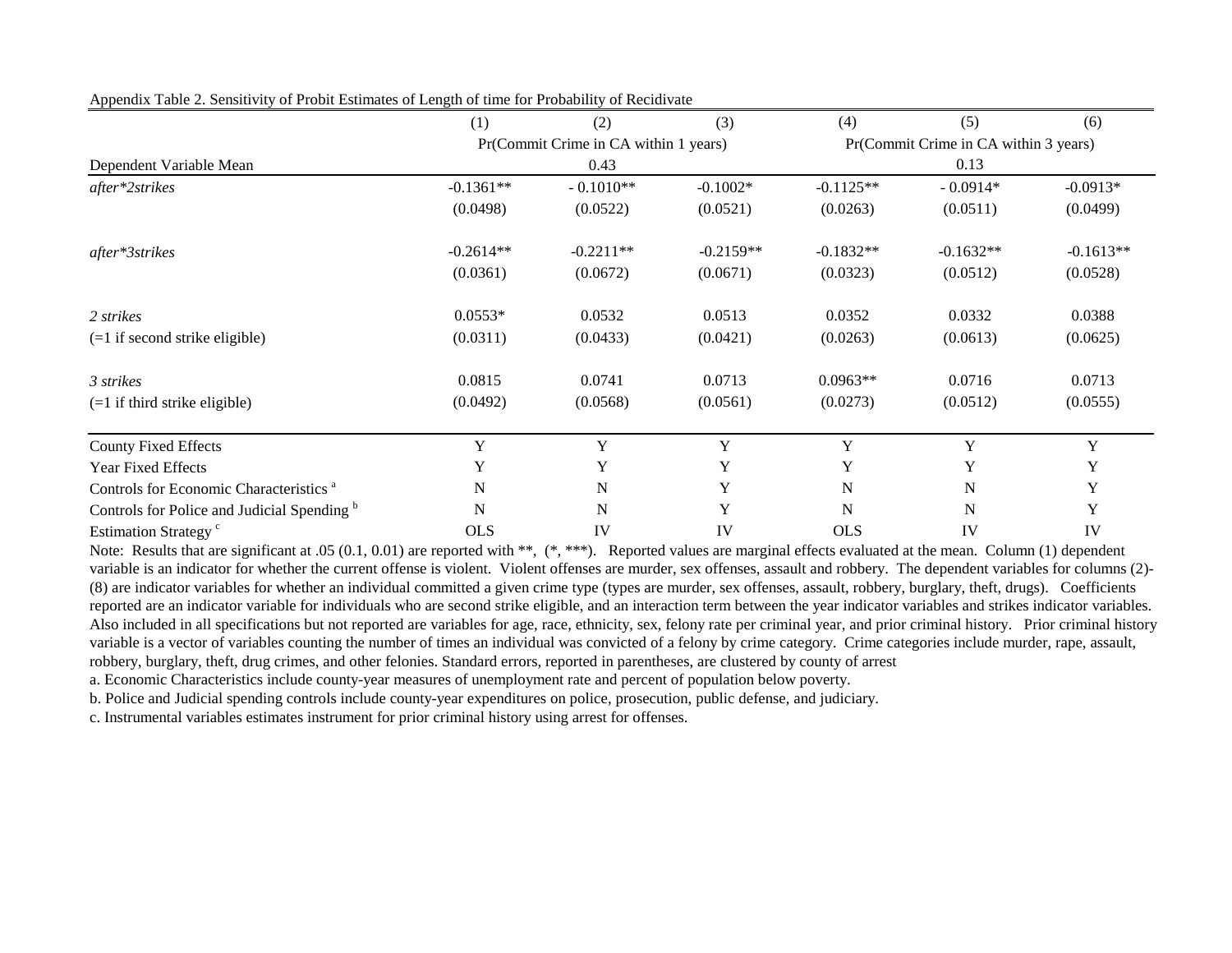|                                                        | (1)         | (2)                                   | (3)         | (4)                                   | (5)         | (6)         |  |
|--------------------------------------------------------|-------------|---------------------------------------|-------------|---------------------------------------|-------------|-------------|--|
|                                                        |             | Pr(Commit Crime in CA within 1 years) |             | Pr(Commit Crime in CA within 3 years) |             |             |  |
| Dependent Variable Mean                                |             | 0.43                                  |             |                                       | 0.13        |             |  |
| after*2strikes                                         | $-0.1361**$ | $-0.1010**$                           | $-0.1002*$  | $-0.1125**$                           | $-0.0914*$  | $-0.0913*$  |  |
|                                                        | (0.0498)    | (0.0522)                              | (0.0521)    | (0.0263)                              | (0.0511)    | (0.0499)    |  |
| after*3strikes                                         | $-0.2614**$ | $-0.2211**$                           | $-0.2159**$ | $-0.1832**$                           | $-0.1632**$ | $-0.1613**$ |  |
|                                                        | (0.0361)    | (0.0672)                              | (0.0671)    | (0.0323)                              | (0.0512)    | (0.0528)    |  |
| 2 strikes                                              | $0.0553*$   | 0.0532                                | 0.0513      | 0.0352                                | 0.0332      | 0.0388      |  |
| $(=1$ if second strike eligible)                       | (0.0311)    | (0.0433)                              | (0.0421)    | (0.0263)                              | (0.0613)    | (0.0625)    |  |
| 3 strikes                                              | 0.0815      | 0.0741                                | 0.0713      | $0.0963**$                            | 0.0716      | 0.0713      |  |
| $(=1$ if third strike eligible)                        | (0.0492)    | (0.0568)                              | (0.0561)    | (0.0273)                              | (0.0512)    | (0.0555)    |  |
| <b>County Fixed Effects</b>                            | Y           | Y                                     | Y           | Y                                     | Y           | Y           |  |
| <b>Year Fixed Effects</b>                              | Y           | Y                                     | Y           | Y                                     | Y           | Y           |  |
| Controls for Economic Characteristics <sup>a</sup>     | N           | $\mathbf N$                           | Y           | $\mathbf N$                           | $\mathbf N$ | Y           |  |
| Controls for Police and Judicial Spending <sup>b</sup> | $\mathbf N$ | $\mathbf N$                           | Y           | $\mathbf N$                           | N           | Y           |  |
| Estimation Strategy <sup>c</sup>                       | <b>OLS</b>  | IV                                    | IV          | <b>OLS</b>                            | IV          | IV          |  |

Appendix Table 2. Sensitivity of Probit Estimates of Length of time for Probability of Recidivate

Note: Results that are significant at .05 (0.1, 0.01) are reported with \*\*, (\*, \*\*\*). Reported values are marginal effects evaluated at the mean. Column (1) dependent variable is an indicator for whether the current offense is violent. Violent offenses are murder, sex offenses, assault and robbery. The dependent variables for columns (2)-(8) are indicator variables for whether an individual committed a given crime type (types are murder, sex offenses, assault, robbery, burglary, theft, drugs). Coefficients reported are an indicator variable for individuals who are second strike eligible, and an interaction term between the year indicator variables and strikes indicator variables. Also included in all specifications but not reported are variables for age, race, ethnicity, sex, felony rate per criminal year, and prior criminal history. Prior criminal history variable is a vector of variables counting the number of times an individual was convicted of a felony by crime category. Crime categories include murder, rape, assault, robbery, burglary, theft, drug crimes, and other felonies. Standard errors, reported in parentheses, are clustered by county of arrest

a. Economic Characteristics include county-year measures of unemployment rate and percent of population below poverty.

b. Police and Judicial spending controls include county-year expenditures on police, prosecution, public defense, and judiciary.

c. Instrumental variables estimates instrument for prior criminal history using arrest for offenses.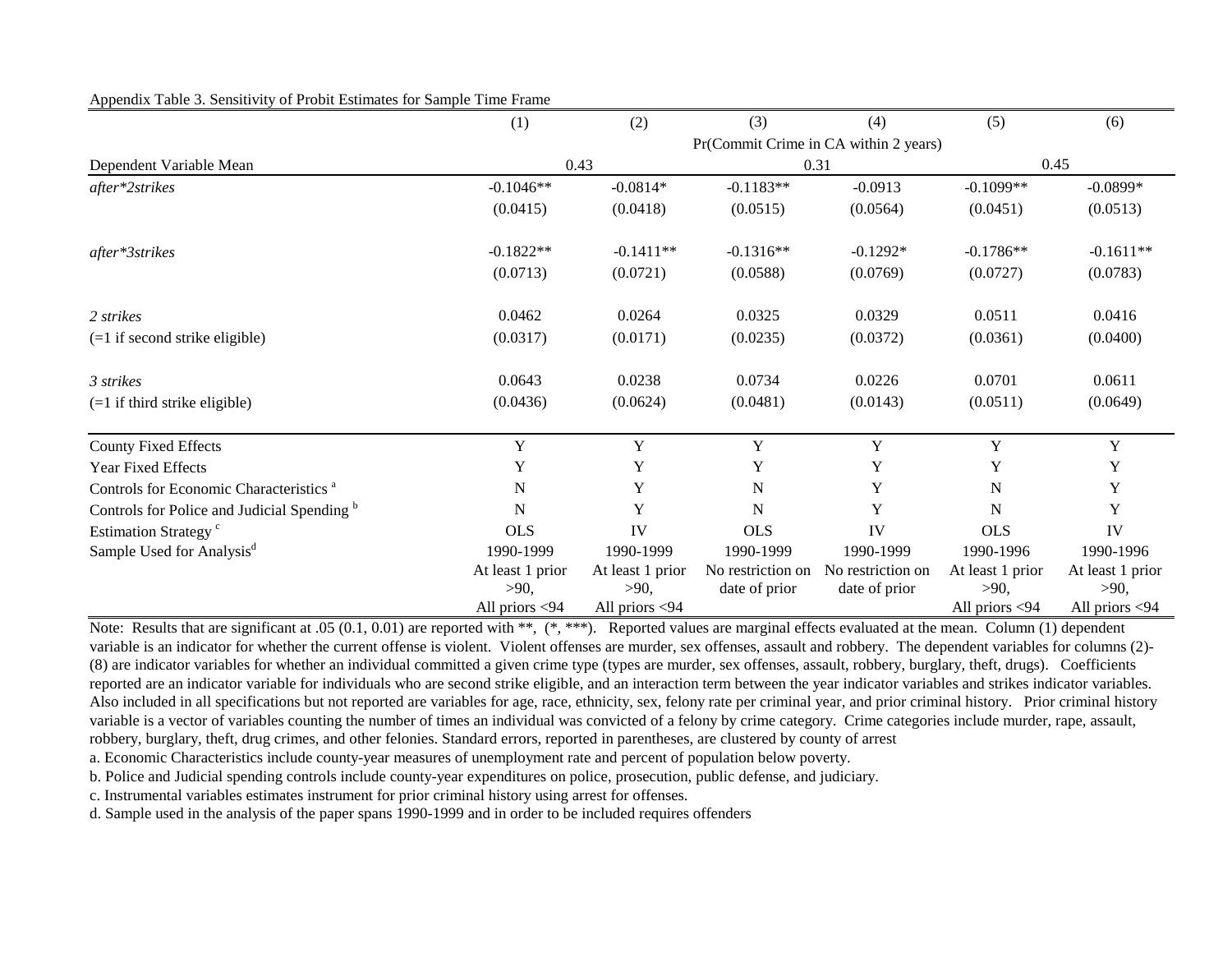#### Appendix Table 3. Sensitivity of Probit Estimates for Sample Time Frame

|                                                        | (1)              | (2)              | (3)               | (4)                                   | (5)              | (6)              |  |
|--------------------------------------------------------|------------------|------------------|-------------------|---------------------------------------|------------------|------------------|--|
|                                                        |                  |                  |                   | Pr(Commit Crime in CA within 2 years) |                  |                  |  |
| Dependent Variable Mean                                |                  | 0.43             |                   | 0.31                                  |                  | 0.45             |  |
| after*2strikes                                         | $-0.1046**$      | $-0.0814*$       | $-0.1183**$       | $-0.0913$                             | $-0.1099**$      | $-0.0899*$       |  |
|                                                        | (0.0415)         | (0.0418)         | (0.0515)          | (0.0564)                              | (0.0451)         | (0.0513)         |  |
| after*3strikes                                         | $-0.1822**$      | $-0.1411**$      | $-0.1316**$       | $-0.1292*$                            | $-0.1786**$      | $-0.1611**$      |  |
|                                                        | (0.0713)         | (0.0721)         | (0.0588)          | (0.0769)                              | (0.0727)         | (0.0783)         |  |
| 2 strikes                                              | 0.0462           | 0.0264           | 0.0325            | 0.0329                                | 0.0511           | 0.0416           |  |
| $(=1$ if second strike eligible)                       | (0.0317)         | (0.0171)         | (0.0235)          | (0.0372)                              | (0.0361)         | (0.0400)         |  |
| 3 strikes                                              | 0.0643           | 0.0238           | 0.0734            | 0.0226                                | 0.0701           | 0.0611           |  |
| $(=1$ if third strike eligible)                        | (0.0436)         | (0.0624)         | (0.0481)          | (0.0143)                              | (0.0511)         | (0.0649)         |  |
| <b>County Fixed Effects</b>                            | $\mathbf Y$      | $\mathbf Y$      | Y                 | $\mathbf Y$                           | Y                | $\mathbf Y$      |  |
| <b>Year Fixed Effects</b>                              | Y                | Y                | Y                 | Y                                     | Y                | Y                |  |
| Controls for Economic Characteristics <sup>a</sup>     | N                | Y                | ${\bf N}$         | Y                                     | ${\bf N}$        | Y                |  |
| Controls for Police and Judicial Spending <sup>b</sup> | N                | Y                | N                 | Y                                     | $\mathbf N$      | Y                |  |
| Estimation Strategy <sup>c</sup>                       | <b>OLS</b>       | IV               | <b>OLS</b>        | IV                                    | <b>OLS</b>       | IV               |  |
| Sample Used for Analysis <sup>d</sup>                  | 1990-1999        | 1990-1999        | 1990-1999         | 1990-1999                             | 1990-1996        | 1990-1996        |  |
|                                                        | At least 1 prior | At least 1 prior | No restriction on | No restriction on                     | At least 1 prior | At least 1 prior |  |
|                                                        | >90,             | >90,             | date of prior     | date of prior                         | >90,             | $>90$ ,          |  |
|                                                        | All priors <94   | All priors <94   |                   |                                       | All priors <94   | All priors <94   |  |

Note: Results that are significant at .05 (0.1, 0.01) are reported with \*\*, (\*, \*\*\*). Reported values are marginal effects evaluated at the mean. Column (1) dependent variable is an indicator for whether the current offense is violent. Violent offenses are murder, sex offenses, assault and robbery. The dependent variables for columns (2)-(8) are indicator variables for whether an individual committed a given crime type (types are murder, sex offenses, assault, robbery, burglary, theft, drugs). Coefficients reported are an indicator variable for individuals who are second strike eligible, and an interaction term between the year indicator variables and strikes indicator variables. Also included in all specifications but not reported are variables for age, race, ethnicity, sex, felony rate per criminal year, and prior criminal history. Prior criminal history variable is a vector of variables counting the number of times an individual was convicted of a felony by crime category. Crime categories include murder, rape, assault, robbery, burglary, theft, drug crimes, and other felonies. Standard errors, reported in parentheses, are clustered by county of arrest

a. Economic Characteristics include county-year measures of unemployment rate and percent of population below poverty.

b. Police and Judicial spending controls include county-year expenditures on police, prosecution, public defense, and judiciary.

c. Instrumental variables estimates instrument for prior criminal history using arrest for offenses.

d. Sample used in the analysis of the paper spans 1990-1999 and in order to be included requires offenders